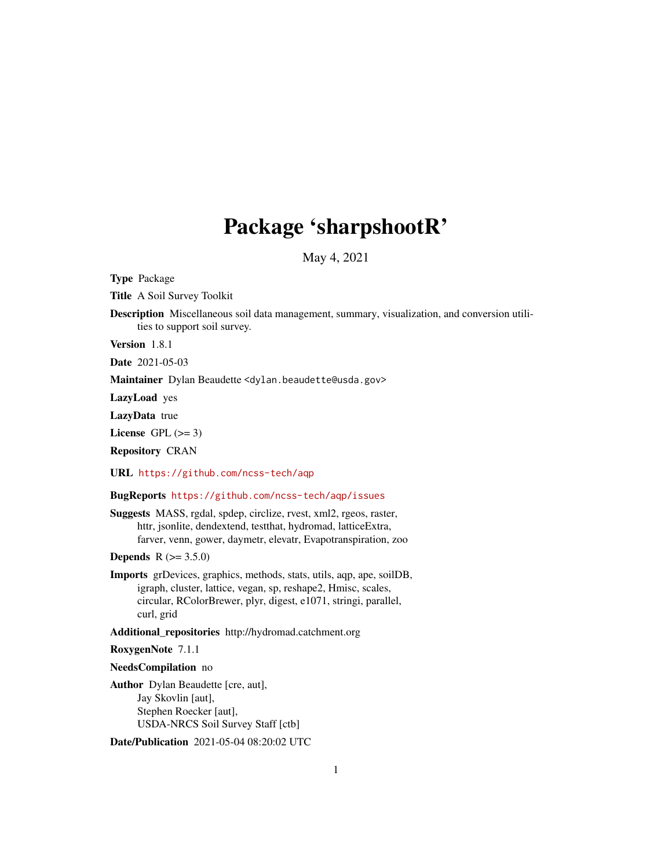# Package 'sharpshootR'

May 4, 2021

Type Package

Title A Soil Survey Toolkit

Description Miscellaneous soil data management, summary, visualization, and conversion utilities to support soil survey.

Version 1.8.1

Date 2021-05-03

Maintainer Dylan Beaudette <dylan.beaudette@usda.gov>

LazyLoad yes

LazyData true

License GPL  $(>= 3)$ 

Repository CRAN

URL <https://github.com/ncss-tech/aqp>

### BugReports <https://github.com/ncss-tech/aqp/issues>

Suggests MASS, rgdal, spdep, circlize, rvest, xml2, rgeos, raster, httr, jsonlite, dendextend, testthat, hydromad, latticeExtra, farver, venn, gower, daymetr, elevatr, Evapotranspiration, zoo

**Depends** R  $(>= 3.5.0)$ 

Imports grDevices, graphics, methods, stats, utils, aqp, ape, soilDB, igraph, cluster, lattice, vegan, sp, reshape2, Hmisc, scales, circular, RColorBrewer, plyr, digest, e1071, stringi, parallel, curl, grid

Additional\_repositories http://hydromad.catchment.org

#### RoxygenNote 7.1.1

#### NeedsCompilation no

Author Dylan Beaudette [cre, aut], Jay Skovlin [aut], Stephen Roecker [aut], USDA-NRCS Soil Survey Staff [ctb]

Date/Publication 2021-05-04 08:20:02 UTC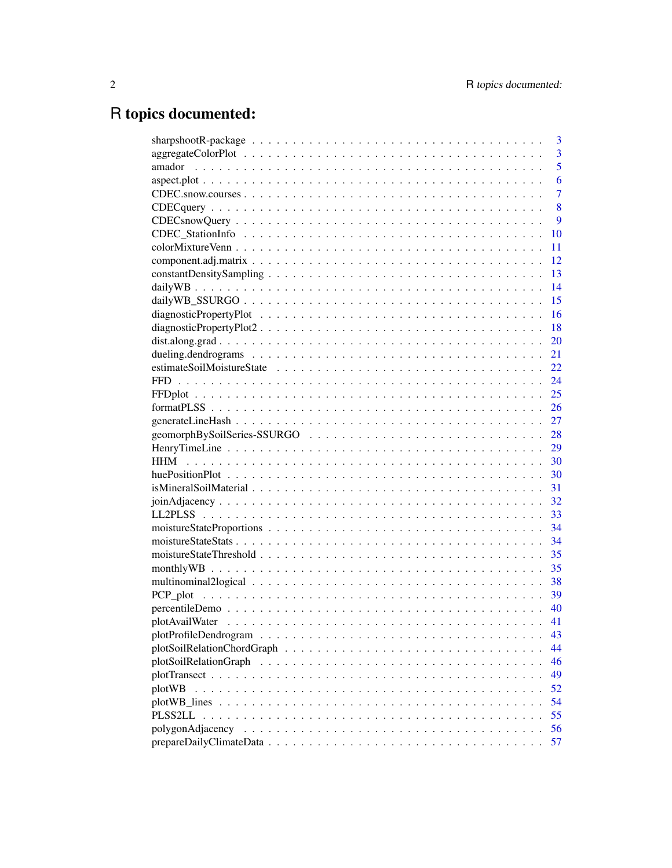# R topics documented:

| 3<br>sharpshootR-package $\ldots \ldots \ldots \ldots \ldots \ldots \ldots \ldots \ldots \ldots \ldots \ldots \ldots$ |
|-----------------------------------------------------------------------------------------------------------------------|
| $\overline{3}$                                                                                                        |
| $\overline{5}$                                                                                                        |
| 6                                                                                                                     |
| $\overline{7}$                                                                                                        |
| 8                                                                                                                     |
| 9                                                                                                                     |
| 10                                                                                                                    |
| 11                                                                                                                    |
| 12                                                                                                                    |
| 13                                                                                                                    |
| 14                                                                                                                    |
| 15                                                                                                                    |
| 16                                                                                                                    |
| 18                                                                                                                    |
| 20                                                                                                                    |
| 21                                                                                                                    |
| 22                                                                                                                    |
| 24                                                                                                                    |
| 25                                                                                                                    |
| 26                                                                                                                    |
| 27                                                                                                                    |
| 28                                                                                                                    |
| 29                                                                                                                    |
| 30                                                                                                                    |
| 30                                                                                                                    |
| 31                                                                                                                    |
| 32                                                                                                                    |
| 33                                                                                                                    |
| 34                                                                                                                    |
| 34                                                                                                                    |
| 35                                                                                                                    |
| 35                                                                                                                    |
| 38                                                                                                                    |
| 39                                                                                                                    |
| 40                                                                                                                    |
| 41                                                                                                                    |
| 43                                                                                                                    |
| 44                                                                                                                    |
| 46                                                                                                                    |
| 49                                                                                                                    |
| 52<br>plotWB                                                                                                          |
| 54                                                                                                                    |
| 55<br>PLSS2LL                                                                                                         |
| 56                                                                                                                    |
| 57                                                                                                                    |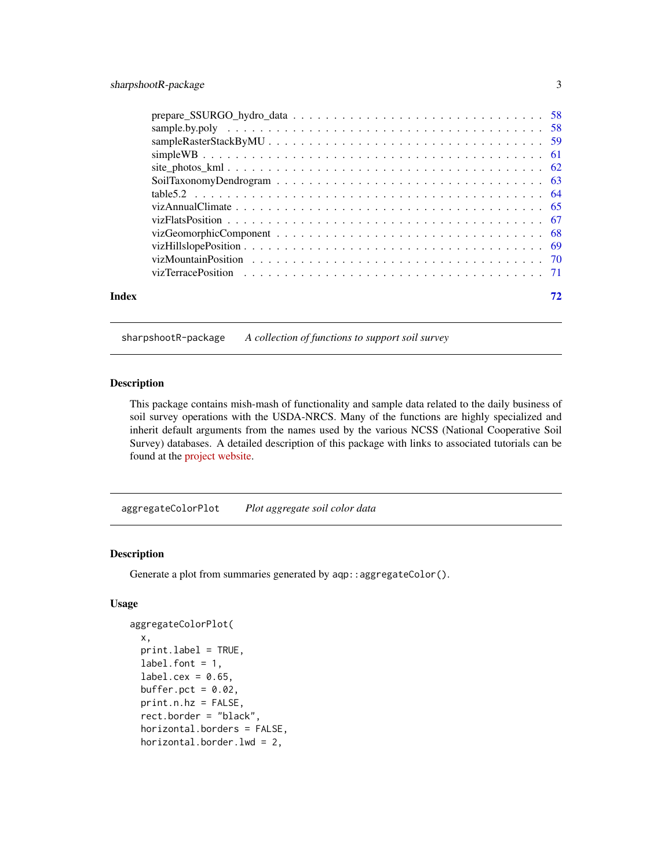<span id="page-2-0"></span>

| Index |  |
|-------|--|

sharpshootR-package *A collection of functions to support soil survey*

### Description

This package contains mish-mash of functionality and sample data related to the daily business of soil survey operations with the USDA-NRCS. Many of the functions are highly specialized and inherit default arguments from the names used by the various NCSS (National Cooperative Soil Survey) databases. A detailed description of this package with links to associated tutorials can be found at the [project website.](https://github.com/ncss-tech/sharpshootR)

aggregateColorPlot *Plot aggregate soil color data*

### Description

Generate a plot from summaries generated by aqp:: aggregateColor().

#### Usage

```
aggregateColorPlot(
 x,
 print.label = TRUE,
  label.font = 1,label.cex = 0.65,
  buffer.pct = 0.02,
 print.n.hz = FALSE,
  rect.border = "black",
  horizontal.borders = FALSE,
  horizontal.border.lwd = 2,
```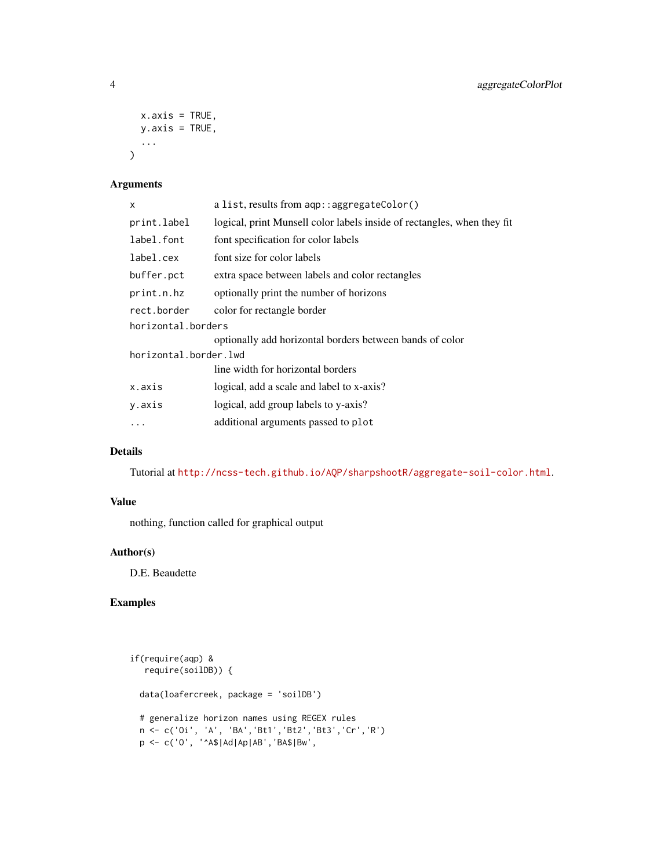```
x.axis = TRUE,y. axis = TRUE,...
\mathcal{L}
```
### Arguments

| x                     | a list, results from $aqp$ : : aggregateColor()                         |  |
|-----------------------|-------------------------------------------------------------------------|--|
| print.label           | logical, print Munsell color labels inside of rectangles, when they fit |  |
| label.font            | font specification for color labels                                     |  |
| label.cex             | font size for color labels                                              |  |
| buffer.pct            | extra space between labels and color rectangles                         |  |
| print.n.hz            | optionally print the number of horizons                                 |  |
| rect.border           | color for rectangle border                                              |  |
| horizontal.borders    |                                                                         |  |
|                       | optionally add horizontal borders between bands of color                |  |
| horizontal.border.lwd |                                                                         |  |
|                       | line width for horizontal borders                                       |  |
| x.axis                | logical, add a scale and label to x-axis?                               |  |
| y.axis                | logical, add group labels to y-axis?                                    |  |
|                       | additional arguments passed to plot                                     |  |
|                       |                                                                         |  |

### Details

Tutorial at <http://ncss-tech.github.io/AQP/sharpshootR/aggregate-soil-color.html>.

### Value

nothing, function called for graphical output

### Author(s)

D.E. Beaudette

### Examples

```
if(require(aqp) &
  require(soilDB)) {
  data(loafercreek, package = 'soilDB')
  # generalize horizon names using REGEX rules
 n <- c('Oi', 'A', 'BA','Bt1','Bt2','Bt3','Cr','R')
  p <- c('O', '^A$|Ad|Ap|AB','BA$|Bw',
```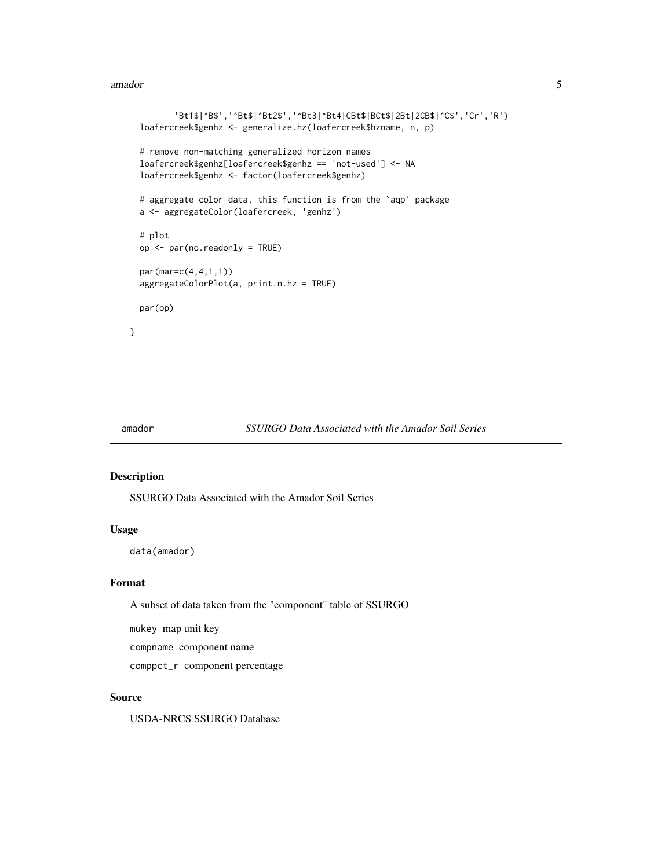#### <span id="page-4-0"></span>amador 5

```
'Bt1$|^B$','^Bt$|^Bt2$','^Bt3|^Bt4|CBt$|BCt$|2Bt|2CB$|^C$','Cr','R')
loafercreek$genhz <- generalize.hz(loafercreek$hzname, n, p)
# remove non-matching generalized horizon names
loafercreek$genhz[loafercreek$genhz == 'not-used'] <- NA
loafercreek$genhz <- factor(loafercreek$genhz)
# aggregate color data, this function is from the 'aqp' package
a <- aggregateColor(loafercreek, 'genhz')
# plot
op <- par(no.readonly = TRUE)
par(mar=c(4,4,1,1))
aggregateColorPlot(a, print.n.hz = TRUE)
par(op)
```
}

#### amador *SSURGO Data Associated with the Amador Soil Series*

### Description

SSURGO Data Associated with the Amador Soil Series

### Usage

data(amador)

#### Format

A subset of data taken from the "component" table of SSURGO

mukey map unit key

compname component name

comppct\_r component percentage

#### Source

USDA-NRCS SSURGO Database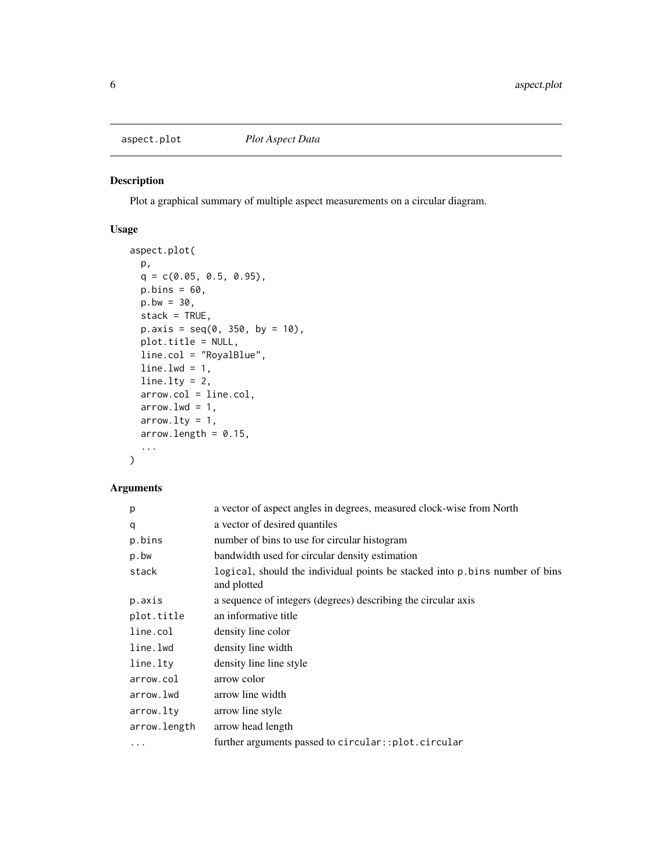<span id="page-5-0"></span>

### Description

Plot a graphical summary of multiple aspect measurements on a circular diagram.

### Usage

```
aspect.plot(
 p,
 q = c(0.05, 0.5, 0.95),
 p.bins = 60,
 p.bw = 30,
 stack = TRUE,
 p. axis = seq(0, 350, by = 10),
 plot.title = NULL,
 line.col = "RoyalBlue",
 line.1wd = 1,line.lty = 2,
 arrow.col = line.col,
 arrow.lwd = 1,arrow.lty = 1,
 arrow.length = 0.15,
  ...
)
```

| p            | a vector of aspect angles in degrees, measured clock-wise from North                        |
|--------------|---------------------------------------------------------------------------------------------|
| q            | a vector of desired quantiles                                                               |
| p.bins       | number of bins to use for circular histogram                                                |
| p.bw         | bandwidth used for circular density estimation                                              |
| stack        | logical, should the individual points be stacked into p. bins number of bins<br>and plotted |
| p.axis       | a sequence of integers (degrees) describing the circular axis                               |
| plot.title   | an informative title                                                                        |
| line.col     | density line color                                                                          |
| line.lwd     | density line width                                                                          |
| line.lty     | density line line style                                                                     |
| arrow.col    | arrow color                                                                                 |
| arrow.lwd    | arrow line width                                                                            |
| arrow.lty    | arrow line style                                                                            |
| arrow.length | arrow head length                                                                           |
| $\cdots$     | further arguments passed to circular::plot.circular                                         |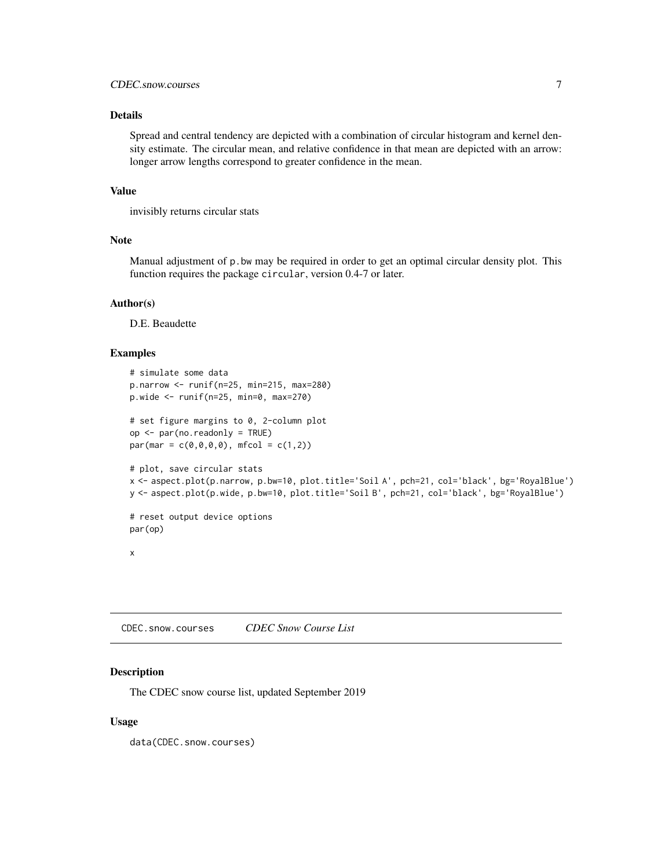### <span id="page-6-0"></span>Details

Spread and central tendency are depicted with a combination of circular histogram and kernel density estimate. The circular mean, and relative confidence in that mean are depicted with an arrow: longer arrow lengths correspond to greater confidence in the mean.

#### Value

invisibly returns circular stats

### Note

Manual adjustment of p.bw may be required in order to get an optimal circular density plot. This function requires the package circular, version 0.4-7 or later.

#### Author(s)

D.E. Beaudette

#### Examples

```
# simulate some data
p.narrow <- runif(n=25, min=215, max=280)
p.wide <- runif(n=25, min=0, max=270)
# set figure margins to 0, 2-column plot
op <- par(no.readonly = TRUE)
par(max = c(0, 0, 0, 0), mfcol = c(1, 2))# plot, save circular stats
x <- aspect.plot(p.narrow, p.bw=10, plot.title='Soil A', pch=21, col='black', bg='RoyalBlue')
y <- aspect.plot(p.wide, p.bw=10, plot.title='Soil B', pch=21, col='black', bg='RoyalBlue')
# reset output device options
par(op)
x
```
CDEC.snow.courses *CDEC Snow Course List*

#### Description

The CDEC snow course list, updated September 2019

#### Usage

data(CDEC.snow.courses)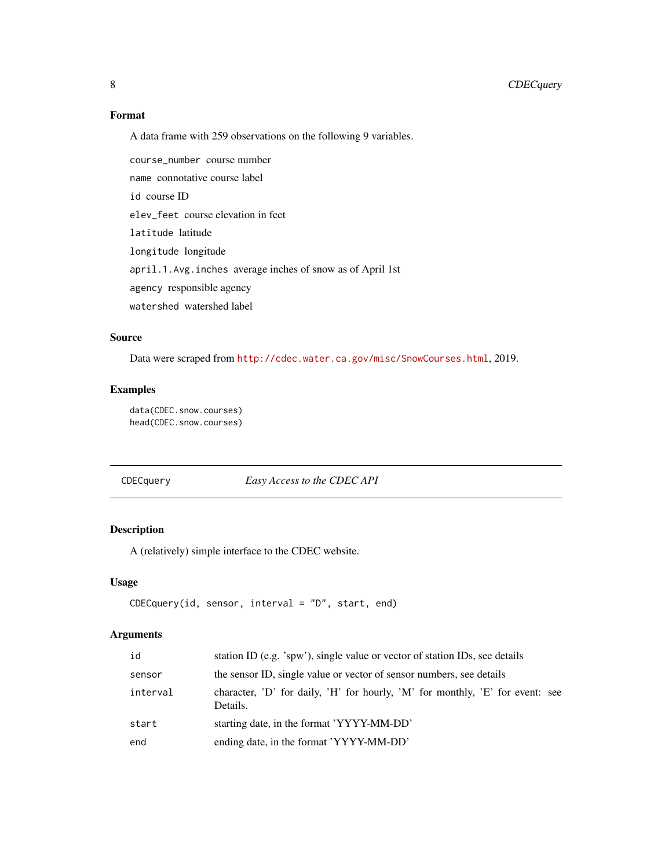### Format

A data frame with 259 observations on the following 9 variables.

course\_number course number name connotative course label id course ID elev\_feet course elevation in feet latitude latitude longitude longitude april.1.Avg.inches average inches of snow as of April 1st agency responsible agency watershed watershed label

### Source

Data were scraped from <http://cdec.water.ca.gov/misc/SnowCourses.html>, 2019.

### Examples

data(CDEC.snow.courses) head(CDEC.snow.courses)

CDECquery *Easy Access to the CDEC API*

### Description

A (relatively) simple interface to the CDEC website.

#### Usage

```
CDECquery(id, sensor, interval = "D", start, end)
```

| id       | station ID (e.g. 'spw'), single value or vector of station IDs, see details               |
|----------|-------------------------------------------------------------------------------------------|
| sensor   | the sensor ID, single value or vector of sensor numbers, see details                      |
| interval | character, 'D' for daily, 'H' for hourly, 'M' for monthly, 'E' for event: see<br>Details. |
| start    | starting date, in the format 'YYYY-MM-DD'                                                 |
| end      | ending date, in the format 'YYYY-MM-DD'                                                   |

<span id="page-7-0"></span>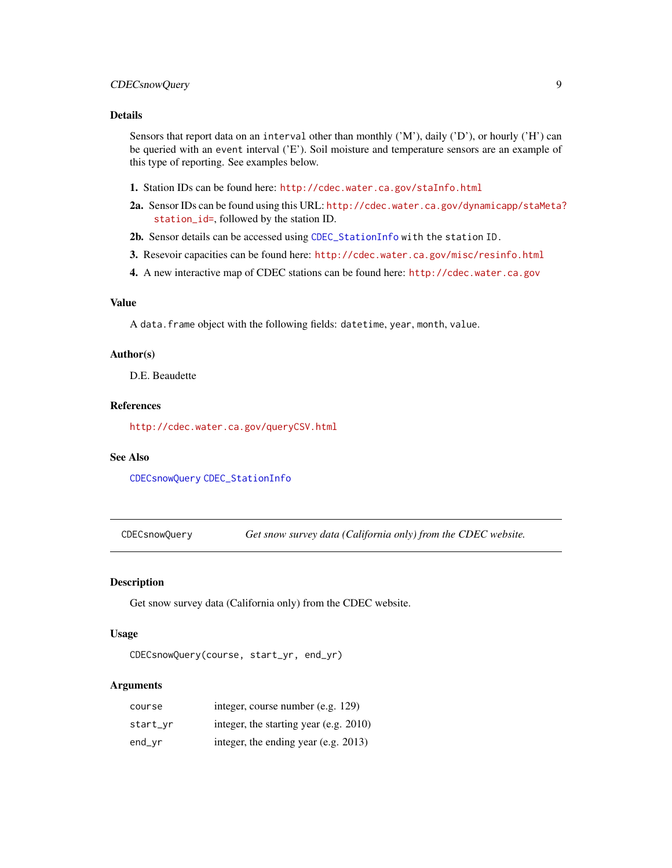### <span id="page-8-0"></span>CDECsnowQuery 9

### Details

Sensors that report data on an interval other than monthly ('M'), daily ('D'), or hourly ('H') can be queried with an event interval ('E'). Soil moisture and temperature sensors are an example of this type of reporting. See examples below.

- 1. Station IDs can be found here: <http://cdec.water.ca.gov/staInfo.html>
- 2a. Sensor IDs can be found using this URL: [http://cdec.water.ca.gov/dynamicapp/staMeta?](http://cdec.water.ca.gov/dynamicapp/staMeta?station_id=) [station\\_id=](http://cdec.water.ca.gov/dynamicapp/staMeta?station_id=), followed by the station ID.
- 2b. Sensor details can be accessed using [CDEC\\_StationInfo](#page-9-1) with the station ID.
- 3. Resevoir capacities can be found here: <http://cdec.water.ca.gov/misc/resinfo.html>
- 4. A new interactive map of CDEC stations can be found here: <http://cdec.water.ca.gov>

#### Value

A data.frame object with the following fields: datetime, year, month, value.

### Author(s)

D.E. Beaudette

### References

<http://cdec.water.ca.gov/queryCSV.html>

### See Also

[CDECsnowQuery](#page-8-1) [CDEC\\_StationInfo](#page-9-1)

<span id="page-8-1"></span>CDECsnowQuery *Get snow survey data (California only) from the CDEC website.*

#### Description

Get snow survey data (California only) from the CDEC website.

### Usage

CDECsnowQuery(course, start\_yr, end\_yr)

| course   | integer, course number (e.g. 129)         |
|----------|-------------------------------------------|
| start_vr | integer, the starting year (e.g. $2010$ ) |
| end_vr   | integer, the ending year (e.g. $2013$ )   |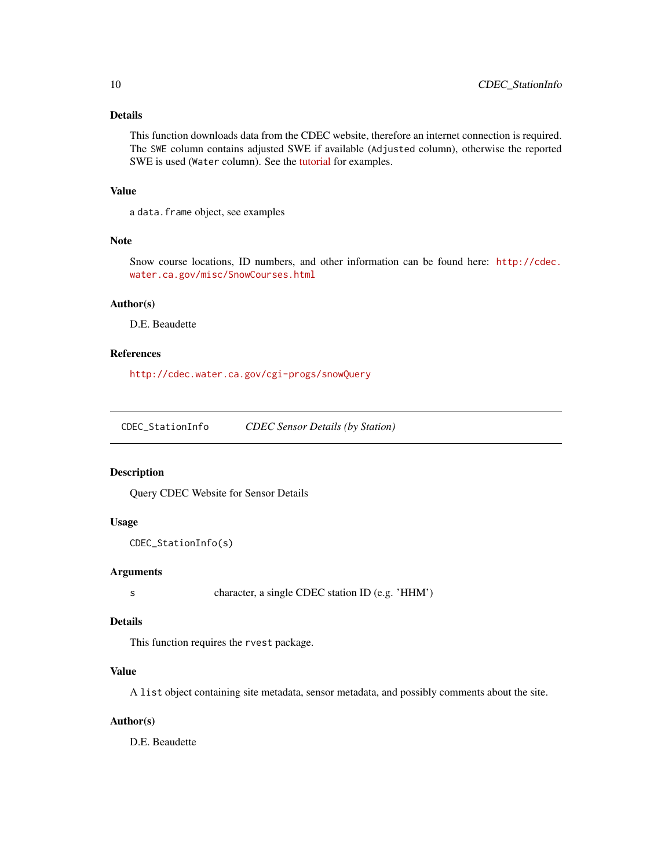### <span id="page-9-0"></span>Details

This function downloads data from the CDEC website, therefore an internet connection is required. The SWE column contains adjusted SWE if available (Adjusted column), otherwise the reported SWE is used (Water column). See the [tutorial](http://ncss-tech.github.io/AQP/sharpshootR/CA-snow-survey.html) for examples.

#### Value

a data.frame object, see examples

### Note

Snow course locations, ID numbers, and other information can be found here: [http://cdec.](http://cdec.water.ca.gov/misc/SnowCourses.html) [water.ca.gov/misc/SnowCourses.html](http://cdec.water.ca.gov/misc/SnowCourses.html)

#### Author(s)

D.E. Beaudette

### References

<http://cdec.water.ca.gov/cgi-progs/snowQuery>

<span id="page-9-1"></span>CDEC\_StationInfo *CDEC Sensor Details (by Station)*

#### Description

Query CDEC Website for Sensor Details

#### Usage

```
CDEC_StationInfo(s)
```
#### Arguments

s character, a single CDEC station ID (e.g. 'HHM')

#### Details

This function requires the rvest package.

### Value

A list object containing site metadata, sensor metadata, and possibly comments about the site.

#### Author(s)

D.E. Beaudette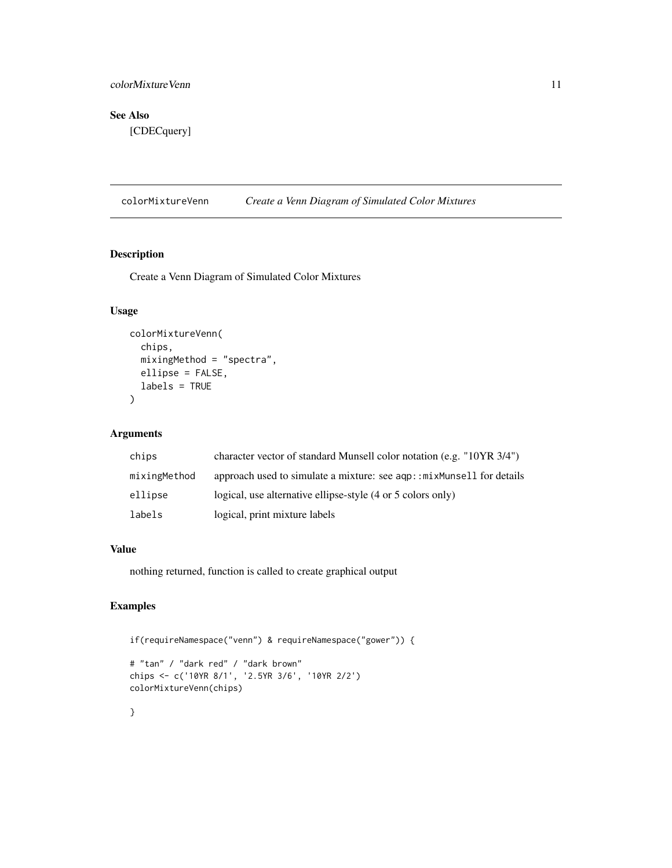### <span id="page-10-0"></span>colorMixtureVenn 11

### See Also

[CDECquery]

colorMixtureVenn *Create a Venn Diagram of Simulated Color Mixtures*

### Description

Create a Venn Diagram of Simulated Color Mixtures

### Usage

```
colorMixtureVenn(
  chips,
  mixingMethod = "spectra",
  ellipse = FALSE,
  labels = TRUE
\lambda
```
### Arguments

| chips        | character vector of standard Munsell color notation (e.g. "10YR 3/4") |
|--------------|-----------------------------------------------------------------------|
| mixingMethod | approach used to simulate a mixture: see agp::mixMunsell for details  |
| ellipse      | logical, use alternative ellipse-style (4 or 5 colors only)           |
| labels       | logical, print mixture labels                                         |

### Value

nothing returned, function is called to create graphical output

### Examples

```
if(requireNamespace("venn") & requireNamespace("gower")) {
```

```
# "tan" / "dark red" / "dark brown"
chips <- c('10YR 8/1', '2.5YR 3/6', '10YR 2/2')
colorMixtureVenn(chips)
```
### }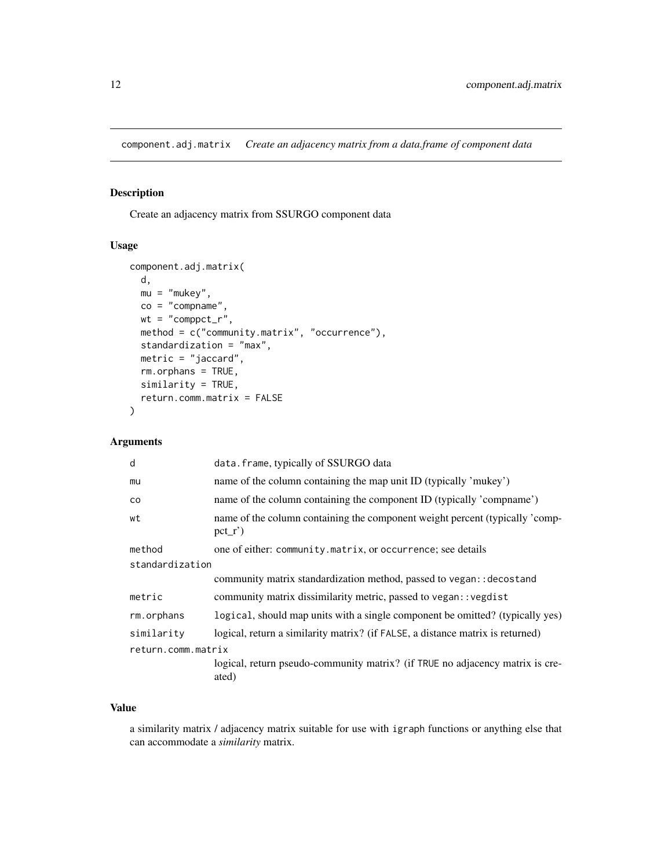<span id="page-11-0"></span>component.adj.matrix *Create an adjacency matrix from a data.frame of component data*

### Description

Create an adjacency matrix from SSURGO component data

#### Usage

```
component.adj.matrix(
  d,
 mu = "mukey",co = "comname"wt = "computer",method = c("community.matrix", "occurrence"),
  standardization = "max",
 metric = "jaccard",
  rm.orphans = TRUE,
  similarity = TRUE,
  return.comm.matrix = FALSE
\mathcal{E}
```
### Arguments

| data.frame, typically of SSURGO data                                                    |  |  |
|-----------------------------------------------------------------------------------------|--|--|
| name of the column containing the map unit ID (typically 'mukey')                       |  |  |
| name of the column containing the component ID (typically 'compname')                   |  |  |
| name of the column containing the component weight percent (typically 'comp-<br>$pct_r$ |  |  |
| one of either: community.matrix, or occurrence; see details                             |  |  |
| standardization                                                                         |  |  |
| community matrix standardization method, passed to vegan:: decostand                    |  |  |
| community matrix dissimilarity metric, passed to vegan:: vegdist                        |  |  |
| logical, should map units with a single component be omitted? (typically yes)           |  |  |
| logical, return a similarity matrix? (if FALSE, a distance matrix is returned)          |  |  |
| return.comm.matrix                                                                      |  |  |
| logical, return pseudo-community matrix? (if TRUE no adjacency matrix is cre-<br>ated)  |  |  |
|                                                                                         |  |  |

### Value

a similarity matrix / adjacency matrix suitable for use with igraph functions or anything else that can accommodate a *similarity* matrix.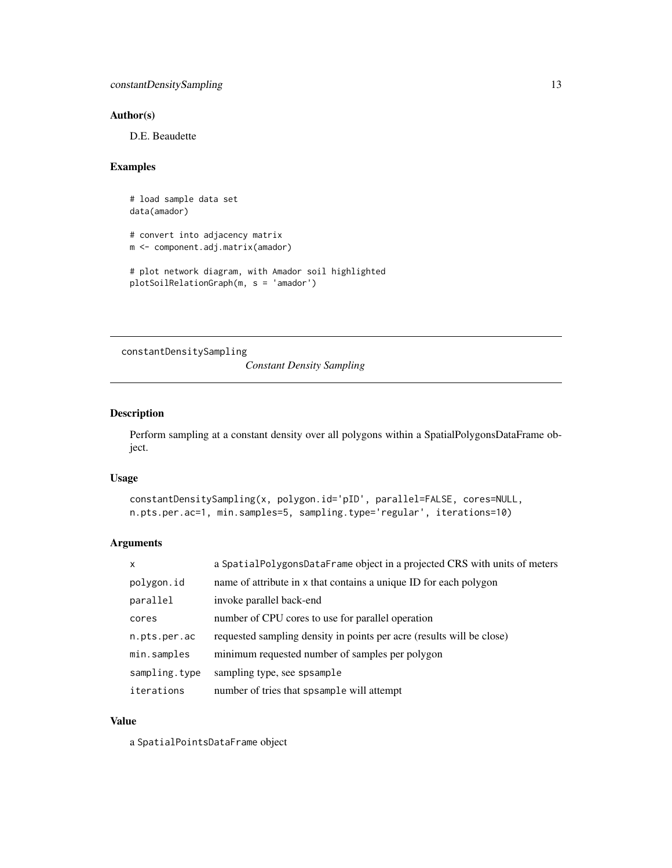### <span id="page-12-0"></span>Author(s)

D.E. Beaudette

#### Examples

```
# load sample data set
data(amador)
# convert into adjacency matrix
m <- component.adj.matrix(amador)
# plot network diagram, with Amador soil highlighted
plotSoilRelationGraph(m, s = 'amador')
```
constantDensitySampling

*Constant Density Sampling*

#### Description

Perform sampling at a constant density over all polygons within a SpatialPolygonsDataFrame object.

#### Usage

```
constantDensitySampling(x, polygon.id='pID', parallel=FALSE, cores=NULL,
n.pts.per.ac=1, min.samples=5, sampling.type='regular', iterations=10)
```
### Arguments

| $\mathsf{x}$  | a SpatialPolygonsDataFrame object in a projected CRS with units of meters |
|---------------|---------------------------------------------------------------------------|
| polygon.id    | name of attribute in x that contains a unique ID for each polygon         |
| parallel      | invoke parallel back-end                                                  |
| cores         | number of CPU cores to use for parallel operation                         |
| n.pts.per.ac  | requested sampling density in points per acre (results will be close)     |
| min.samples   | minimum requested number of samples per polygon                           |
| sampling.type | sampling type, see spsample                                               |
| iterations    | number of tries that spsample will attempt                                |

### Value

a SpatialPointsDataFrame object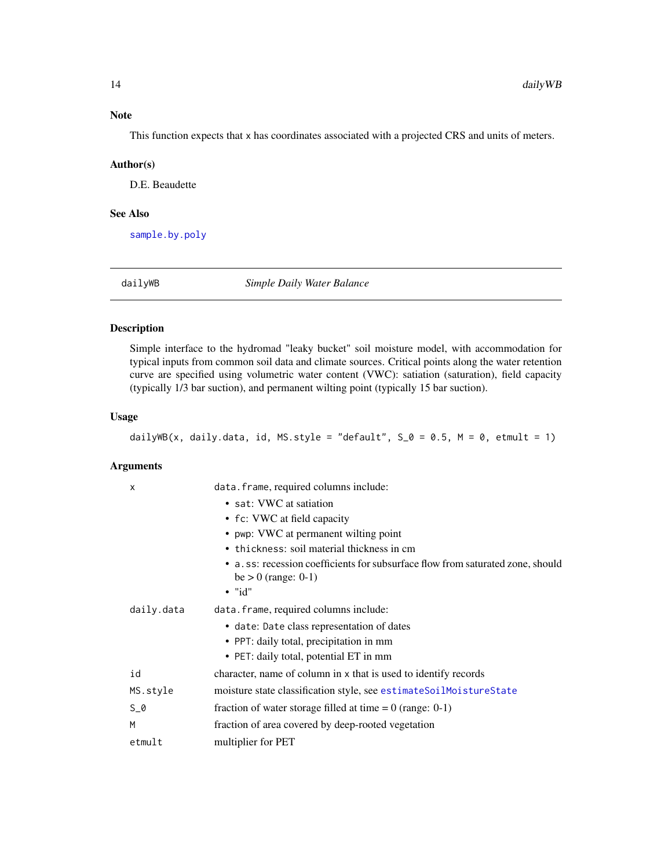<span id="page-13-0"></span>This function expects that x has coordinates associated with a projected CRS and units of meters.

#### Author(s)

D.E. Beaudette

#### See Also

[sample.by.poly](#page-57-1)

<span id="page-13-1"></span>dailyWB *Simple Daily Water Balance*

### Description

Simple interface to the hydromad "leaky bucket" soil moisture model, with accommodation for typical inputs from common soil data and climate sources. Critical points along the water retention curve are specified using volumetric water content (VWC): satiation (saturation), field capacity (typically 1/3 bar suction), and permanent wilting point (typically 15 bar suction).

### Usage

dailyWB(x, daily.data, id, MS.style = "default",  $S_0 = 0.5$ , M = 0, etmult = 1)

| X          | data.frame, required columns include:                                                                   |
|------------|---------------------------------------------------------------------------------------------------------|
|            | • sat: VWC at satiation                                                                                 |
|            | • fc: VWC at field capacity                                                                             |
|            | • pwp: VWC at permanent wilting point                                                                   |
|            | • thickness: soil material thickness in cm                                                              |
|            | • a.ss: recession coefficients for subsurface flow from saturated zone, should<br>$be > 0$ (range: 0-1) |
|            | $\bullet$ "id"                                                                                          |
| daily.data | data.frame, required columns include:                                                                   |
|            | • date: Date class representation of dates                                                              |
|            | • PPT: daily total, precipitation in mm                                                                 |
|            | • PET: daily total, potential ET in mm                                                                  |
| id         | character, name of column in x that is used to identify records                                         |
| MS.style   | moisture state classification style, see estimateSoilMoistureState                                      |
| $S_0$      | fraction of water storage filled at time $= 0$ (range: 0-1)                                             |
| M          | fraction of area covered by deep-rooted vegetation                                                      |
| etmult     | multiplier for PET                                                                                      |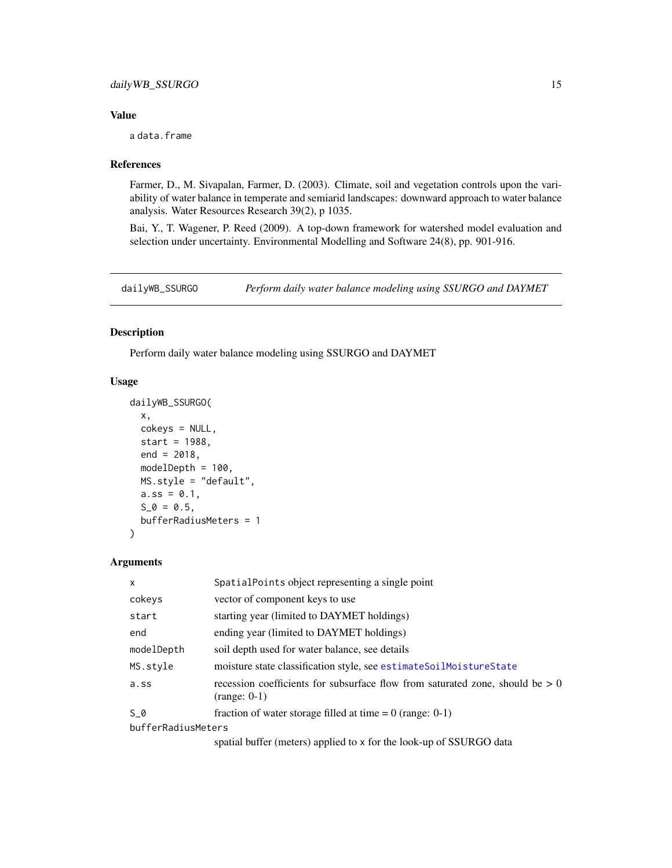#### <span id="page-14-0"></span>Value

a data.frame

#### References

Farmer, D., M. Sivapalan, Farmer, D. (2003). Climate, soil and vegetation controls upon the variability of water balance in temperate and semiarid landscapes: downward approach to water balance analysis. Water Resources Research 39(2), p 1035.

Bai, Y., T. Wagener, P. Reed (2009). A top-down framework for watershed model evaluation and selection under uncertainty. Environmental Modelling and Software 24(8), pp. 901-916.

<span id="page-14-1"></span>dailyWB\_SSURGO *Perform daily water balance modeling using SSURGO and DAYMET*

### Description

Perform daily water balance modeling using SSURGO and DAYMET

#### Usage

```
dailyWB_SSURGO(
  x,
 cokeys = NULL,
 start = 1988,
 end = 2018,
 modelDepth = 100,
 MS.style = "default",
 a.ss = 0.1,
  S_0 = 0.5,
 bufferRadiusMeters = 1
)
```

| $\mathsf{x}$       | Spatial Points object representing a single point                                                 |
|--------------------|---------------------------------------------------------------------------------------------------|
| cokeys             | vector of component keys to use                                                                   |
| start              | starting year (limited to DAYMET holdings)                                                        |
| end                | ending year (limited to DAYMET holdings)                                                          |
| modelDepth         | soil depth used for water balance, see details                                                    |
| MS.style           | moisture state classification style, see estimateSoilMoistureState                                |
| a.ss               | recession coefficients for subsurface flow from saturated zone, should be $> 0$<br>$(range: 0-1)$ |
| S 0                | fraction of water storage filled at time $= 0$ (range: 0-1)                                       |
| bufferRadiusMeters |                                                                                                   |
|                    | $\epsilon$ anotial buffar (matars) anotiad to y far the look up of CCUDCO data                    |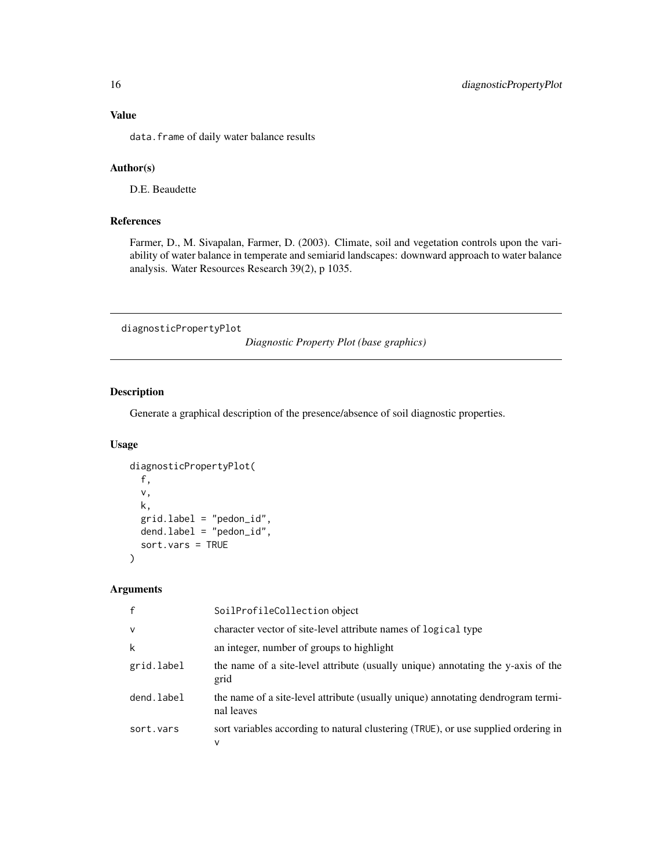<span id="page-15-0"></span>data.frame of daily water balance results

### Author(s)

D.E. Beaudette

### References

Farmer, D., M. Sivapalan, Farmer, D. (2003). Climate, soil and vegetation controls upon the variability of water balance in temperate and semiarid landscapes: downward approach to water balance analysis. Water Resources Research 39(2), p 1035.

diagnosticPropertyPlot

*Diagnostic Property Plot (base graphics)*

### Description

Generate a graphical description of the presence/absence of soil diagnostic properties.

### Usage

```
diagnosticPropertyPlot(
  f,
  v,
 k,
 grid.label = "pedon_id",
 dend.label = "pedon_id",
  sort.vars = TRUE
)
```

| $\mathbf{f}$ | SoilProfileCollection object                                                                   |
|--------------|------------------------------------------------------------------------------------------------|
| $\mathsf{v}$ | character vector of site-level attribute names of logical type                                 |
| k            | an integer, number of groups to highlight                                                      |
| grid.label   | the name of a site-level attribute (usually unique) annotating the y-axis of the<br>grid       |
| dend.label   | the name of a site-level attribute (usually unique) annotating dendrogram termi-<br>nal leaves |
| sort.vars    | sort variables according to natural clustering (TRUE), or use supplied ordering in<br>ν        |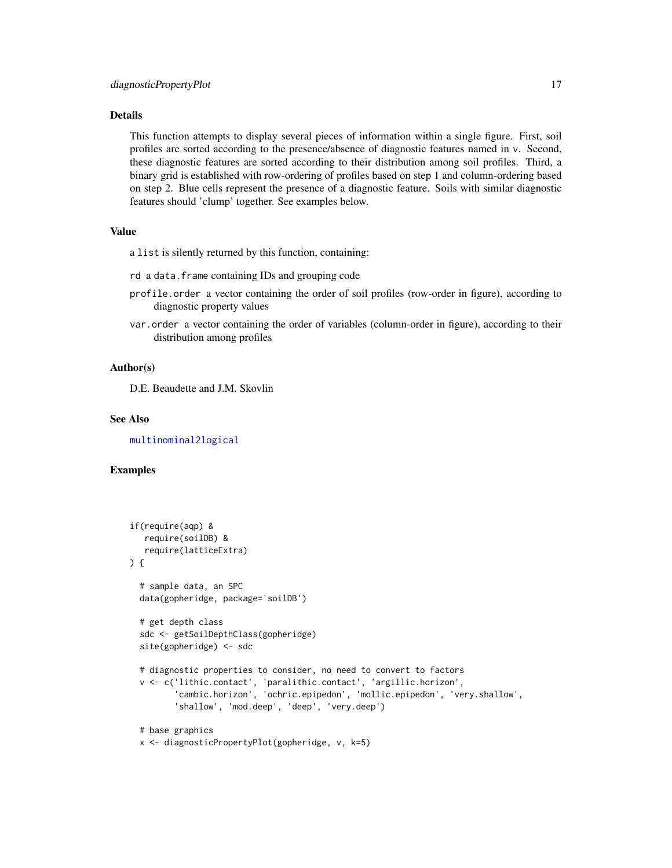### Details

This function attempts to display several pieces of information within a single figure. First, soil profiles are sorted according to the presence/absence of diagnostic features named in v. Second, these diagnostic features are sorted according to their distribution among soil profiles. Third, a binary grid is established with row-ordering of profiles based on step 1 and column-ordering based on step 2. Blue cells represent the presence of a diagnostic feature. Soils with similar diagnostic features should 'clump' together. See examples below.

#### Value

a list is silently returned by this function, containing:

- rd a data.frame containing IDs and grouping code
- profile.order a vector containing the order of soil profiles (row-order in figure), according to diagnostic property values
- var.order a vector containing the order of variables (column-order in figure), according to their distribution among profiles

#### Author(s)

D.E. Beaudette and J.M. Skovlin

#### See Also

[multinominal2logical](#page-37-1)

### Examples

```
if(require(aqp) &
   require(soilDB) &
   require(latticeExtra)
) {
 # sample data, an SPC
 data(gopheridge, package='soilDB')
 # get depth class
 sdc <- getSoilDepthClass(gopheridge)
 site(gopheridge) <- sdc
 # diagnostic properties to consider, no need to convert to factors
 v <- c('lithic.contact', 'paralithic.contact', 'argillic.horizon',
         'cambic.horizon', 'ochric.epipedon', 'mollic.epipedon', 'very.shallow',
         'shallow', 'mod.deep', 'deep', 'very.deep')
 # base graphics
```

```
x <- diagnosticPropertyPlot(gopheridge, v, k=5)
```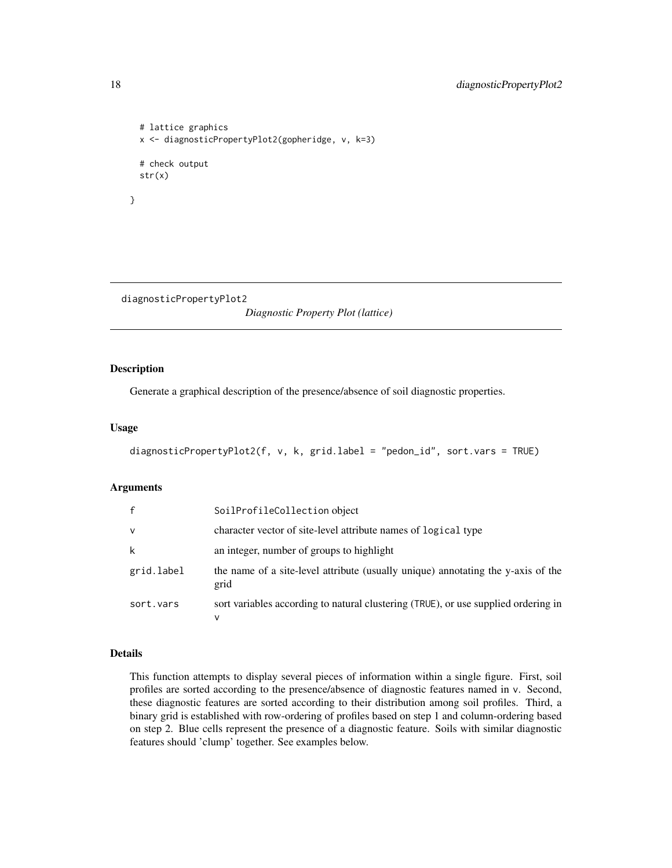```
# lattice graphics
 x <- diagnosticPropertyPlot2(gopheridge, v, k=3)
 # check output
 str(x)
}
```
diagnosticPropertyPlot2

*Diagnostic Property Plot (lattice)*

### Description

Generate a graphical description of the presence/absence of soil diagnostic properties.

### Usage

```
diagnosticPropertyPlot2(f, v, k, grid.label = "pedon_id", sort.vars = TRUE)
```
### Arguments

|              | SoilProfileCollection object                                                             |
|--------------|------------------------------------------------------------------------------------------|
| $\mathsf{v}$ | character vector of site-level attribute names of logical type                           |
| k            | an integer, number of groups to highlight                                                |
| grid.label   | the name of a site-level attribute (usually unique) annotating the y-axis of the<br>grid |
| sort.vars    | sort variables according to natural clustering (TRUE), or use supplied ordering in<br>v  |

### Details

This function attempts to display several pieces of information within a single figure. First, soil profiles are sorted according to the presence/absence of diagnostic features named in v. Second, these diagnostic features are sorted according to their distribution among soil profiles. Third, a binary grid is established with row-ordering of profiles based on step 1 and column-ordering based on step 2. Blue cells represent the presence of a diagnostic feature. Soils with similar diagnostic features should 'clump' together. See examples below.

<span id="page-17-0"></span>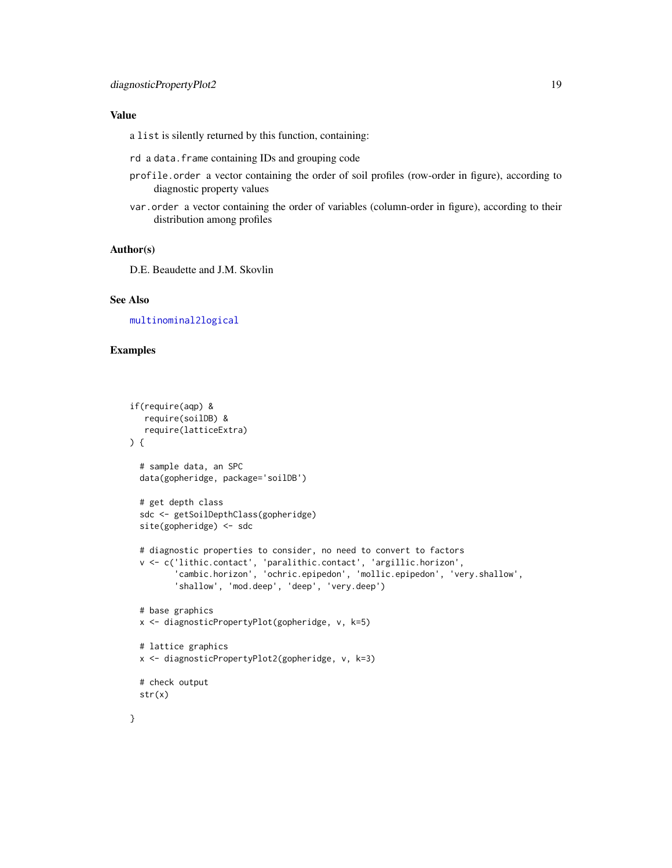#### Value

a list is silently returned by this function, containing:

- rd a data.frame containing IDs and grouping code
- profile.order a vector containing the order of soil profiles (row-order in figure), according to diagnostic property values
- var.order a vector containing the order of variables (column-order in figure), according to their distribution among profiles

#### Author(s)

D.E. Beaudette and J.M. Skovlin

#### See Also

[multinominal2logical](#page-37-1)

### Examples

```
if(require(aqp) &
  require(soilDB) &
  require(latticeExtra)
) {
 # sample data, an SPC
 data(gopheridge, package='soilDB')
 # get depth class
 sdc <- getSoilDepthClass(gopheridge)
 site(gopheridge) <- sdc
 # diagnostic properties to consider, no need to convert to factors
 v <- c('lithic.contact', 'paralithic.contact', 'argillic.horizon',
         'cambic.horizon', 'ochric.epipedon', 'mollic.epipedon', 'very.shallow',
         'shallow', 'mod.deep', 'deep', 'very.deep')
 # base graphics
 x <- diagnosticPropertyPlot(gopheridge, v, k=5)
 # lattice graphics
 x <- diagnosticPropertyPlot2(gopheridge, v, k=3)
 # check output
 str(x)
}
```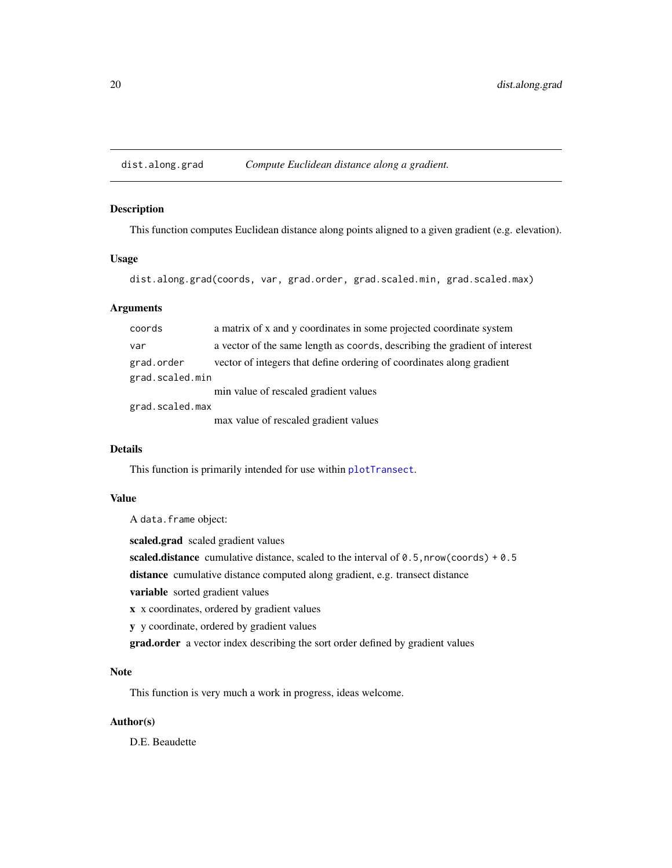<span id="page-19-0"></span>dist.along.grad *Compute Euclidean distance along a gradient.*

### Description

This function computes Euclidean distance along points aligned to a given gradient (e.g. elevation).

### Usage

dist.along.grad(coords, var, grad.order, grad.scaled.min, grad.scaled.max)

### Arguments

| coords          | a matrix of x and y coordinates in some projected coordinate system        |  |
|-----------------|----------------------------------------------------------------------------|--|
| var             | a vector of the same length as coords, describing the gradient of interest |  |
| grad.order      | vector of integers that define ordering of coordinates along gradient      |  |
| grad.scaled.min |                                                                            |  |
|                 | min value of rescaled gradient values                                      |  |
| grad.scaled.max |                                                                            |  |
|                 | max value of rescaled gradient values                                      |  |
|                 |                                                                            |  |

### Details

This function is primarily intended for use within [plotTransect](#page-48-1).

### Value

A data.frame object:

scaled.grad scaled gradient values

scaled.distance cumulative distance, scaled to the interval of  $0.5$ , nrow(coords) +  $0.5$ 

distance cumulative distance computed along gradient, e.g. transect distance

variable sorted gradient values

x x coordinates, ordered by gradient values

y y coordinate, ordered by gradient values

grad.order a vector index describing the sort order defined by gradient values

### Note

This function is very much a work in progress, ideas welcome.

### Author(s)

D.E. Beaudette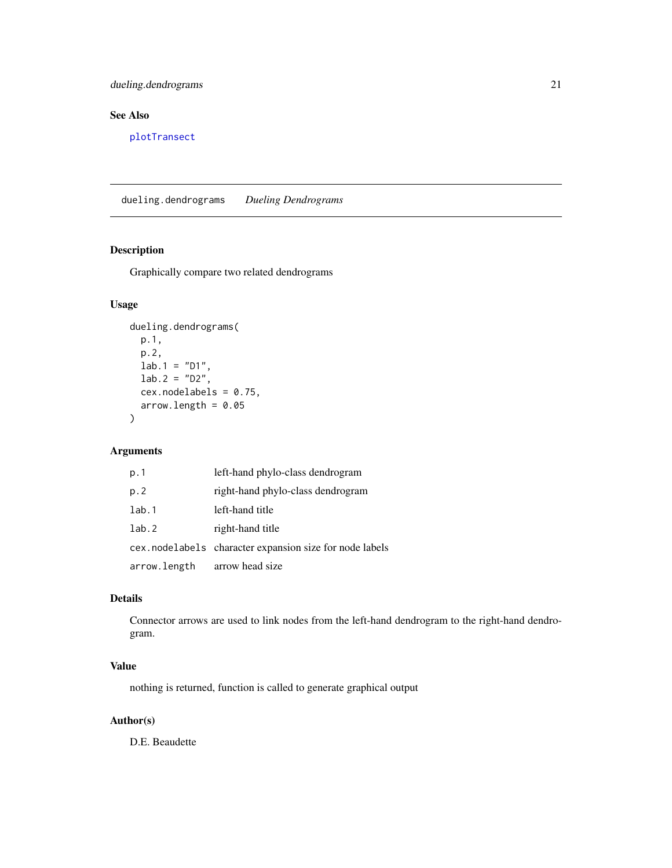### <span id="page-20-0"></span>dueling.dendrograms 21

### See Also

[plotTransect](#page-48-1)

dueling.dendrograms *Dueling Dendrograms*

### Description

Graphically compare two related dendrograms

### Usage

```
dueling.dendrograms(
 p.1,
 p.2,
 lab.1 = "D1",lab.2 = "D2",cex.nodelabels = 0.75,
 arrow.length = 0.05)
```
### Arguments

| p.1          | left-hand phylo-class dendrogram                        |
|--------------|---------------------------------------------------------|
| p.2          | right-hand phylo-class dendrogram                       |
| lab.1        | left-hand title                                         |
| lab.2        | right-hand title                                        |
|              | cex.nodelabels character expansion size for node labels |
| arrow.length | arrow head size                                         |

### Details

Connector arrows are used to link nodes from the left-hand dendrogram to the right-hand dendrogram.

### Value

nothing is returned, function is called to generate graphical output

### Author(s)

D.E. Beaudette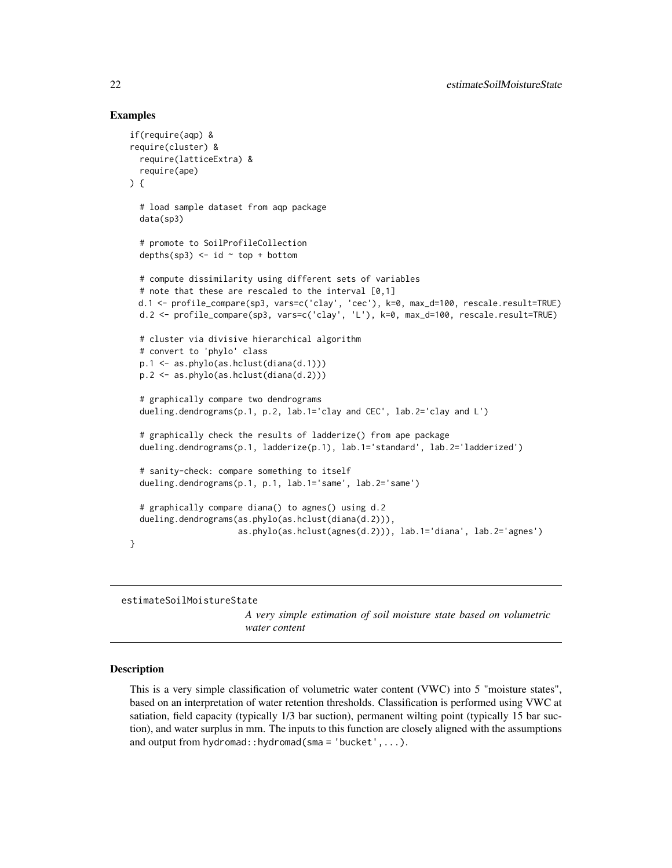#### Examples

```
if(require(aqp) &
require(cluster) &
 require(latticeExtra) &
 require(ape)
) {
 # load sample dataset from aqp package
 data(sp3)
 # promote to SoilProfileCollection
 depths(sp3) \le id \sim top + bottom
 # compute dissimilarity using different sets of variables
 # note that these are rescaled to the interval [0,1]
 d.1 <- profile_compare(sp3, vars=c('clay', 'cec'), k=0, max_d=100, rescale.result=TRUE)
 d.2 <- profile_compare(sp3, vars=c('clay', 'L'), k=0, max_d=100, rescale.result=TRUE)
 # cluster via divisive hierarchical algorithm
 # convert to 'phylo' class
 p.1 <- as.phylo(as.hclust(diana(d.1)))
 p.2 <- as.phylo(as.hclust(diana(d.2)))
 # graphically compare two dendrograms
 dueling.dendrograms(p.1, p.2, lab.1='clay and CEC', lab.2='clay and L')
 # graphically check the results of ladderize() from ape package
 dueling.dendrograms(p.1, ladderize(p.1), lab.1='standard', lab.2='ladderized')
 # sanity-check: compare something to itself
 dueling.dendrograms(p.1, p.1, lab.1='same', lab.2='same')
 # graphically compare diana() to agnes() using d.2
 dueling.dendrograms(as.phylo(as.hclust(diana(d.2))),
                      as.phylo(as.hclust(agnes(d.2))), lab.1='diana', lab.2='agnes')
}
```
<span id="page-21-1"></span>estimateSoilMoistureState

*A very simple estimation of soil moisture state based on volumetric water content*

#### **Description**

This is a very simple classification of volumetric water content (VWC) into 5 "moisture states", based on an interpretation of water retention thresholds. Classification is performed using VWC at satiation, field capacity (typically 1/3 bar suction), permanent wilting point (typically 15 bar suction), and water surplus in mm. The inputs to this function are closely aligned with the assumptions and output from hydromad::hydromad(sma = 'bucket',...).

<span id="page-21-0"></span>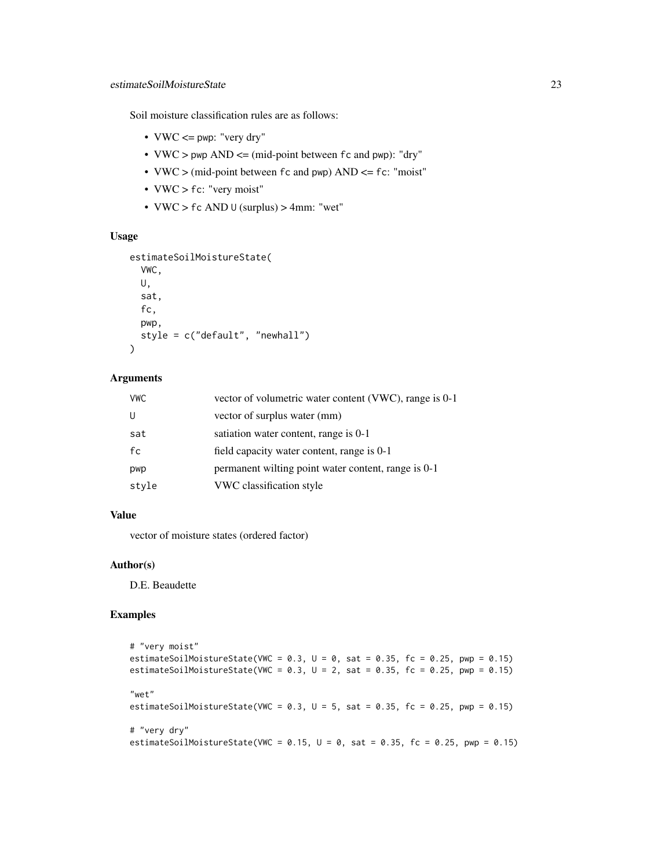Soil moisture classification rules are as follows:

- $VWC \leq pwp$ : "very dry"
- VWC > pwp AND <= (mid-point between fc and pwp): "dry"
- VWC > (mid-point between fc and pwp) AND <= fc: "moist"
- VWC > fc: "very moist"
- VWC >  $fc$  AND  $U$  (surplus) > 4mm: "wet"

### Usage

```
estimateSoilMoistureState(
  VWC,
  U,
  sat,
  fc,
  pwp,
  style = c("default", "newhall")
\lambda
```
#### Arguments

| <b>VWC</b> | vector of volumetric water content (VWC), range is 0-1 |
|------------|--------------------------------------------------------|
| U          | vector of surplus water (mm)                           |
| sat        | satiation water content, range is 0-1                  |
| fc         | field capacity water content, range is 0-1             |
| pwp        | permanent willing point water content, range is 0-1    |
| style      | VWC classification style                               |

#### Value

vector of moisture states (ordered factor)

#### Author(s)

D.E. Beaudette

### Examples

```
# "very moist"
estimateSoilMoistureState(VWC = 0.3, U = 0, sat = 0.35, fc = 0.25, pwp = 0.15)
estimateSoilMoistureState(VWC = 0.3, U = 2, sat = 0.35, fc = 0.25, pwp = 0.15)
"wet"
estimateSoilMoistureState(VWC = 0.3, U = 5, sat = 0.35, fc = 0.25, pwp = 0.15)
# "very dry"
estimateSoilMoistureState(VWC = 0.15, U = 0, sat = 0.35, fc = 0.25, pwp = 0.15)
```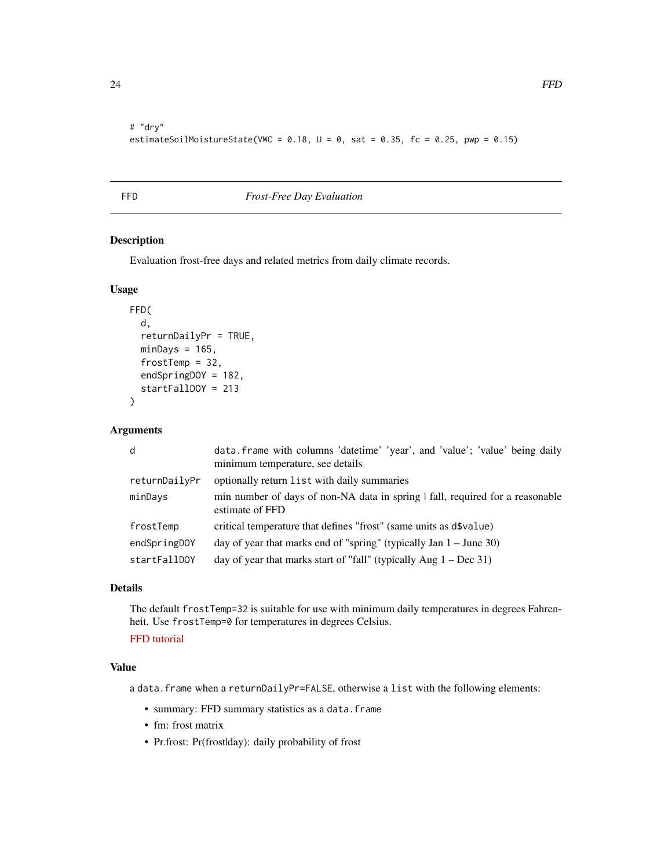<span id="page-23-0"></span># "dry" estimateSoilMoistureState(VWC =  $0.18$ ,  $U = 0$ , sat =  $0.35$ , fc = 0.25, pwp =  $0.15$ )

<span id="page-23-1"></span>

### FFD *Frost-Free Day Evaluation*

#### Description

Evaluation frost-free days and related metrics from daily climate records.

### Usage

```
FFD(
  d,
  returnDailyPr = TRUE,
 minDays = 165,frostTemp = 32,
  endSpringDOY = 182,
  startFallDOY = 213
```
)

#### Arguments

| d             | data. frame with columns 'datetime' 'year', and 'value'; 'value' being daily<br>minimum temperature, see details |
|---------------|------------------------------------------------------------------------------------------------------------------|
| returnDailyPr | optionally return list with daily summaries                                                                      |
| minDays       | min number of days of non-NA data in spring   fall, required for a reasonable<br>estimate of FFD                 |
| frostTemp     | critical temperature that defines "frost" (same units as d\$value)                                               |
| endSpringDOY  | day of year that marks end of "spring" (typically Jan $1 -$ June 30)                                             |
| startFallDOY  | day of year that marks start of "fall" (typically Aug $1 - Dec 31$ )                                             |

### Details

The default frostTemp=32 is suitable for use with minimum daily temperatures in degrees Fahrenheit. Use frostTemp=0 for temperatures in degrees Celsius.

### [FFD tutorial](http://ncss-tech.github.io/AQP/sharpshootR/FFD-estimates.html)

### Value

a data.frame when a returnDailyPr=FALSE, otherwise a list with the following elements:

- summary: FFD summary statistics as a data.frame
- fm: frost matrix
- Pr.frost: Pr(frostlday): daily probability of frost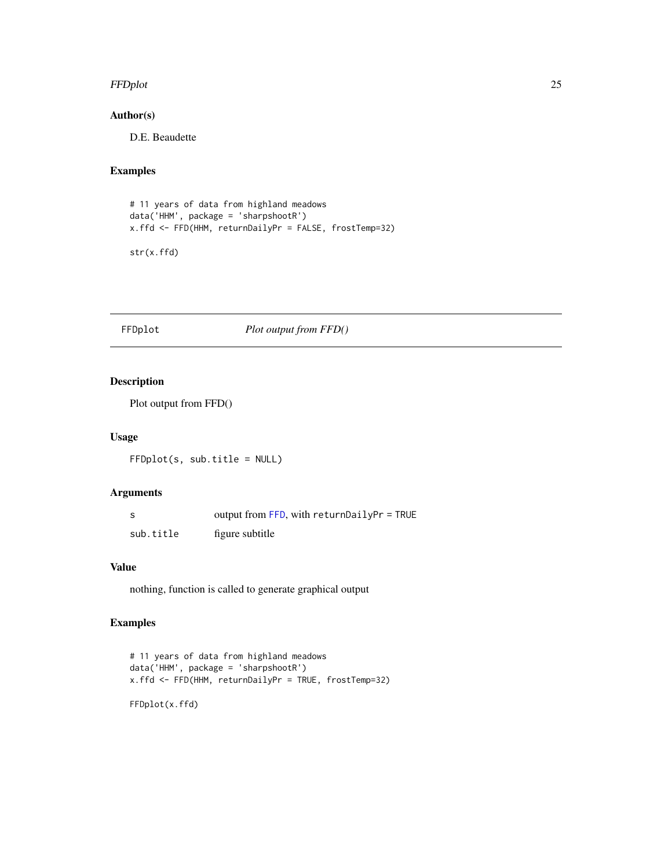#### <span id="page-24-0"></span>FFDplot 25

### Author(s)

D.E. Beaudette

### Examples

```
# 11 years of data from highland meadows
data('HHM', package = 'sharpshootR')
x.ffd <- FFD(HHM, returnDailyPr = FALSE, frostTemp=32)
```
str(x.ffd)

#### FFDplot *Plot output from FFD()*

### Description

Plot output from FFD()

#### Usage

FFDplot(s, sub.title = NULL)

### Arguments

| -S        | output from FFD, with returnDailyPr = TRUE |
|-----------|--------------------------------------------|
| sub.title | figure subtitle                            |

### Value

nothing, function is called to generate graphical output

### Examples

```
# 11 years of data from highland meadows
data('HHM', package = 'sharpshootR')
x.ffd <- FFD(HHM, returnDailyPr = TRUE, frostTemp=32)
```
FFDplot(x.ffd)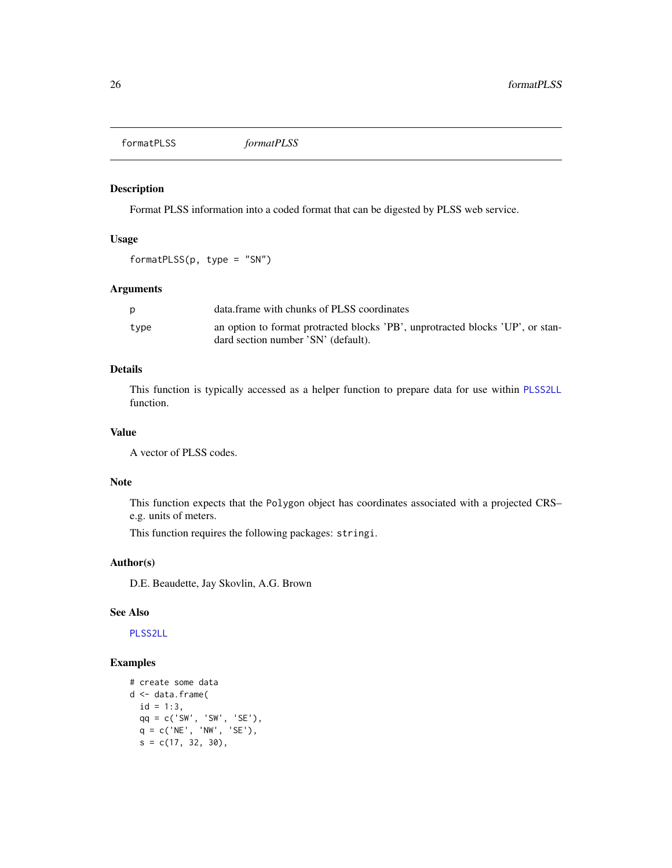<span id="page-25-1"></span><span id="page-25-0"></span>formatPLSS *formatPLSS*

### Description

Format PLSS information into a coded format that can be digested by PLSS web service.

### Usage

formatPLSS(p, type = "SN")

### Arguments

|      | data frame with chunks of PLSS coordinates                                     |
|------|--------------------------------------------------------------------------------|
| type | an option to format protracted blocks 'PB', unprotracted blocks 'UP', or stan- |
|      | dard section number 'SN' (default).                                            |

### Details

This function is typically accessed as a helper function to prepare data for use within [PLSS2LL](#page-54-1) function.

### Value

A vector of PLSS codes.

### Note

This function expects that the Polygon object has coordinates associated with a projected CRS– e.g. units of meters.

This function requires the following packages: stringi.

### Author(s)

D.E. Beaudette, Jay Skovlin, A.G. Brown

#### See Also

[PLSS2LL](#page-54-1)

### Examples

```
# create some data
d <- data.frame(
  id = 1:3,qq = c('SW', 'SW', 'SE'),
  q = c('NE', 'NW', 'SE'),
  s = c(17, 32, 30),
```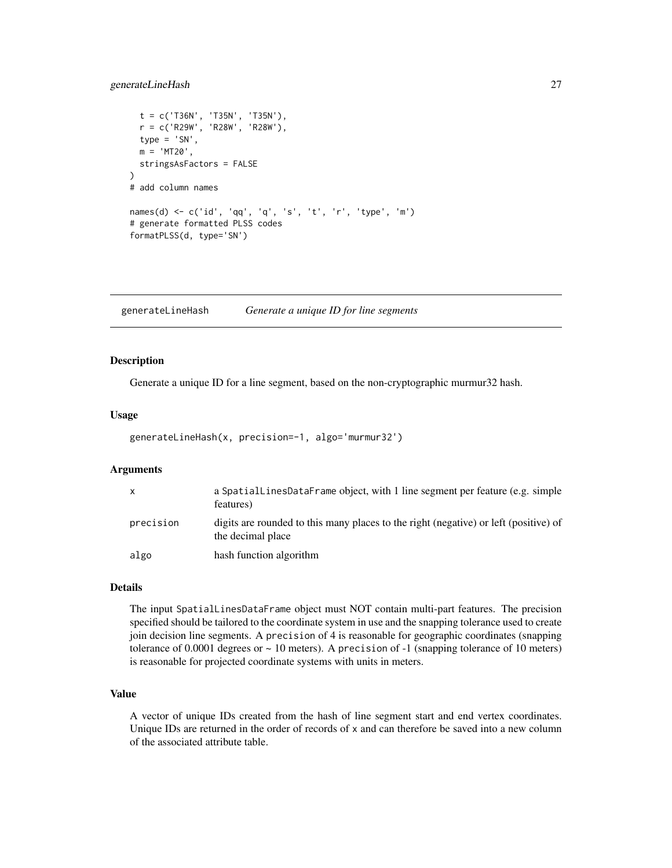### <span id="page-26-0"></span>generateLineHash 27

```
t = c('T36N', 'T35N', 'T35N'),r = c('R29W', 'R28W', 'R28W'),
 type = 'SN',
 m = 'MT20',stringsAsFactors = FALSE
)
# add column names
names(d) <- c('id', 'qq', 'q', 's', 't', 'r', 'type', 'm')
# generate formatted PLSS codes
formatPLSS(d, type='SN')
```
generateLineHash *Generate a unique ID for line segments*

### Description

Generate a unique ID for a line segment, based on the non-cryptographic murmur32 hash.

### Usage

```
generateLineHash(x, precision=-1, algo='murmur32')
```
### Arguments

| $\mathsf{x}$ | a SpatialLinesDataFrame object, with 1 line segment per feature (e.g. simple<br>features)                 |
|--------------|-----------------------------------------------------------------------------------------------------------|
| precision    | digits are rounded to this many places to the right (negative) or left (positive) of<br>the decimal place |
| algo         | hash function algorithm                                                                                   |

### Details

The input SpatialLinesDataFrame object must NOT contain multi-part features. The precision specified should be tailored to the coordinate system in use and the snapping tolerance used to create join decision line segments. A precision of 4 is reasonable for geographic coordinates (snapping tolerance of 0.0001 degrees or  $\sim$  10 meters). A precision of  $-1$  (snapping tolerance of 10 meters) is reasonable for projected coordinate systems with units in meters.

#### Value

A vector of unique IDs created from the hash of line segment start and end vertex coordinates. Unique IDs are returned in the order of records of x and can therefore be saved into a new column of the associated attribute table.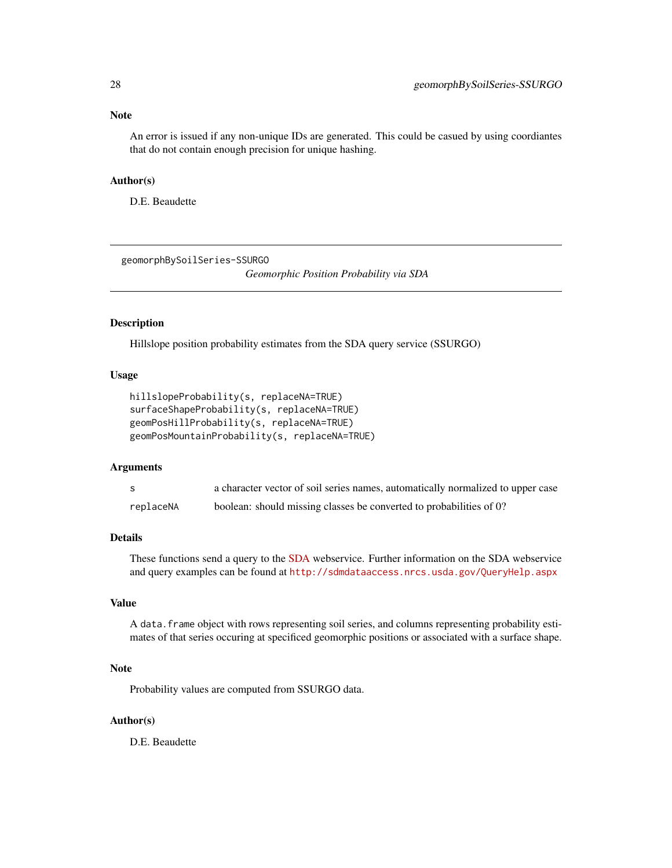<span id="page-27-0"></span>An error is issued if any non-unique IDs are generated. This could be casued by using coordiantes that do not contain enough precision for unique hashing.

### Author(s)

D.E. Beaudette

geomorphBySoilSeries-SSURGO

*Geomorphic Position Probability via SDA*

#### Description

Hillslope position probability estimates from the SDA query service (SSURGO)

#### Usage

```
hillslopeProbability(s, replaceNA=TRUE)
surfaceShapeProbability(s, replaceNA=TRUE)
geomPosHillProbability(s, replaceNA=TRUE)
geomPosMountainProbability(s, replaceNA=TRUE)
```
#### Arguments

|           | a character vector of soil series names, automatically normalized to upper case |
|-----------|---------------------------------------------------------------------------------|
| replaceNA | boolean: should missing classes be converted to probabilities of 0?             |

### Details

These functions send a query to the [SDA](http://sdmdataaccess.nrcs.usda.gov) webservice. Further information on the SDA webservice and query examples can be found at <http://sdmdataaccess.nrcs.usda.gov/QueryHelp.aspx>

### Value

A data.frame object with rows representing soil series, and columns representing probability estimates of that series occuring at specificed geomorphic positions or associated with a surface shape.

### Note

Probability values are computed from SSURGO data.

#### Author(s)

D.E. Beaudette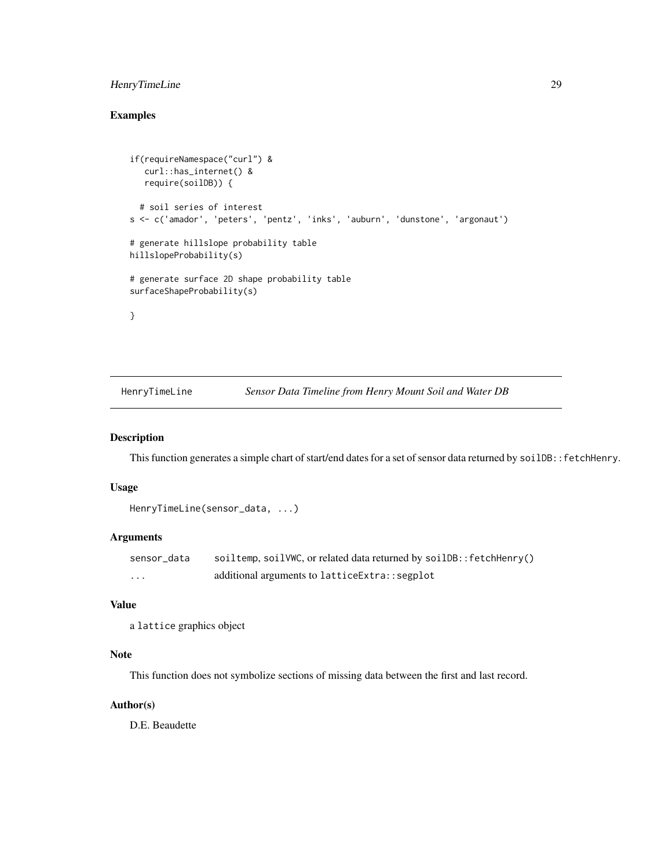### <span id="page-28-0"></span>HenryTimeLine 29

### Examples

```
if(requireNamespace("curl") &
   curl::has_internet() &
   require(soilDB)) {
  # soil series of interest
s <- c('amador', 'peters', 'pentz', 'inks', 'auburn', 'dunstone', 'argonaut')
# generate hillslope probability table
hillslopeProbability(s)
# generate surface 2D shape probability table
surfaceShapeProbability(s)
}
```
HenryTimeLine *Sensor Data Timeline from Henry Mount Soil and Water DB*

#### Description

This function generates a simple chart of start/end dates for a set of sensor data returned by soilDB::fetchHenry.

### Usage

```
HenryTimeLine(sensor_data, ...)
```
### Arguments

| sensor_data | soiltemp, soilVWC, or related data returned by soilDB:: fetchHenry() |
|-------------|----------------------------------------------------------------------|
| $\cdots$    | additional arguments to lattice Extra: : segplot                     |

#### Value

```
a lattice graphics object
```
### Note

This function does not symbolize sections of missing data between the first and last record.

### Author(s)

D.E. Beaudette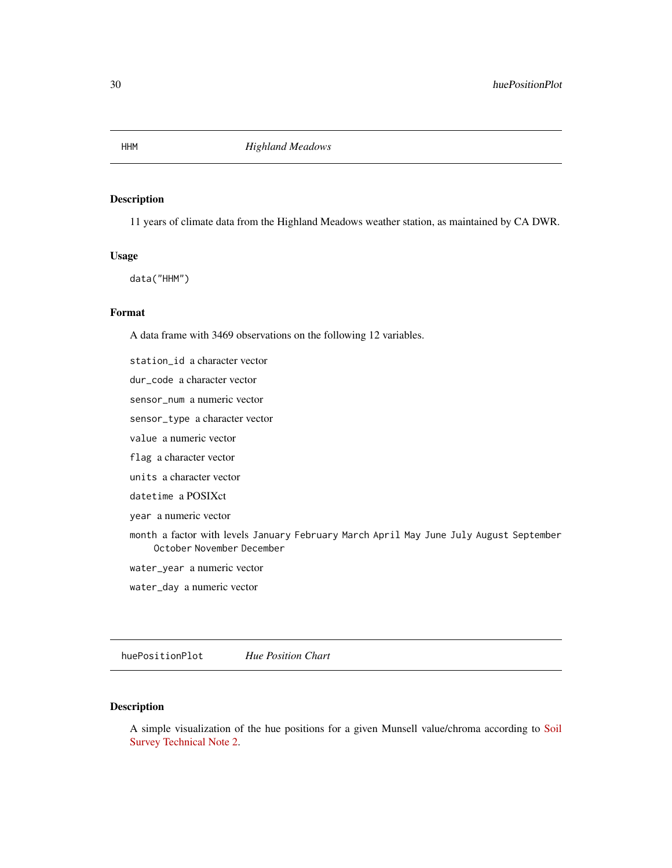### Description

11 years of climate data from the Highland Meadows weather station, as maintained by CA DWR.

#### Usage

data("HHM")

### Format

A data frame with 3469 observations on the following 12 variables.

station\_id a character vector

dur\_code a character vector

sensor\_num a numeric vector

sensor\_type a character vector

value a numeric vector

flag a character vector

units a character vector

datetime a POSIXct

year a numeric vector

month a factor with levels January February March April May June July August September October November December

water\_year a numeric vector

water\_day a numeric vector

huePositionPlot *Hue Position Chart*

### Description

A simple visualization of the hue positions for a given Munsell value/chroma according to [Soil](https://www.nrcs.usda.gov/wps/portal/nrcs/detail/soils/ref/?cid=nrcs142p2_053569) [Survey Technical Note 2.](https://www.nrcs.usda.gov/wps/portal/nrcs/detail/soils/ref/?cid=nrcs142p2_053569)

<span id="page-29-0"></span>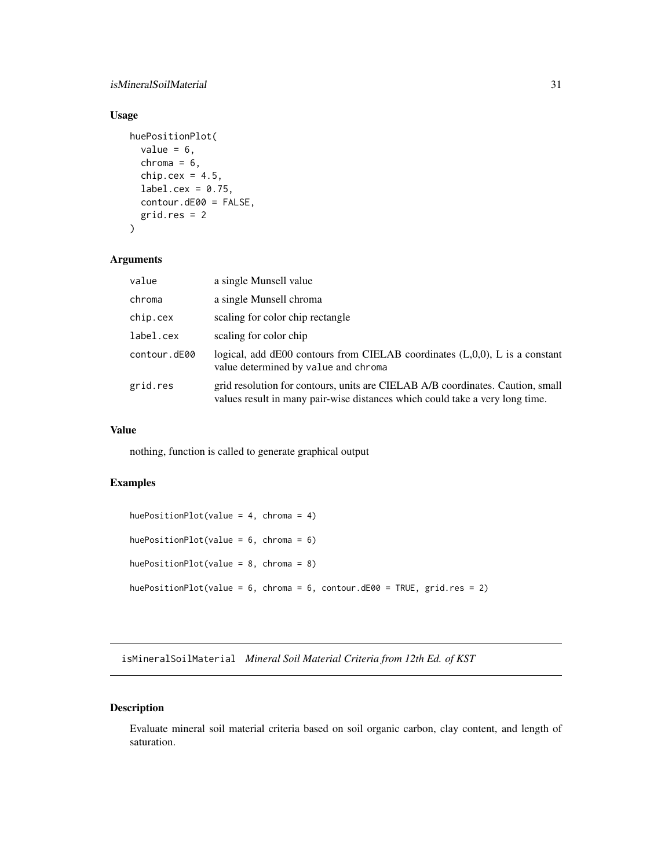### <span id="page-30-0"></span>isMineralSoilMaterial 31

### Usage

```
huePositionPlot(
  value = 6,
  chroma = 6,
  chip.cex = 4.5,
  label.cex = 0.75,
  contour.dE00 = FALSE,
  grid.res = 2
\mathcal{L}
```
### Arguments

| value        | a single Munsell value                                                                                                                                         |
|--------------|----------------------------------------------------------------------------------------------------------------------------------------------------------------|
| chroma       | a single Munsell chroma                                                                                                                                        |
| chip.cex     | scaling for color chip rectangle                                                                                                                               |
| label.cex    | scaling for color chip                                                                                                                                         |
| contour.dE00 | logical, add $dE00$ contours from CIELAB coordinates $(L,0,0)$ , L is a constant<br>value determined by value and chroma                                       |
| grid.res     | grid resolution for contours, units are CIELAB A/B coordinates. Caution, small<br>values result in many pair-wise distances which could take a very long time. |

#### Value

nothing, function is called to generate graphical output

### Examples

```
huePositionPlot(value = 4, chroma = 4)
huePositionPlot(value = 6, chroma = 6)
huePositionPlot(value = 8, chroma = 8)
huePositionPlot(value = 6, chroma = 6, contour.dE00 = TRUE, grid.res = 2)
```
isMineralSoilMaterial *Mineral Soil Material Criteria from 12th Ed. of KST*

### Description

Evaluate mineral soil material criteria based on soil organic carbon, clay content, and length of saturation.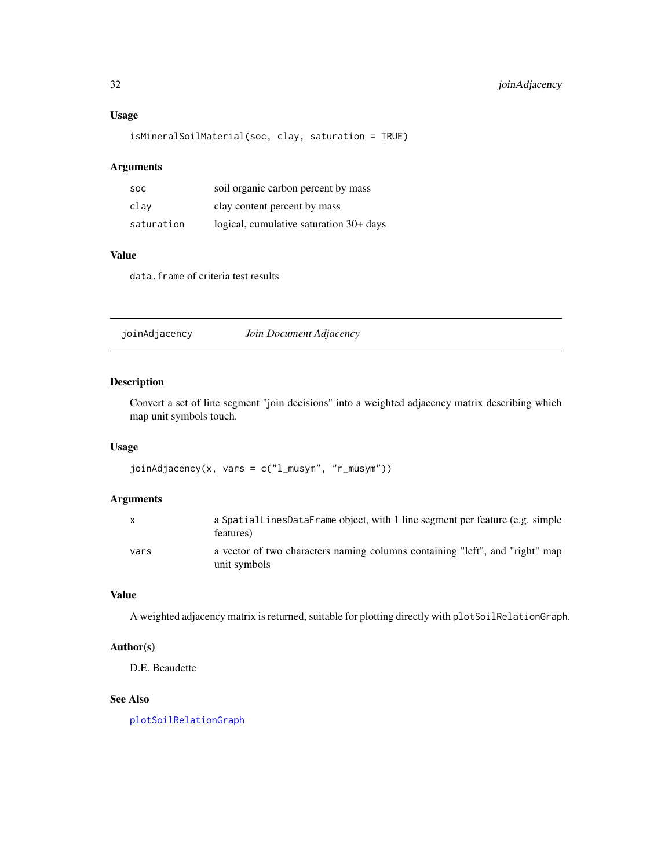### <span id="page-31-0"></span>Usage

```
isMineralSoilMaterial(soc, clay, saturation = TRUE)
```
#### Arguments

| <b>SOC</b> | soil organic carbon percent by mass     |
|------------|-----------------------------------------|
| clav       | clay content percent by mass            |
| saturation | logical, cumulative saturation 30+ days |

### Value

data.frame of criteria test results

joinAdjacency *Join Document Adjacency*

### Description

Convert a set of line segment "join decisions" into a weighted adjacency matrix describing which map unit symbols touch.

### Usage

joinAdjacency(x, vars = c("l\_musym", "r\_musym"))

### Arguments

|      | a SpatialLinesDataFrame object, with 1 line segment per feature (e.g. simple<br>features)    |
|------|----------------------------------------------------------------------------------------------|
| vars | a vector of two characters naming columns containing "left", and "right" map<br>unit symbols |

### Value

A weighted adjacency matrix is returned, suitable for plotting directly with plotSoilRelationGraph.

### Author(s)

D.E. Beaudette

### See Also

[plotSoilRelationGraph](#page-45-1)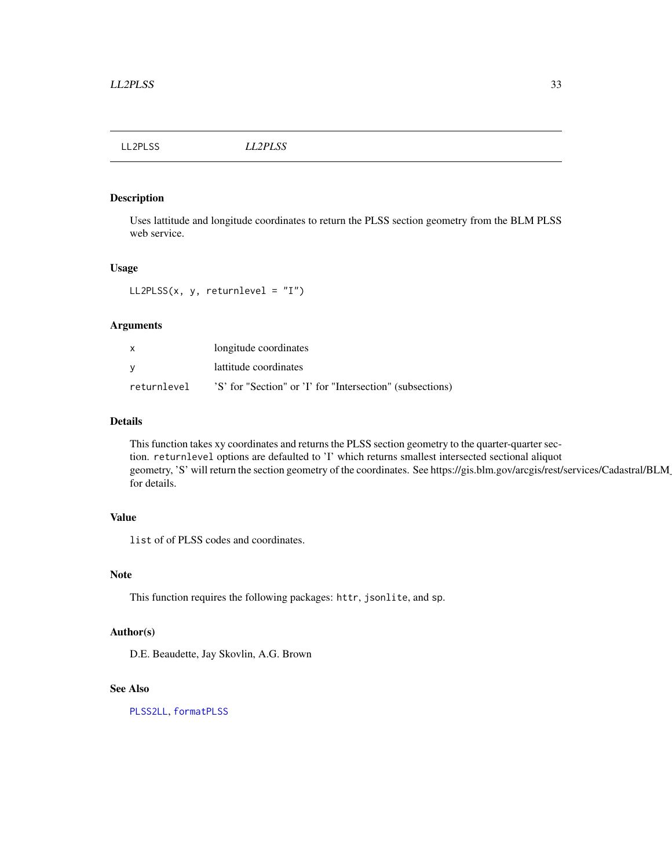<span id="page-32-0"></span>LL2PLSS *LL2PLSS*

### Description

Uses lattitude and longitude coordinates to return the PLSS section geometry from the BLM PLSS web service.

#### Usage

LL2PLSS $(x, y,$  returnlevel = "I")

### Arguments

| $\mathsf{x}$ | longitude coordinates                                     |
|--------------|-----------------------------------------------------------|
| - V          | lattitude coordinates                                     |
| returnlevel  | 'S' for "Section" or 'I' for "Intersection" (subsections) |

### Details

This function takes xy coordinates and returns the PLSS section geometry to the quarter-quarter section. returnlevel options are defaulted to 'I' which returns smallest intersected sectional aliquot geometry, 'S' will return the section geometry of the coordinates. See https://gis.blm.gov/arcgis/rest/services/Cadastral/BLM for details.

### Value

list of of PLSS codes and coordinates.

### Note

This function requires the following packages: httr, jsonlite, and sp.

### Author(s)

D.E. Beaudette, Jay Skovlin, A.G. Brown

### See Also

[PLSS2LL](#page-54-1), [formatPLSS](#page-25-1)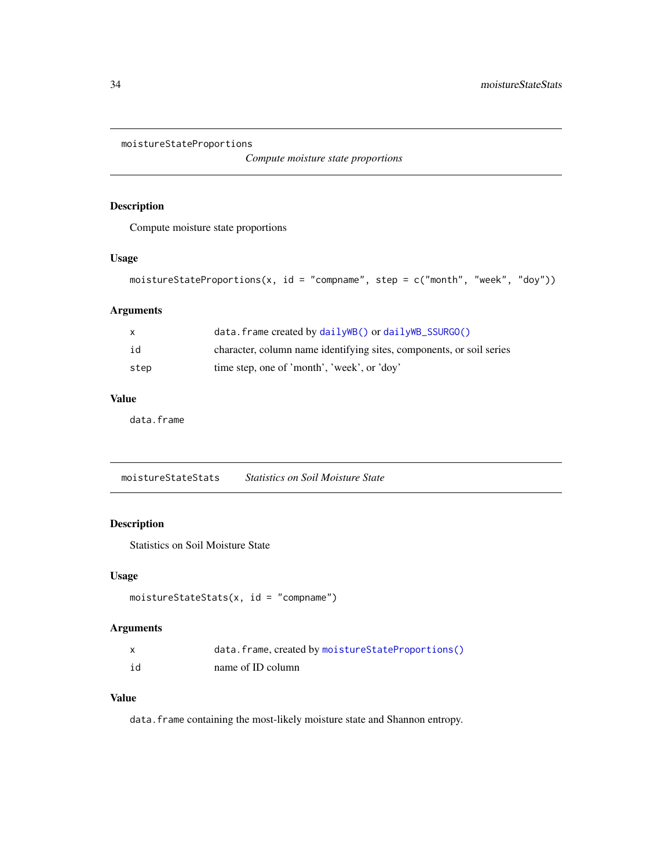<span id="page-33-1"></span><span id="page-33-0"></span>moistureStateProportions

*Compute moisture state proportions*

### Description

Compute moisture state proportions

### Usage

```
moistureStateProportions(x, id = "compname", step = c("month", "week", "doy"))
```
### Arguments

| X    | $data.$ frame created by $dailyWB()$ or $dailyWB\_SSURGO()$          |
|------|----------------------------------------------------------------------|
| id   | character, column name identifying sites, components, or soil series |
| step | time step, one of 'month', 'week', or 'doy'                          |

### Value

data.frame

moistureStateStats *Statistics on Soil Moisture State*

### Description

Statistics on Soil Moisture State

### Usage

```
moistureStateStats(x, id = "compname")
```
### Arguments

|    | data.frame, created by moistureStateProportions() |
|----|---------------------------------------------------|
| id | name of ID column                                 |

### Value

data. frame containing the most-likely moisture state and Shannon entropy.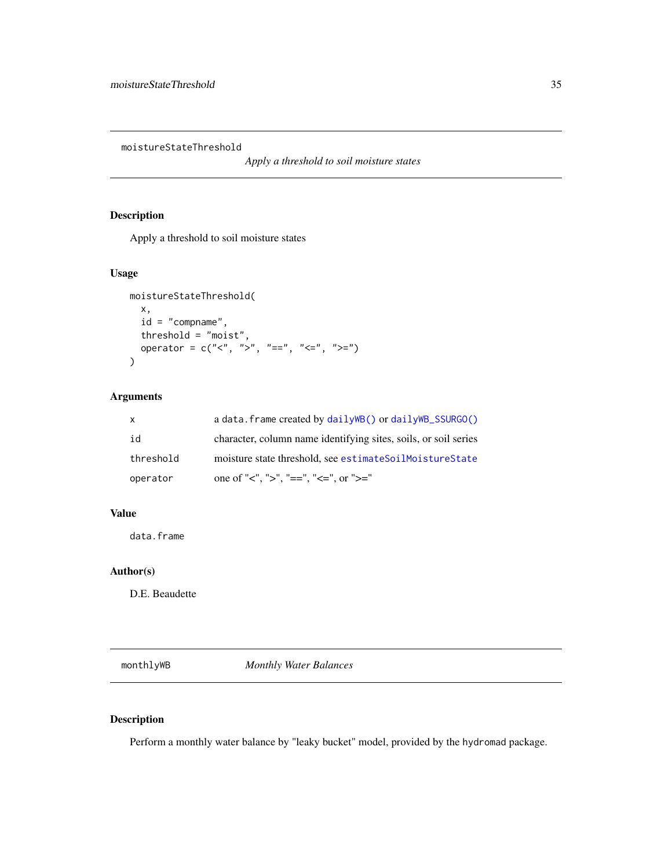<span id="page-34-0"></span>moistureStateThreshold

*Apply a threshold to soil moisture states*

### Description

Apply a threshold to soil moisture states

### Usage

```
moistureStateThreshold(
 x,
 id = "compname",
 threshold = "moist",
 operator = c("<", ">", "==", "<=", ">="))
```
### Arguments

| $\mathsf{x}$ | a data. frame created by $dailyWB()$ or $dailyWB\_SSURGO()$     |
|--------------|-----------------------------------------------------------------|
| id           | character, column name identifying sites, soils, or soil series |
| threshold    | moisture state threshold, see estimateSoilMoistureState         |
| operator     | one of "<", ">", "==", "<=", or ">="                            |

### Value

data.frame

### Author(s)

D.E. Beaudette

monthlyWB *Monthly Water Balances*

### Description

Perform a monthly water balance by "leaky bucket" model, provided by the hydromad package.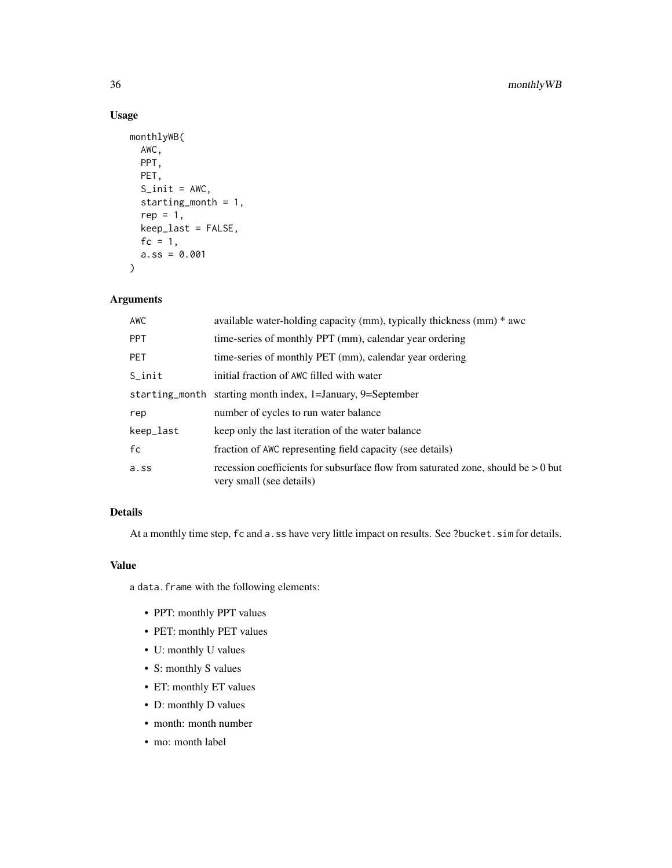### Usage

```
monthlyWB(
  AWC,
  PPT,
  PET,
  S\_init = AWC,starting_month = 1,
  rep = 1,keep_last = FALSE,
  fc = 1,
  a.ss = 0.001\mathcal{L}
```
### Arguments

| <b>AWC</b> | available water-holding capacity (mm), typically thickness (mm) $*$ awc                                         |
|------------|-----------------------------------------------------------------------------------------------------------------|
| <b>PPT</b> | time-series of monthly PPT (mm), calendar year ordering                                                         |
| <b>PET</b> | time-series of monthly PET (mm), calendar year ordering                                                         |
| $S_$ init  | initial fraction of AWC filled with water                                                                       |
|            | starting_month starting month index, 1=January, 9=September                                                     |
| rep        | number of cycles to run water balance                                                                           |
| keep_last  | keep only the last iteration of the water balance                                                               |
| fc         | fraction of AWC representing field capacity (see details)                                                       |
| a.ss       | recession coefficients for subsurface flow from saturated zone, should be $> 0$ but<br>very small (see details) |

## Details

At a monthly time step, fc and a.ss have very little impact on results. See ?bucket.sim for details.

### Value

a data.frame with the following elements:

- PPT: monthly PPT values
- PET: monthly PET values
- U: monthly U values
- S: monthly S values
- ET: monthly ET values
- D: monthly D values
- month: month number
- mo: month label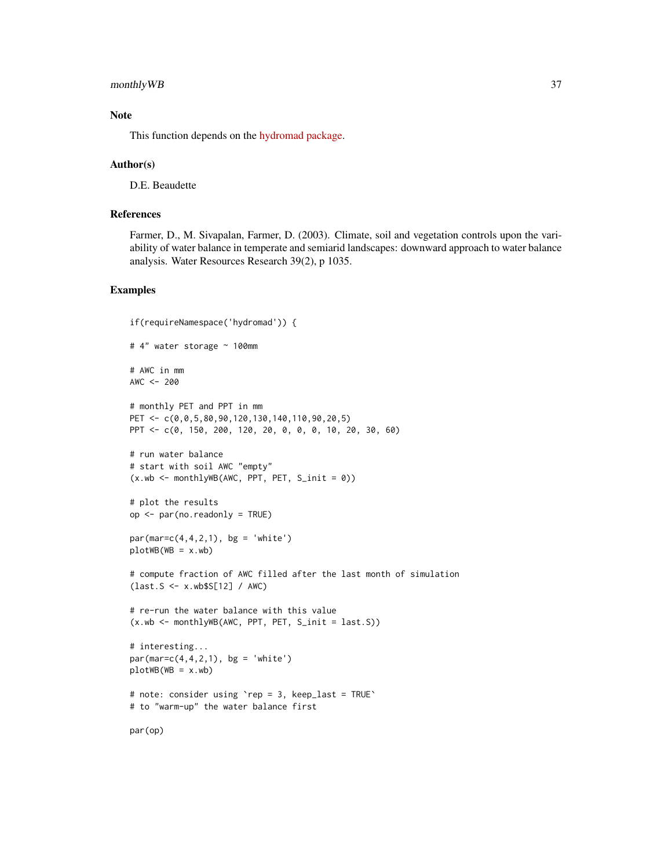#### monthly WB 37

# Note

This function depends on the [hydromad package.](http://hydromad.catchment.org/)

#### Author(s)

D.E. Beaudette

#### References

Farmer, D., M. Sivapalan, Farmer, D. (2003). Climate, soil and vegetation controls upon the variability of water balance in temperate and semiarid landscapes: downward approach to water balance analysis. Water Resources Research 39(2), p 1035.

# Examples

```
if(requireNamespace('hydromad')) {
# 4" water storage ~ 100mm
# AWC in mm
AWC < - 200# monthly PET and PPT in mm
PET <- c(0,0,5,80,90,120,130,140,110,90,20,5)
PPT <- c(0, 150, 200, 120, 20, 0, 0, 0, 10, 20, 30, 60)
# run water balance
# start with soil AWC "empty"
(x.wb < - monthlyWB(AWC, PPT, PET, S_init = 0))
# plot the results
op <- par(no.readonly = TRUE)
par(max=c(4,4,2,1), bg = 'white')plotWB(WB = x.wb)# compute fraction of AWC filled after the last month of simulation
(last.S <- x.wb$S[12] / AWC)
# re-run the water balance with this value
(x.wb <- monthlyWB(AWC, PPT, PET, S_init = last.S))
# interesting...
par(max=c(4,4,2,1), bg = 'white')plotWB(WB = x.wb)# note: consider using `rep = 3, keep_last = TRUE`
# to "warm-up" the water balance first
par(op)
```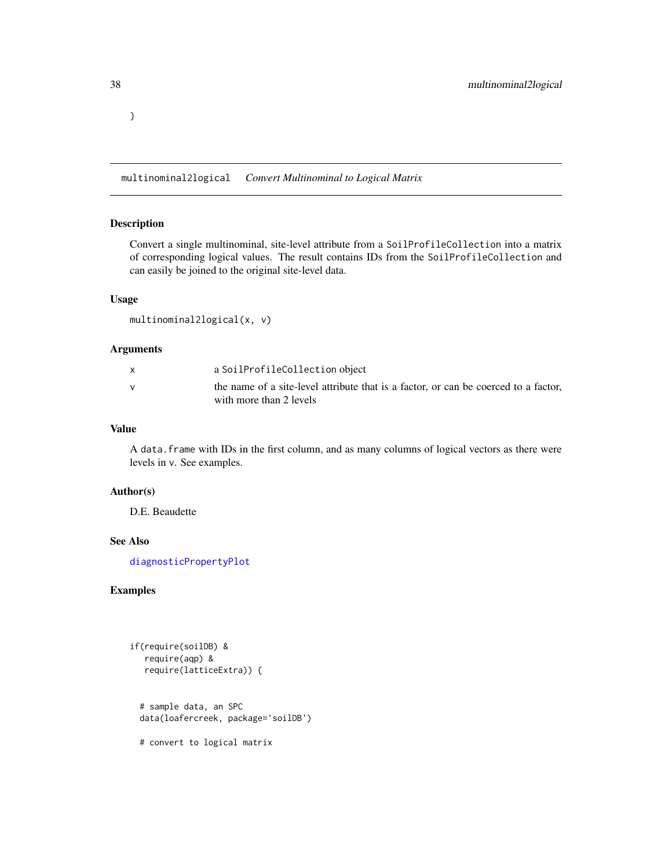<span id="page-37-0"></span>}

multinominal2logical *Convert Multinominal to Logical Matrix*

## Description

Convert a single multinominal, site-level attribute from a SoilProfileCollection into a matrix of corresponding logical values. The result contains IDs from the SoilProfileCollection and can easily be joined to the original site-level data.

#### Usage

```
multinominal2logical(x, v)
```
# Arguments

| a SoilProfileCollection object                                                                                 |
|----------------------------------------------------------------------------------------------------------------|
| the name of a site-level attribute that is a factor, or can be coerced to a factor,<br>with more than 2 levels |

## Value

A data.frame with IDs in the first column, and as many columns of logical vectors as there were levels in v. See examples.

#### Author(s)

D.E. Beaudette

#### See Also

[diagnosticPropertyPlot](#page-15-0)

# Examples

```
if(require(soilDB) &
  require(aqp) &
  require(latticeExtra)) {
 # sample data, an SPC
 data(loafercreek, package='soilDB')
 # convert to logical matrix
```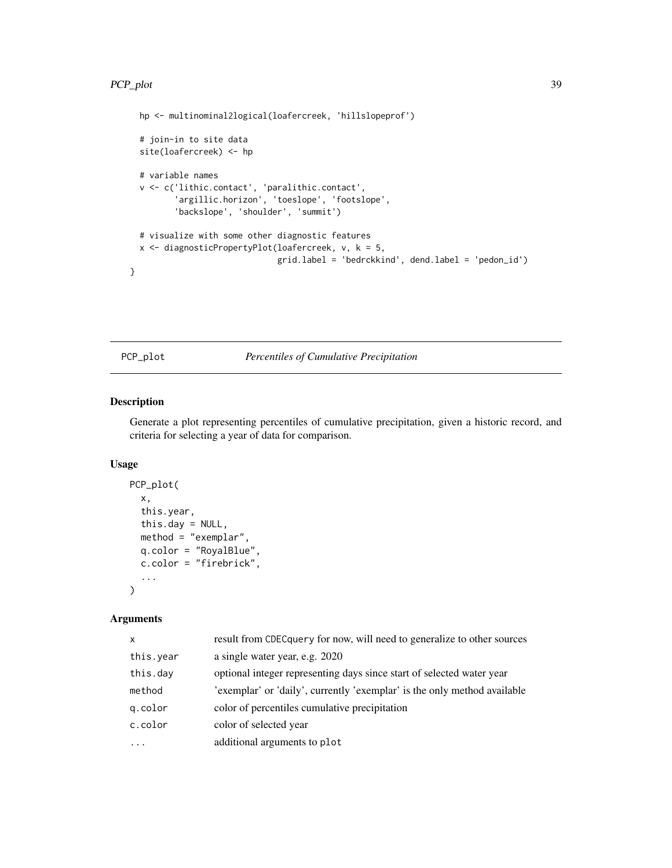```
hp <- multinominal2logical(loafercreek, 'hillslopeprof')
 # join-in to site data
 site(loafercreek) <- hp
 # variable names
 v <- c('lithic.contact', 'paralithic.contact',
         'argillic.horizon', 'toeslope', 'footslope',
         'backslope', 'shoulder', 'summit')
 # visualize with some other diagnostic features
 x <- diagnosticPropertyPlot(loafercreek, v, k = 5,
                             grid.label = 'bedrckkind', dend.label = 'pedon_id')
}
```
# PCP\_plot *Percentiles of Cumulative Precipitation*

# Description

Generate a plot representing percentiles of cumulative precipitation, given a historic record, and criteria for selecting a year of data for comparison.

# Usage

```
PCP_plot(
  x,
  this.year,
  this.day = NULL,
 method = "exemplar",
  q.color = "RoyalBlue",
  c.color = "firebrick",
  ...
)
```

| X         | result from CDEC query for now, will need to generalize to other sources |
|-----------|--------------------------------------------------------------------------|
| this.year | a single water year, e.g. 2020                                           |
| this.day  | optional integer representing days since start of selected water year    |
| method    | 'exemplar' or 'daily', currently 'exemplar' is the only method available |
| q.color   | color of percentiles cumulative precipitation                            |
| c.color   | color of selected year                                                   |
| $\cdot$   | additional arguments to plot                                             |
|           |                                                                          |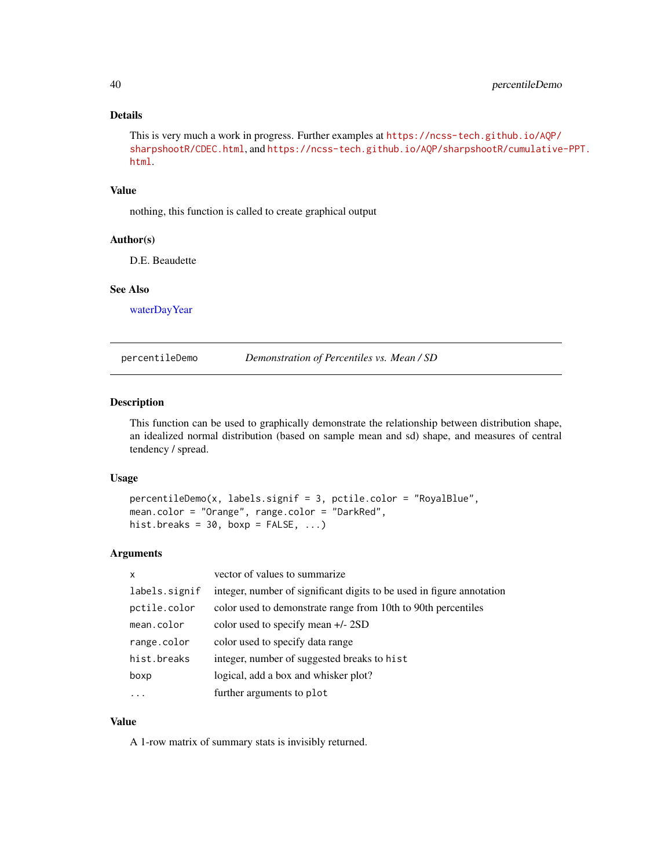# <span id="page-39-0"></span>Details

This is very much a work in progress. Further examples at [https://ncss-tech.github.io/AQP/](https://ncss-tech.github.io/AQP/sharpshootR/CDEC.html) [sharpshootR/CDEC.html](https://ncss-tech.github.io/AQP/sharpshootR/CDEC.html), and [https://ncss-tech.github.io/AQP/sharpshootR/cumulative](https://ncss-tech.github.io/AQP/sharpshootR/cumulative-PPT.html)-PPT. [html](https://ncss-tech.github.io/AQP/sharpshootR/cumulative-PPT.html).

#### Value

nothing, this function is called to create graphical output

#### Author(s)

D.E. Beaudette

#### See Also

[waterDayYear](#page-0-0)

percentileDemo *Demonstration of Percentiles vs. Mean / SD*

#### Description

This function can be used to graphically demonstrate the relationship between distribution shape, an idealized normal distribution (based on sample mean and sd) shape, and measures of central tendency / spread.

#### Usage

```
percentileDemo(x, labels.signif = 3, pctile.color = "RoyalBlue",
mean.color = "Orange", range.color = "DarkRed",
hist.breaks = 30, boxp = FALSE, ...)
```
#### Arguments

| $\boldsymbol{\mathsf{x}}$ | vector of values to summarize                                         |
|---------------------------|-----------------------------------------------------------------------|
| labels.signif             | integer, number of significant digits to be used in figure annotation |
| pctile.color              | color used to demonstrate range from 10th to 90th percentiles         |
| mean.color                | color used to specify mean $+/- 2SD$                                  |
| range.color               | color used to specify data range                                      |
| hist.breaks               | integer, number of suggested breaks to hist                           |
| boxp                      | logical, add a box and whisker plot?                                  |
| .                         | further arguments to plot                                             |

#### Value

A 1-row matrix of summary stats is invisibly returned.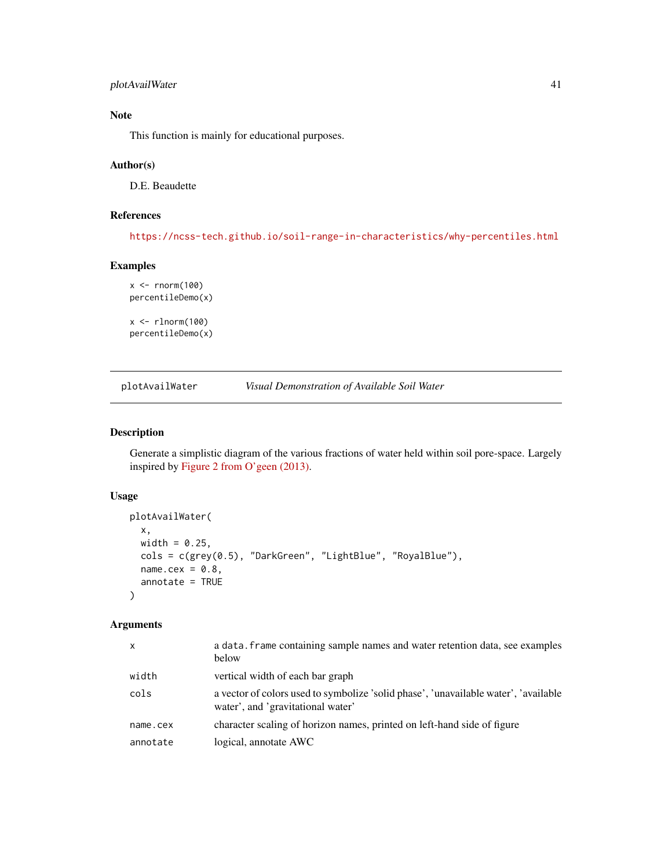# plotAvailWater 41

# Note

This function is mainly for educational purposes.

# Author(s)

D.E. Beaudette

# References

<https://ncss-tech.github.io/soil-range-in-characteristics/why-percentiles.html>

# Examples

```
x < - rnorm(100)
percentileDemo(x)
x < - rlnorm(100)
```
percentileDemo(x)

plotAvailWater *Visual Demonstration of Available Soil Water*

# Description

Generate a simplistic diagram of the various fractions of water held within soil pore-space. Largely inspired by [Figure 2 from O'geen \(2013\).](https://www.nature.com/scitable/knowledge/library/soil-water-dynamics-103089121/)

## Usage

```
plotAvailWater(
  x,
 width = 0.25,
 cols = c(grey(0.5), "DarkGreen", "LightBlue", "RoyalBlue"),
 name.cex = 0.8,
  annotate = TRUE
)
```

| $\mathsf{x}$ | a data. frame containing sample names and water retention data, see examples<br>below                                    |
|--------------|--------------------------------------------------------------------------------------------------------------------------|
| width        | vertical width of each bar graph                                                                                         |
| cols         | a vector of colors used to symbolize 'solid phase', 'unavailable water', 'available<br>water', and 'gravitational water' |
| name.cex     | character scaling of horizon names, printed on left-hand side of figure                                                  |
| annotate     | logical, annotate AWC                                                                                                    |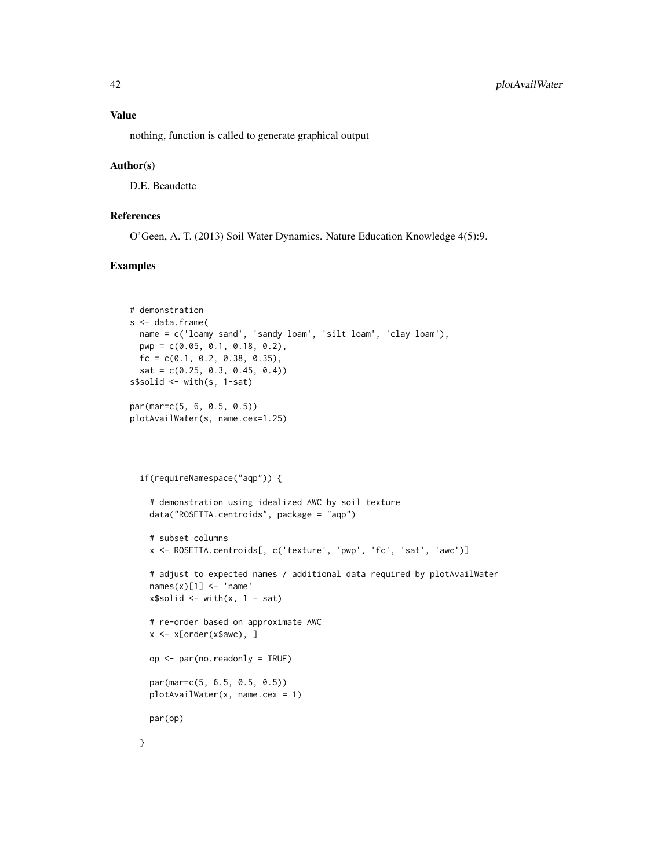# Value

nothing, function is called to generate graphical output

#### Author(s)

D.E. Beaudette

# References

O'Geen, A. T. (2013) Soil Water Dynamics. Nature Education Knowledge 4(5):9.

# Examples

```
# demonstration
s <- data.frame(
 name = c('loamy sand', 'sandy loam', 'silt loam', 'clay loam'),
 pwp = c(0.05, 0.1, 0.18, 0.2),
 fc = c(0.1, 0.2, 0.38, 0.35),
 sat = c(0.25, 0.3, 0.45, 0.4))s$solid <- with(s, 1-sat)
par(mar=c(5, 6, 0.5, 0.5))
plotAvailWater(s, name.cex=1.25)
 if(requireNamespace("aqp")) {
    # demonstration using idealized AWC by soil texture
   data("ROSETTA.centroids", package = "aqp")
    # subset columns
   x <- ROSETTA.centroids[, c('texture', 'pwp', 'fc', 'sat', 'awc')]
   # adjust to expected names / additional data required by plotAvailWater
   names(x)[1] <- 'name'
   x$solid \leq with(x, 1 - sat)
   # re-order based on approximate AWC
   x <- x[order(x$awc), ]
   op <- par(no.readonly = TRUE)
   par(mar=c(5, 6.5, 0.5, 0.5))
   plotAvailWater(x, name.cex = 1)
   par(op)
```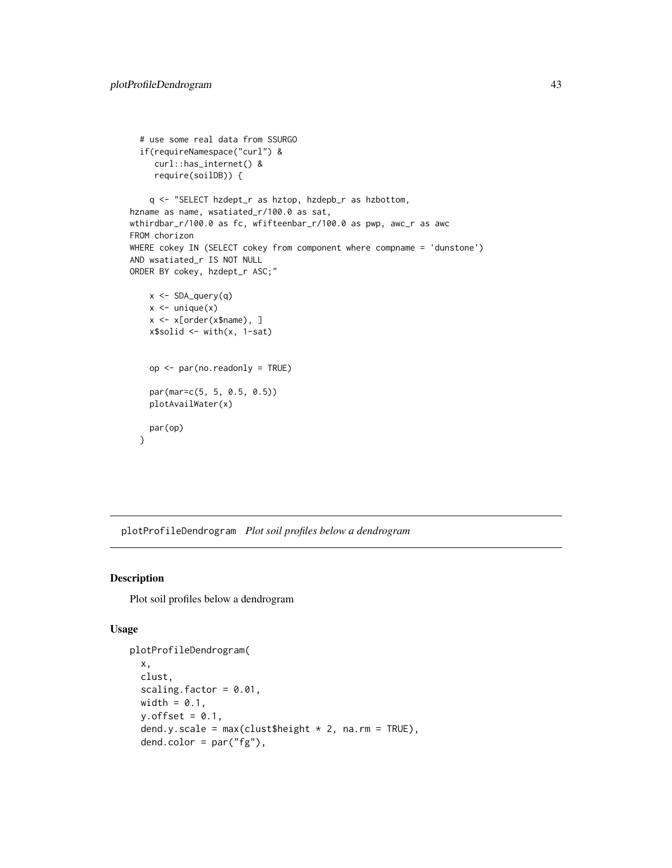```
# use some real data from SSURGO
  if(requireNamespace("curl") &
     curl::has_internet() &
     require(soilDB)) {
    q <- "SELECT hzdept_r as hztop, hzdepb_r as hzbottom,
hzname as name, wsatiated_r/100.0 as sat,
wthirdbar_r/100.0 as fc, wfifteenbar_r/100.0 as pwp, awc_r as awc
FROM chorizon
WHERE cokey IN (SELECT cokey from component where compname = 'dunstone')
AND wsatiated_r IS NOT NULL
ORDER BY cokey, hzdept_r ASC;"
   x <- SDA_query(q)
   x \leftarrow unique(x)x <- x[order(x$name), ]
   x$solid <- with(x, 1-sat)
    op <- par(no.readonly = TRUE)
   par(mar=c(5, 5, 0.5, 0.5))
   plotAvailWater(x)
    par(op)
  }
```
plotProfileDendrogram *Plot soil profiles below a dendrogram*

# Description

Plot soil profiles below a dendrogram

# Usage

```
plotProfileDendrogram(
  x,
  clust,
  scaling.factor = 0.01,
 width = 0.1,
  y.offset = 0.1,
  dend.y.scale = max(clust$height * 2, na.rm = TRUE),dend.color = par("fg"),
```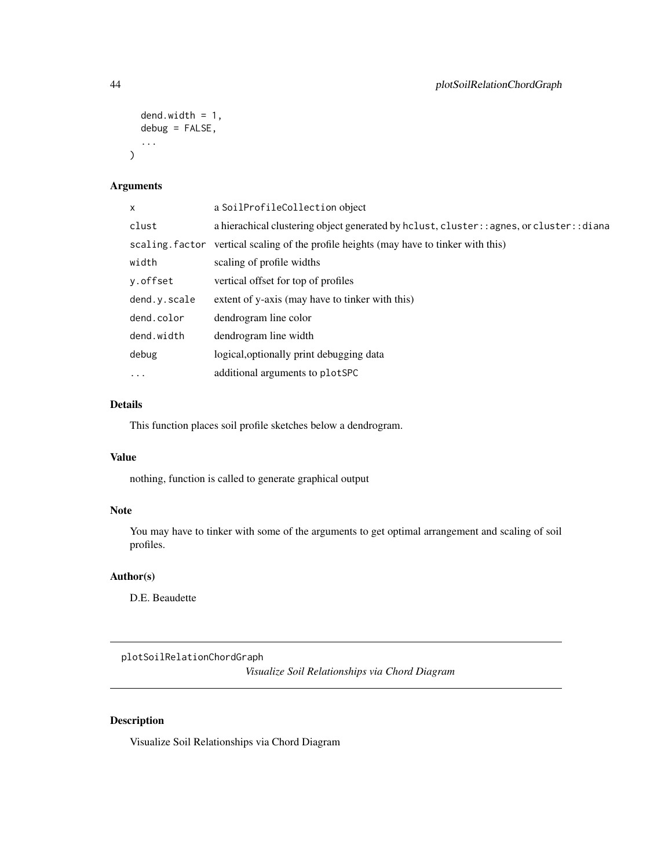```
dend.width = 1,
  debug = FALSE,
  ...
\mathcal{L}
```
# Arguments

| X            | a SoilProfileCollection object                                                             |
|--------------|--------------------------------------------------------------------------------------------|
| clust        | a hierachical clustering object generated by hclust, cluster: : agnes, or cluster: : diana |
|              | scaling. factor vertical scaling of the profile heights (may have to tinker with this)     |
| width        | scaling of profile widths                                                                  |
| v.offset     | vertical offset for top of profiles                                                        |
| dend.y.scale | extent of y-axis (may have to tinker with this)                                            |
| dend.color   | dendrogram line color                                                                      |
| dend.width   | dendrogram line width                                                                      |
| debug        | logical, optionally print debugging data                                                   |
| $\cdots$     | additional arguments to plotSPC                                                            |

# Details

This function places soil profile sketches below a dendrogram.

# Value

nothing, function is called to generate graphical output

# Note

You may have to tinker with some of the arguments to get optimal arrangement and scaling of soil profiles.

# Author(s)

D.E. Beaudette

plotSoilRelationChordGraph

*Visualize Soil Relationships via Chord Diagram*

# Description

Visualize Soil Relationships via Chord Diagram

<span id="page-43-0"></span>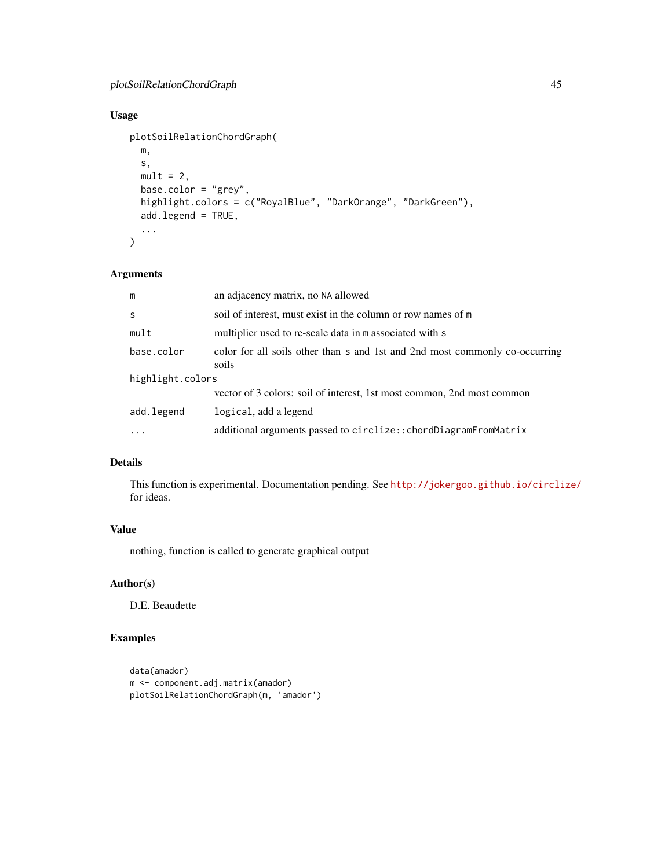# Usage

```
plotSoilRelationChordGraph(
  m,
  s,
  mult = 2,
  base.color = "grey",
  highlight.colors = c("RoyalBlue", "DarkOrange", "DarkGreen"),
  add.legend = TRUE,
  ...
\overline{\phantom{a}}
```
#### Arguments

| m                | an adjacency matrix, no NA allowed                                                   |  |
|------------------|--------------------------------------------------------------------------------------|--|
| S                | soil of interest, must exist in the column or row names of m                         |  |
| mult             | multiplier used to re-scale data in m associated with s                              |  |
| base.color       | color for all soils other than s and 1st and 2nd most commonly co-occurring<br>soils |  |
| highlight.colors |                                                                                      |  |
|                  | vector of 3 colors: soil of interest, 1st most common, 2nd most common               |  |
| add.legend       | logical, add a legend                                                                |  |
| $\cdot$          | additional arguments passed to circlize:: chordDiagramFromMatrix                     |  |

# Details

This function is experimental. Documentation pending. See <http://jokergoo.github.io/circlize/> for ideas.

# Value

nothing, function is called to generate graphical output

# Author(s)

D.E. Beaudette

# Examples

```
data(amador)
m <- component.adj.matrix(amador)
plotSoilRelationChordGraph(m, 'amador')
```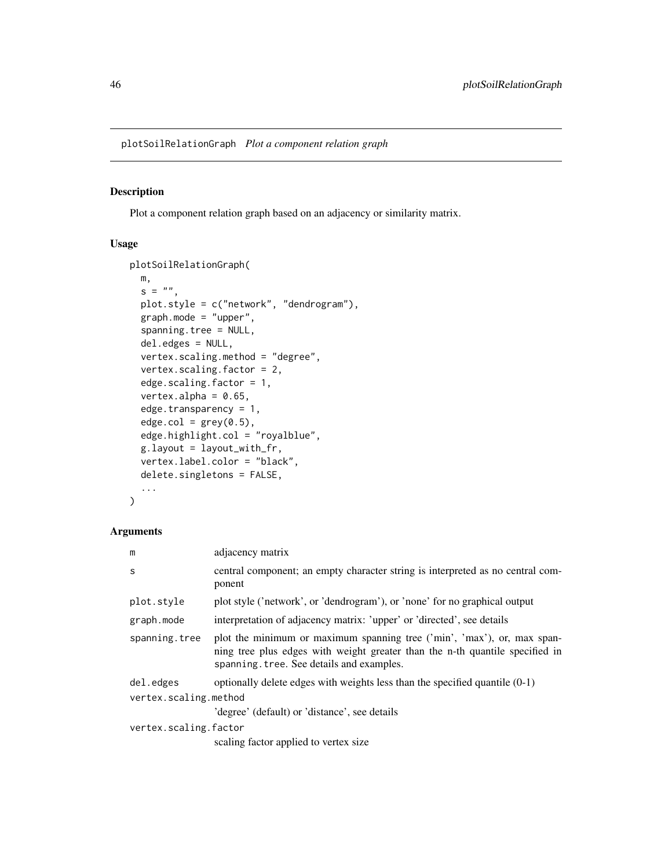<span id="page-45-0"></span>plotSoilRelationGraph *Plot a component relation graph*

# Description

Plot a component relation graph based on an adjacency or similarity matrix.

#### Usage

```
plotSoilRelationGraph(
 m,
  s = "plot.style = c("network", "dendrogram"),
  graph.mode = "upper",
  spanning.tree = NULL,
  del.edges = NULL,
  vertex.scaling.method = "degree",
  vertex.scaling.factor = 2,
  edge.scaling.factor = 1,
  vertex.alpha = 0.65,
  edge.transparency = 1,
  edge.col = grey(0.5),
  edge.highlight.col = "royalblue",
 g.layout = layout_with_fr,
  vertex.label.color = "black",
  delete.singletons = FALSE,
  ...
\mathcal{L}
```

| m                     | adjacency matrix                                                                                                                                                                                     |  |
|-----------------------|------------------------------------------------------------------------------------------------------------------------------------------------------------------------------------------------------|--|
| S                     | central component; an empty character string is interpreted as no central com-<br>ponent                                                                                                             |  |
| plot.style            | plot style ('network', or 'dendrogram'), or 'none' for no graphical output                                                                                                                           |  |
| graph.mode            | interpretation of adjacency matrix: 'upper' or 'directed', see details                                                                                                                               |  |
| spanning.tree         | plot the minimum or maximum spanning tree ('min', 'max'), or, max span-<br>ning tree plus edges with weight greater than the n-th quantile specified in<br>spanning, tree. See details and examples. |  |
| del.edges             | optionally delete edges with weights less than the specified quantile $(0-1)$                                                                                                                        |  |
| vertex.scaling.method |                                                                                                                                                                                                      |  |
|                       | 'degree' (default) or 'distance', see details                                                                                                                                                        |  |
| vertex.scaling.factor |                                                                                                                                                                                                      |  |
|                       | scaling factor applied to vertex size                                                                                                                                                                |  |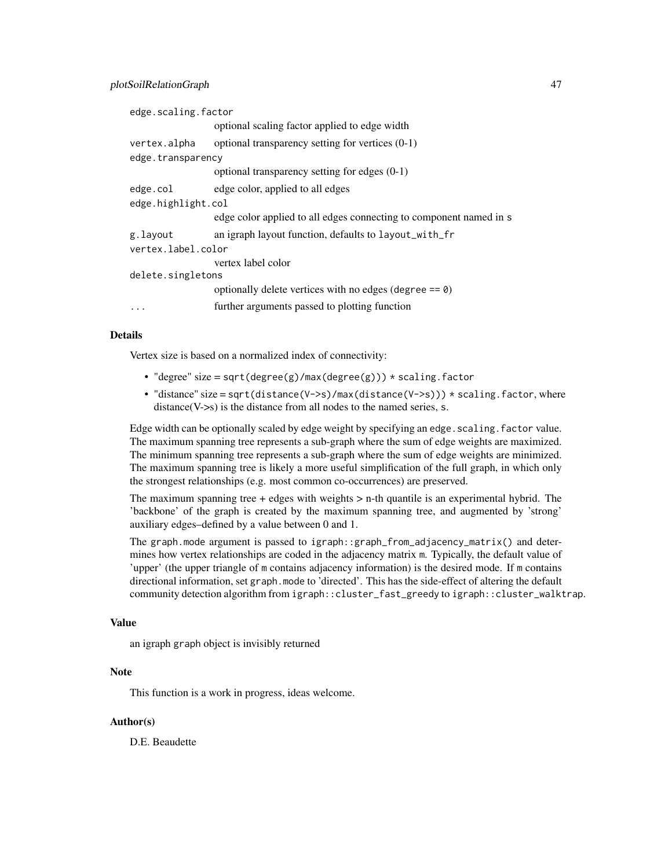| edge.scaling.factor |                                                                    |  |
|---------------------|--------------------------------------------------------------------|--|
|                     | optional scaling factor applied to edge width                      |  |
| vertex.alpha        | optional transparency setting for vertices $(0-1)$                 |  |
| edge.transparency   |                                                                    |  |
|                     | optional transparency setting for edges $(0-1)$                    |  |
| edge.col            | edge color, applied to all edges                                   |  |
| edge.highlight.col  |                                                                    |  |
|                     | edge color applied to all edges connecting to component named in s |  |
| g.layout            | an igraph layout function, defaults to layout_with_fr              |  |
| vertex.label.color  |                                                                    |  |
|                     | vertex label color                                                 |  |
| delete.singletons   |                                                                    |  |
|                     | optionally delete vertices with no edges (degree $== 0$ )          |  |
| .                   | further arguments passed to plotting function                      |  |

#### Details

Vertex size is based on a normalized index of connectivity:

- "degree" size = sqrt(degree(g)/max(degree(g)))  $*$  scaling.factor
- "distance" size = sqrt(distance(V->s)/max(distance(V->s)))  $\star$  scaling.factor, where distance(V->s) is the distance from all nodes to the named series, s.

Edge width can be optionally scaled by edge weight by specifying an edge. scaling. factor value. The maximum spanning tree represents a sub-graph where the sum of edge weights are maximized. The minimum spanning tree represents a sub-graph where the sum of edge weights are minimized. The maximum spanning tree is likely a more useful simplification of the full graph, in which only the strongest relationships (e.g. most common co-occurrences) are preserved.

The maximum spanning tree + edges with weights > n-th quantile is an experimental hybrid. The 'backbone' of the graph is created by the maximum spanning tree, and augmented by 'strong' auxiliary edges–defined by a value between 0 and 1.

The graph.mode argument is passed to igraph::graph\_from\_adjacency\_matrix() and determines how vertex relationships are coded in the adjacency matrix m. Typically, the default value of 'upper' (the upper triangle of m contains adjacency information) is the desired mode. If m contains directional information, set graph.mode to 'directed'. This has the side-effect of altering the default community detection algorithm from igraph::cluster\_fast\_greedy to igraph::cluster\_walktrap.

#### Value

an igraph graph object is invisibly returned

## **Note**

This function is a work in progress, ideas welcome.

#### Author(s)

D.E. Beaudette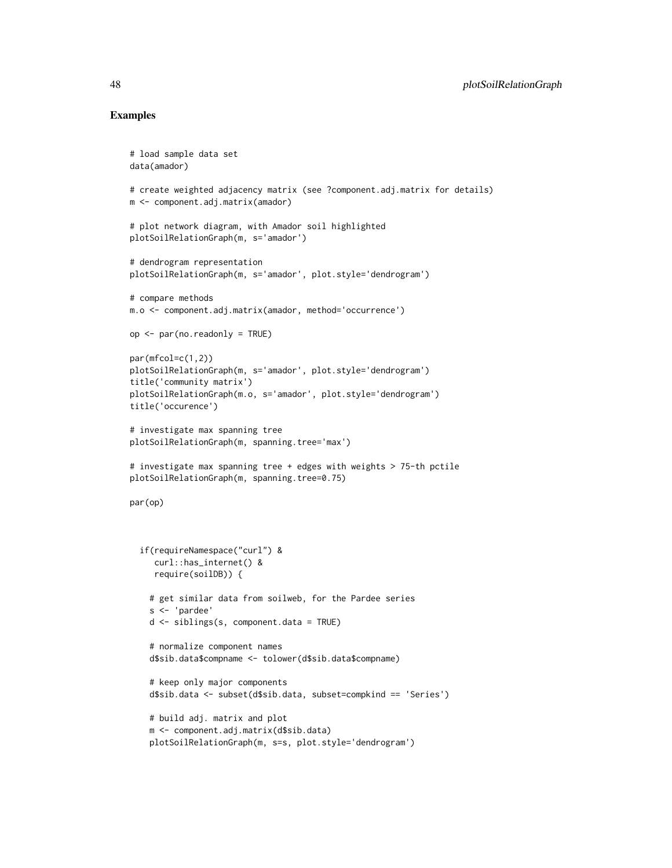#### Examples

```
# load sample data set
data(amador)
# create weighted adjacency matrix (see ?component.adj.matrix for details)
m <- component.adj.matrix(amador)
# plot network diagram, with Amador soil highlighted
plotSoilRelationGraph(m, s='amador')
# dendrogram representation
plotSoilRelationGraph(m, s='amador', plot.style='dendrogram')
# compare methods
m.o <- component.adj.matrix(amador, method='occurrence')
op <- par(no.readonly = TRUE)
par(mfcol=c(1,2))
plotSoilRelationGraph(m, s='amador', plot.style='dendrogram')
title('community matrix')
plotSoilRelationGraph(m.o, s='amador', plot.style='dendrogram')
title('occurence')
# investigate max spanning tree
plotSoilRelationGraph(m, spanning.tree='max')
# investigate max spanning tree + edges with weights > 75-th pctile
plotSoilRelationGraph(m, spanning.tree=0.75)
par(op)
  if(requireNamespace("curl") &
     curl::has_internet() &
    require(soilDB)) {
    # get similar data from soilweb, for the Pardee series
    s <- 'pardee'
    d <- siblings(s, component.data = TRUE)
    # normalize component names
    d$sib.data$compname <- tolower(d$sib.data$compname)
    # keep only major components
    d$sib.data <- subset(d$sib.data, subset=compkind == 'Series')
    # build adj. matrix and plot
    m <- component.adj.matrix(d$sib.data)
    plotSoilRelationGraph(m, s=s, plot.style='dendrogram')
```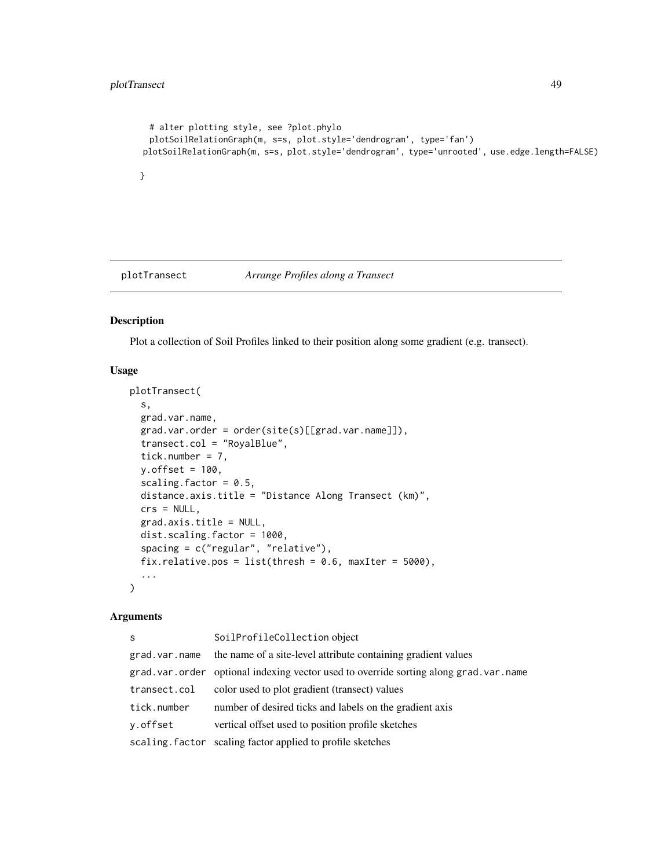```
# alter plotting style, see ?plot.phylo
  plotSoilRelationGraph(m, s=s, plot.style='dendrogram', type='fan')
plotSoilRelationGraph(m, s=s, plot.style='dendrogram', type='unrooted', use.edge.length=FALSE)
}
```
plotTransect *Arrange Profiles along a Transect*

#### Description

Plot a collection of Soil Profiles linked to their position along some gradient (e.g. transect).

#### Usage

```
plotTransect(
  s,
  grad.var.name,
  grad.var.order = order(site(s)[[grad.var.name]]),
  transect.col = "RoyalBlue",
  tick.number = 7,
  y.offset = 100,
  scaling.factor = 0.5,
  distance.axis.title = "Distance Along Transect (km)",
  crs = NULL,grad.axis.title = NULL,
  dist.scaling.factor = 1000,
  spacing = c("regular", "relative"),
  fix.relative.pos = list(thresh = 0.6, maxIter = 5000),
  ...
\mathcal{L}
```

| S             | SoilProfileCollection object                                                         |
|---------------|--------------------------------------------------------------------------------------|
| grad.var.name | the name of a site-level attribute containing gradient values                        |
|               | grad.var.order optional indexing vector used to override sorting along grad.var.name |
| transect.col  | color used to plot gradient (transect) values                                        |
| tick.number   | number of desired ticks and labels on the gradient axis                              |
| y.offset      | vertical offset used to position profile sketches                                    |
|               | scaling. factor scaling factor applied to profile sketches                           |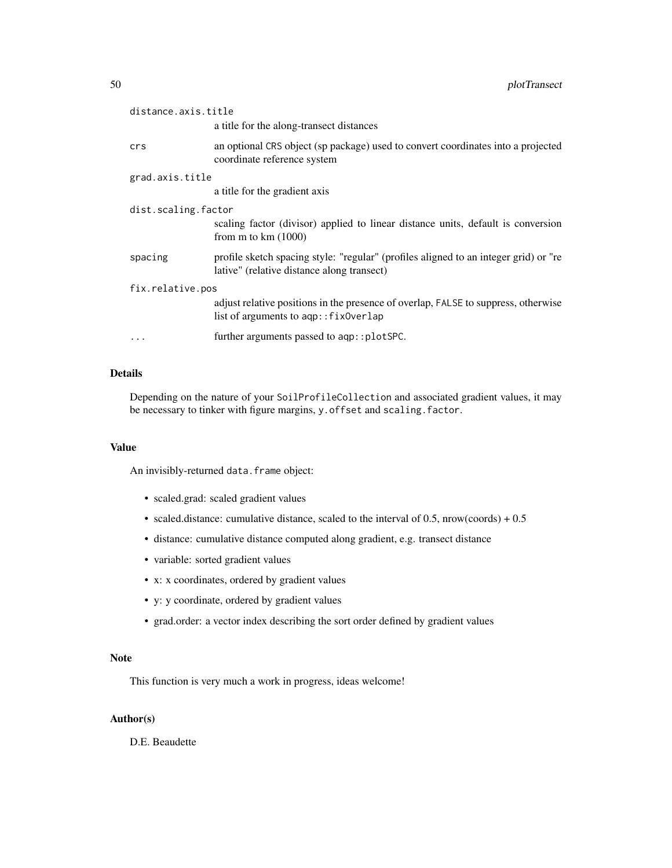| distance.axis.title |                                                                                                                                    |  |
|---------------------|------------------------------------------------------------------------------------------------------------------------------------|--|
|                     | a title for the along-transect distances                                                                                           |  |
| crs                 | an optional CRS object (sp package) used to convert coordinates into a projected<br>coordinate reference system                    |  |
| grad.axis.title     |                                                                                                                                    |  |
|                     | a title for the gradient axis                                                                                                      |  |
| dist.scaling.factor |                                                                                                                                    |  |
|                     | scaling factor (divisor) applied to linear distance units, default is conversion<br>from $m$ to $km(1000)$                         |  |
| spacing             | profile sketch spacing style: "regular" (profiles aligned to an integer grid) or "re<br>lative" (relative distance along transect) |  |
| fix.relative.pos    |                                                                                                                                    |  |
|                     | adjust relative positions in the presence of overlap, FALSE to suppress, otherwise<br>list of arguments to aqp:: fix0verlap        |  |
| $\cdots$            | further arguments passed to aqp::plotSPC.                                                                                          |  |

# Details

Depending on the nature of your SoilProfileCollection and associated gradient values, it may be necessary to tinker with figure margins, y.offset and scaling.factor.

# Value

An invisibly-returned data.frame object:

- scaled.grad: scaled gradient values
- scaled.distance: cumulative distance, scaled to the interval of  $0.5$ , nrow(coords) +  $0.5$
- distance: cumulative distance computed along gradient, e.g. transect distance
- variable: sorted gradient values
- x: x coordinates, ordered by gradient values
- y: y coordinate, ordered by gradient values
- grad.order: a vector index describing the sort order defined by gradient values

# Note

This function is very much a work in progress, ideas welcome!

# Author(s)

D.E. Beaudette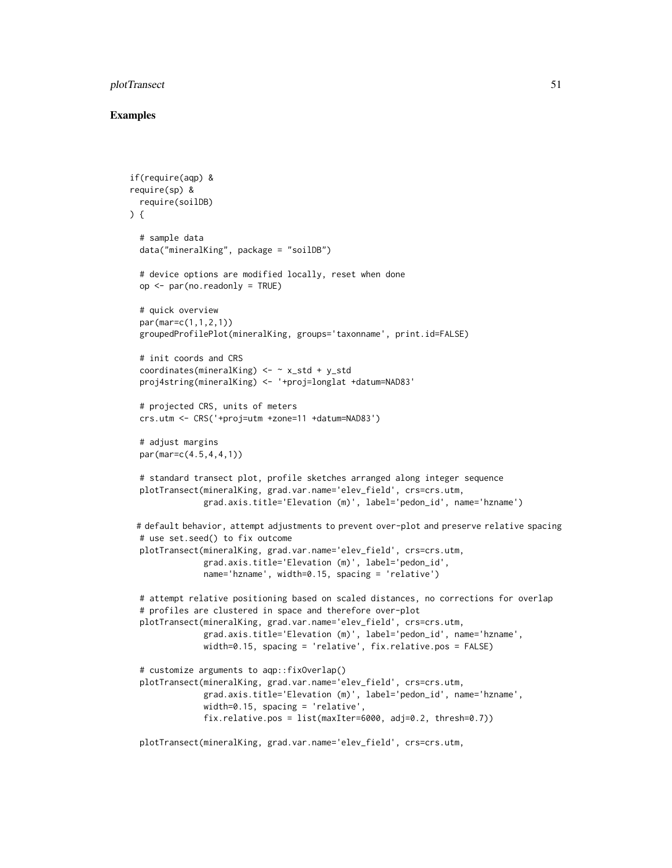# plotTransect 51

#### Examples

```
if(require(aqp) &
require(sp) &
 require(soilDB)
) {
 # sample data
 data("mineralKing", package = "soilDB")
 # device options are modified locally, reset when done
 op <- par(no.readonly = TRUE)
 # quick overview
 par(mar=c(1,1,2,1))
 groupedProfilePlot(mineralKing, groups='taxonname', print.id=FALSE)
 # init coords and CRS
 coordinates(mineralKing) <- ~ x_std + y_std
 proj4string(mineralKing) <- '+proj=longlat +datum=NAD83'
 # projected CRS, units of meters
 crs.utm <- CRS('+proj=utm +zone=11 +datum=NAD83')
 # adjust margins
 par(mar=c(4.5,4,4,1))
 # standard transect plot, profile sketches arranged along integer sequence
 plotTransect(mineralKing, grad.var.name='elev_field', crs=crs.utm,
               grad.axis.title='Elevation (m)', label='pedon_id', name='hzname')
 # default behavior, attempt adjustments to prevent over-plot and preserve relative spacing
 # use set.seed() to fix outcome
 plotTransect(mineralKing, grad.var.name='elev_field', crs=crs.utm,
               grad.axis.title='Elevation (m)', label='pedon_id',
               name='hzname', width=0.15, spacing = 'relative')
 # attempt relative positioning based on scaled distances, no corrections for overlap
 # profiles are clustered in space and therefore over-plot
 plotTransect(mineralKing, grad.var.name='elev_field', crs=crs.utm,
               grad.axis.title='Elevation (m)', label='pedon_id', name='hzname',
               width=0.15, spacing = 'relative', fix.relative.pos = FALSE)
  # customize arguments to aqp::fixOverlap()
 plotTransect(mineralKing, grad.var.name='elev_field', crs=crs.utm,
               grad.axis.title='Elevation (m)', label='pedon_id', name='hzname',
               width=0.15, spacing = 'relative',
               fix.relative.pos = list(maxIter=6000, adj=0.2, thresh=0.7))
 plotTransect(mineralKing, grad.var.name='elev_field', crs=crs.utm,
```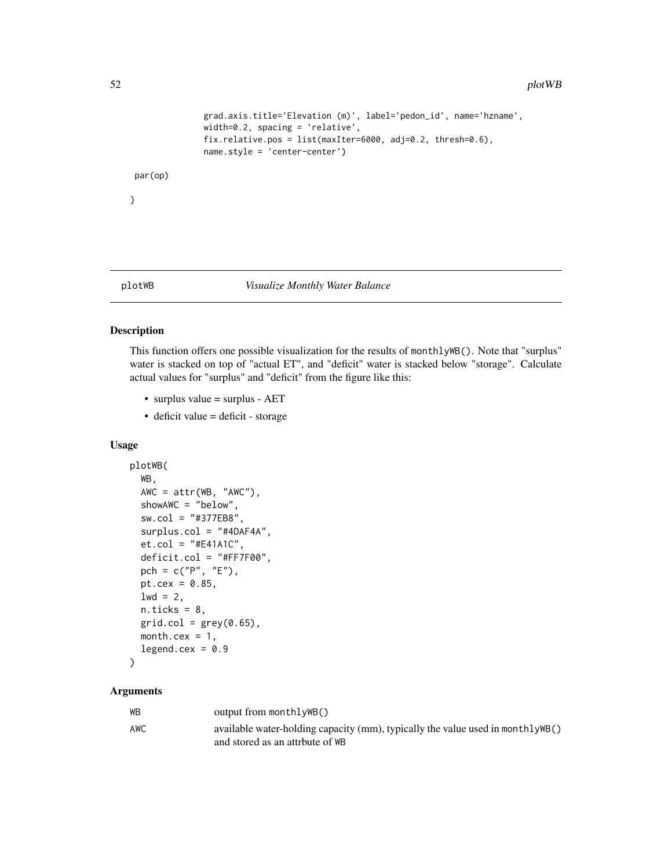```
grad.axis.title='Elevation (m)', label='pedon_id', name='hzname',
               width=0.2, spacing = 'relative',
               fix.relative.pos = list(maxIter=6000, adj=0.2, thresh=0.6),
               name.style = 'center-center')
par(op)
}
```
#### plotWB *Visualize Monthly Water Balance*

# Description

This function offers one possible visualization for the results of monthlyWB(). Note that "surplus" water is stacked on top of "actual ET", and "deficit" water is stacked below "storage". Calculate actual values for "surplus" and "deficit" from the figure like this:

- surplus value = surplus AET
- deficit value = deficit storage

#### Usage

```
plotWB(
  WB,
 AWC = attr(WB, "AWC"),
  showAWC = "below",
  sw.col = "#377EB8",
  surplus.col = "#4DAF4A",
  et.col = "#E41A1C",
  deficit.col = "#FF7F00",pch = c("P", "E"),
 pt.cex = 0.85,
  1wd = 2,
  n.ticks = 8,
 grid,col = grey(0.65),
 month.cex = 1,
  legend.cex = 0.9\lambda
```

| WB  | output from monthlyWB()                                                        |
|-----|--------------------------------------------------------------------------------|
| AWC | available water-holding capacity (mm), typically the value used in monthlyWB() |
|     | and stored as an attrbute of WB                                                |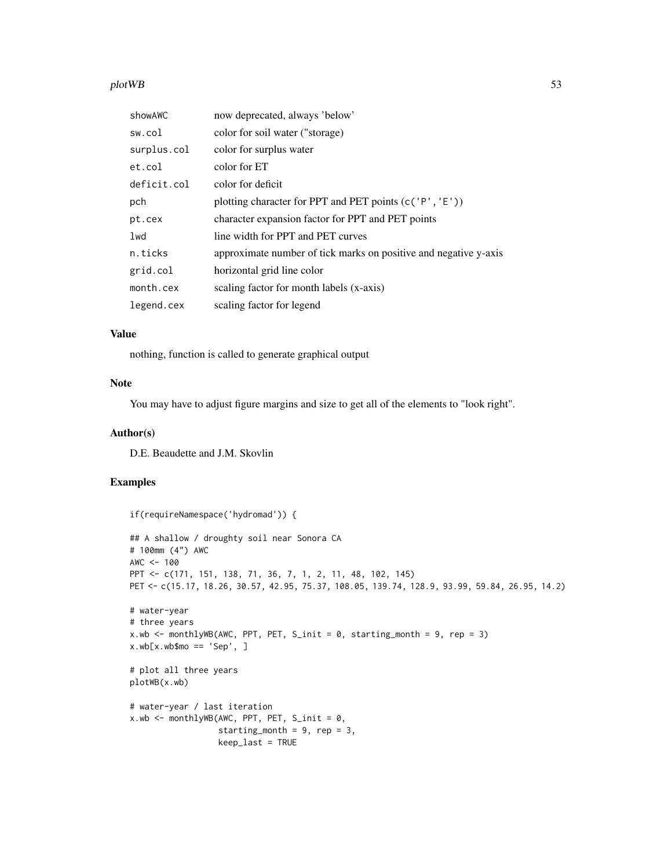#### plot WB 53

| showAWC     | now deprecated, always 'below'                                   |
|-------------|------------------------------------------------------------------|
| sw.col      | color for soil water ("storage)                                  |
| surplus.col | color for surplus water                                          |
| et.col      | color for ET                                                     |
| deficit.col | color for deficit                                                |
| pch         | plotting character for PPT and PET points (c('P', 'E'))          |
| pt.cex      | character expansion factor for PPT and PET points                |
| 1wd         | line width for PPT and PET curves                                |
| n.ticks     | approximate number of tick marks on positive and negative y-axis |
| grid.col    | horizontal grid line color                                       |
| month.cex   | scaling factor for month labels (x-axis)                         |
| legend.cex  | scaling factor for legend                                        |

# Value

nothing, function is called to generate graphical output

#### Note

You may have to adjust figure margins and size to get all of the elements to "look right".

# Author(s)

D.E. Beaudette and J.M. Skovlin

# Examples

```
if(requireNamespace('hydromad')) {
## A shallow / droughty soil near Sonora CA
# 100mm (4") AWC
AWC < - 100PPT <- c(171, 151, 138, 71, 36, 7, 1, 2, 11, 48, 102, 145)
PET <- c(15.17, 18.26, 30.57, 42.95, 75.37, 108.05, 139.74, 128.9, 93.99, 59.84, 26.95, 14.2)
# water-year
# three years
x.wb <- monthlyWB(AWC, PPT, PET, S_init = 0, starting_month = 9, rep = 3)
x.wb[x.wb$mo == 'Sep', ]# plot all three years
plotWB(x.wb)
# water-year / last iteration
x.wb \leftarrow monthlyWB(AWC, PPT, PET, S_init = 0,starting_month = 9, rep = 3,
                  keep_last = TRUE
```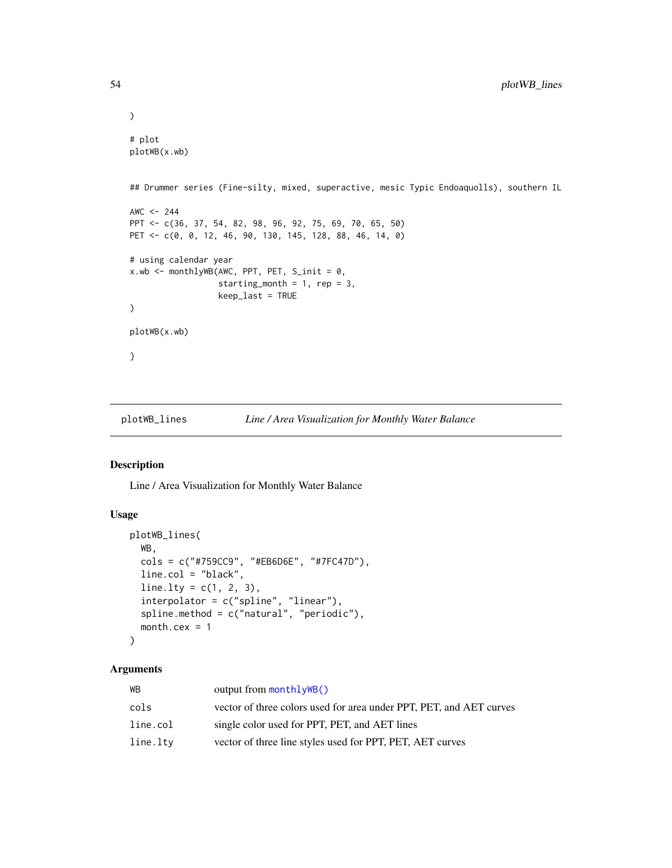```
\mathcal{L}# plot
plotWB(x.wb)
## Drummer series (Fine-silty, mixed, superactive, mesic Typic Endoaquolls), southern IL
AWC <-244PPT <- c(36, 37, 54, 82, 98, 96, 92, 75, 69, 70, 65, 50)
PET <- c(0, 0, 12, 46, 90, 130, 145, 128, 88, 46, 14, 0)
# using calendar year
x.wb <- monthlyWB(AWC, PPT, PET, S_init = 0,
                  starting_month = 1, rep = 3,
                  keep_last = TRUE
)
plotWB(x.wb)
}
```
plotWB\_lines *Line / Area Visualization for Monthly Water Balance*

#### Description

Line / Area Visualization for Monthly Water Balance

#### Usage

```
plotWB_lines(
  WB,
  cols = c("#759CC9", "#EB6D6E", "#7FC47D"),
  line.col = "black",
  line.1ty = c(1, 2, 3),interpolator = c("spline", "linear"),
  spline.method = c("natural", "periodic"),
  month.cex = 1
\lambda
```

| WВ       | output from monthlyWB()                                             |
|----------|---------------------------------------------------------------------|
| cols     | vector of three colors used for area under PPT, PET, and AET curves |
| line.col | single color used for PPT, PET, and AET lines                       |
| line.ltv | vector of three line styles used for PPT, PET, AET curves           |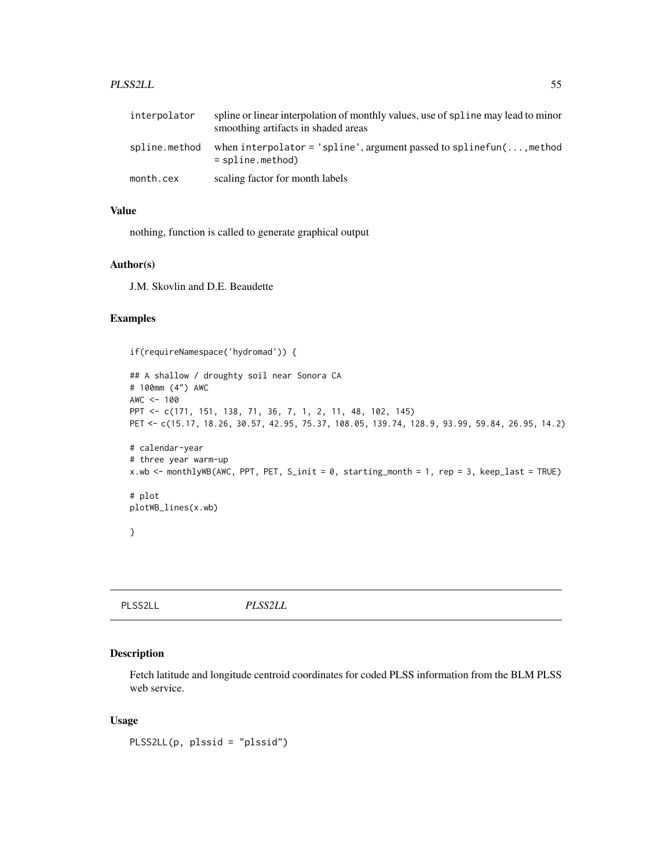#### PLSS2LL 55

| interpolator  | spline or linear interpolation of monthly values, use of spline may lead to minor<br>smoothing artifacts in shaded areas |
|---------------|--------------------------------------------------------------------------------------------------------------------------|
| spline.method | when interpolator = 'spline', argument passed to spline fun( $\dots$ , method<br>$=$ spline.method)                      |
| month.cex     | scaling factor for month labels                                                                                          |

# Value

nothing, function is called to generate graphical output

# Author(s)

J.M. Skovlin and D.E. Beaudette

# Examples

if(requireNamespace('hydromad')) {

```
## A shallow / droughty soil near Sonora CA
# 100mm (4") AWC
AWC < - 100PPT <- c(171, 151, 138, 71, 36, 7, 1, 2, 11, 48, 102, 145)
PET <- c(15.17, 18.26, 30.57, 42.95, 75.37, 108.05, 139.74, 128.9, 93.99, 59.84, 26.95, 14.2)
# calendar-year
# three year warm-up
x.wb <- monthlyWB(AWC, PPT, PET, S_init = 0, starting_month = 1, rep = 3, keep_last = TRUE)
# plot
plotWB_lines(x.wb)
}
```
PLSS2LL *PLSS2LL*

#### Description

Fetch latitude and longitude centroid coordinates for coded PLSS information from the BLM PLSS web service.

#### Usage

PLSS2LL(p, plssid = "plssid")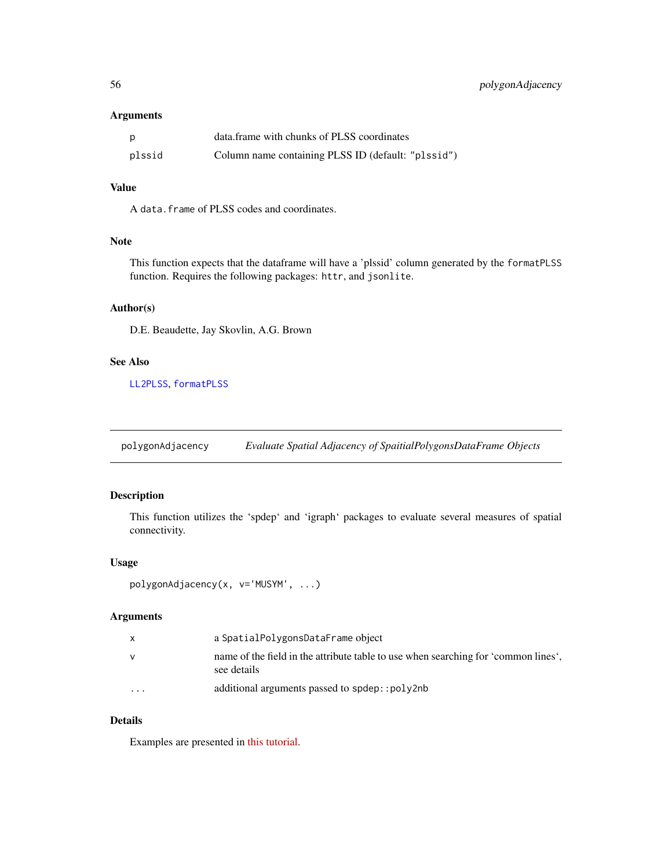# <span id="page-55-0"></span>Arguments

| p      | data.frame with chunks of PLSS coordinates         |
|--------|----------------------------------------------------|
| plssid | Column name containing PLSS ID (default: "plssid") |

# Value

A data.frame of PLSS codes and coordinates.

# Note

This function expects that the dataframe will have a 'plssid' column generated by the formatPLSS function. Requires the following packages: httr, and jsonlite.

#### Author(s)

D.E. Beaudette, Jay Skovlin, A.G. Brown

# See Also

[LL2PLSS](#page-32-0), [formatPLSS](#page-25-0)

polygonAdjacency *Evaluate Spatial Adjacency of SpaitialPolygonsDataFrame Objects*

# Description

This function utilizes the 'spdep' and 'igraph' packages to evaluate several measures of spatial connectivity.

### Usage

```
polygonAdjacency(x, v='MUSYM', ...)
```
#### Arguments

|                         | a SpatialPolygonsDataFrame object                                                                 |
|-------------------------|---------------------------------------------------------------------------------------------------|
|                         | name of the field in the attribute table to use when searching for 'common lines'.<br>see details |
| $\cdot$ $\cdot$ $\cdot$ | additional arguments passed to spdep::poly2nb                                                     |

#### Details

Examples are presented in [this tutorial.](http://ncss-tech.github.io/AQP/sharpshootR/common-soil-lines.html)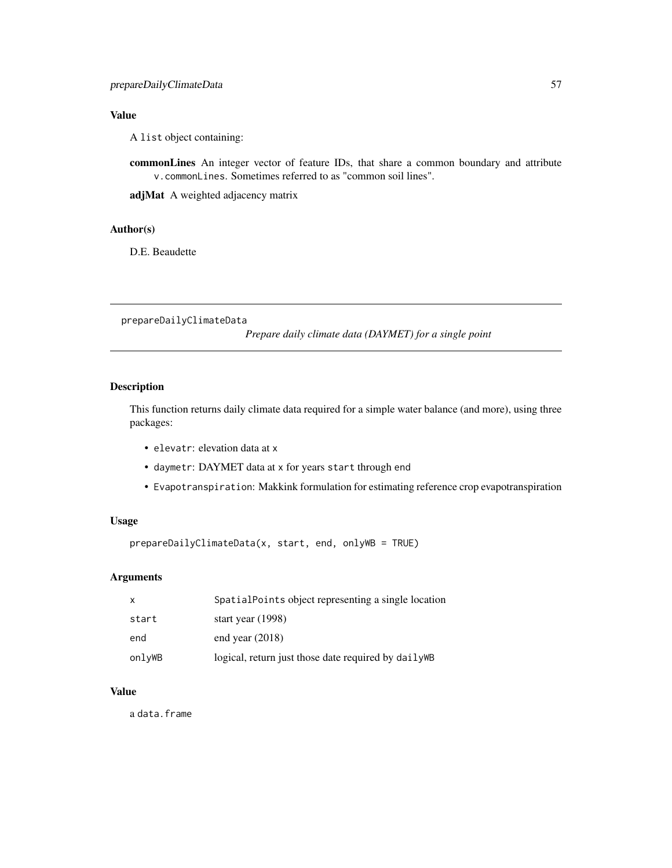# Value

A list object containing:

commonLines An integer vector of feature IDs, that share a common boundary and attribute v.commonLines. Sometimes referred to as "common soil lines".

adjMat A weighted adjacency matrix

# Author(s)

D.E. Beaudette

prepareDailyClimateData

*Prepare daily climate data (DAYMET) for a single point*

# Description

This function returns daily climate data required for a simple water balance (and more), using three packages:

- elevatr: elevation data at x
- daymetr: DAYMET data at x for years start through end
- Evapotranspiration: Makkink formulation for estimating reference crop evapotranspiration

#### Usage

prepareDailyClimateData(x, start, end, onlyWB = TRUE)

## Arguments

| X      | SpatialPoints object representing a single location  |
|--------|------------------------------------------------------|
| start  | start year $(1998)$                                  |
| end    | end year $(2018)$                                    |
| onlyWB | logical, return just those date required by daily WB |

#### Value

a data.frame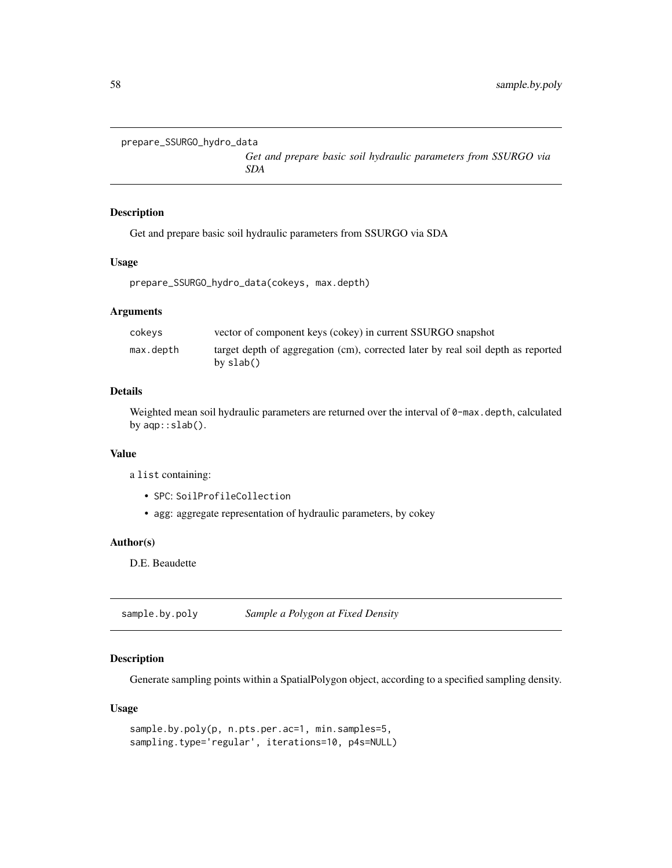```
prepare_SSURGO_hydro_data
```
*Get and prepare basic soil hydraulic parameters from SSURGO via SDA*

# Description

Get and prepare basic soil hydraulic parameters from SSURGO via SDA

#### Usage

```
prepare_SSURGO_hydro_data(cokeys, max.depth)
```
#### Arguments

| cokevs    | vector of component keys (cokey) in current SSURGO snapshot                                   |
|-----------|-----------------------------------------------------------------------------------------------|
| max.depth | target depth of aggregation (cm), corrected later by real soil depth as reported<br>by slab() |

# Details

Weighted mean soil hydraulic parameters are returned over the interval of 0-max.depth, calculated by aqp::slab().

#### Value

a list containing:

- SPC: SoilProfileCollection
- agg: aggregate representation of hydraulic parameters, by cokey

# Author(s)

D.E. Beaudette

<span id="page-57-0"></span>sample.by.poly *Sample a Polygon at Fixed Density*

# Description

Generate sampling points within a SpatialPolygon object, according to a specified sampling density.

#### Usage

```
sample.by.poly(p, n.pts.per.ac=1, min.samples=5,
sampling.type='regular', iterations=10, p4s=NULL)
```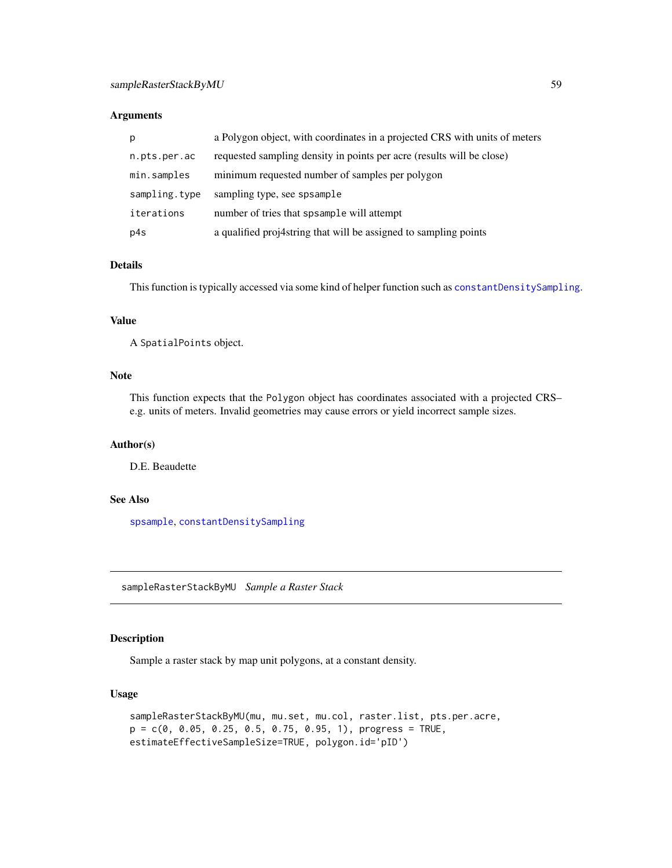#### <span id="page-58-0"></span>Arguments

| p             | a Polygon object, with coordinates in a projected CRS with units of meters |
|---------------|----------------------------------------------------------------------------|
| n.pts.per.ac  | requested sampling density in points per acre (results will be close)      |
| min.samples   | minimum requested number of samples per polygon                            |
| sampling.type | sampling type, see spsample                                                |
| iterations    | number of tries that spsample will attempt                                 |
| p4s           | a qualified proj4string that will be assigned to sampling points           |

# Details

This function is typically accessed via some kind of helper function such as [constantDensitySampling](#page-12-0).

# Value

A SpatialPoints object.

#### Note

This function expects that the Polygon object has coordinates associated with a projected CRS– e.g. units of meters. Invalid geometries may cause errors or yield incorrect sample sizes.

#### Author(s)

D.E. Beaudette

# See Also

[spsample](#page-0-0), [constantDensitySampling](#page-12-0)

sampleRasterStackByMU *Sample a Raster Stack*

#### Description

Sample a raster stack by map unit polygons, at a constant density.

#### Usage

```
sampleRasterStackByMU(mu, mu.set, mu.col, raster.list, pts.per.acre,
p = c(0, 0.05, 0.25, 0.5, 0.75, 0.95, 1), progress = TRUE,
estimateEffectiveSampleSize=TRUE, polygon.id='pID')
```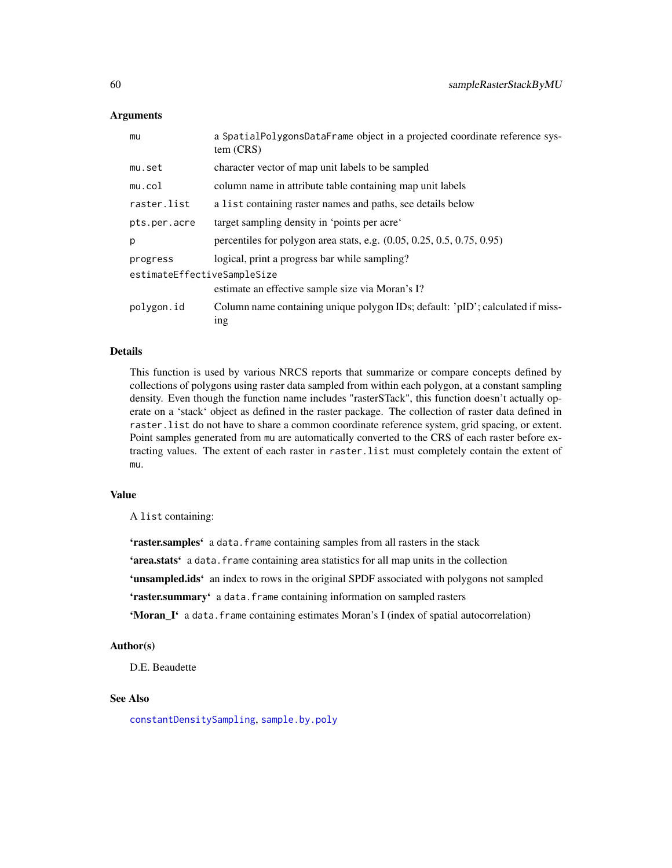#### Arguments

| mu                          | a SpatialPolygonsDataFrame object in a projected coordinate reference sys-<br>tem (CRS)           |
|-----------------------------|---------------------------------------------------------------------------------------------------|
| mu.set                      | character vector of map unit labels to be sampled                                                 |
| mu.col                      | column name in attribute table containing map unit labels                                         |
| raster.list                 | a list containing raster names and paths, see details below                                       |
| pts.per.acre                | target sampling density in 'points per acre'                                                      |
| p                           | percentiles for polygon area stats, e.g. $(0.05, 0.25, 0.5, 0.75, 0.95)$                          |
| progress                    | logical, print a progress bar while sampling?                                                     |
| estimateEffectiveSampleSize | estimate an effective sample size via Moran's I?                                                  |
| polygon.id                  | Column name containing unique polygon IDs; default: 'pID'; calculated if miss-<br><sub>1</sub> ng |

#### Details

This function is used by various NRCS reports that summarize or compare concepts defined by collections of polygons using raster data sampled from within each polygon, at a constant sampling density. Even though the function name includes "rasterSTack", this function doesn't actually operate on a 'stack' object as defined in the raster package. The collection of raster data defined in raster.list do not have to share a common coordinate reference system, grid spacing, or extent. Point samples generated from mu are automatically converted to the CRS of each raster before extracting values. The extent of each raster in raster.list must completely contain the extent of mu.

## Value

A list containing:

'raster.samples' a data.frame containing samples from all rasters in the stack 'area.stats' a data. frame containing area statistics for all map units in the collection 'unsampled.ids' an index to rows in the original SPDF associated with polygons not sampled 'raster.summary' a data.frame containing information on sampled rasters

'Moran\_I' a data. frame containing estimates Moran's I (index of spatial autocorrelation)

# Author(s)

D.E. Beaudette

#### See Also

[constantDensitySampling](#page-12-0), [sample.by.poly](#page-57-0)

<span id="page-59-0"></span>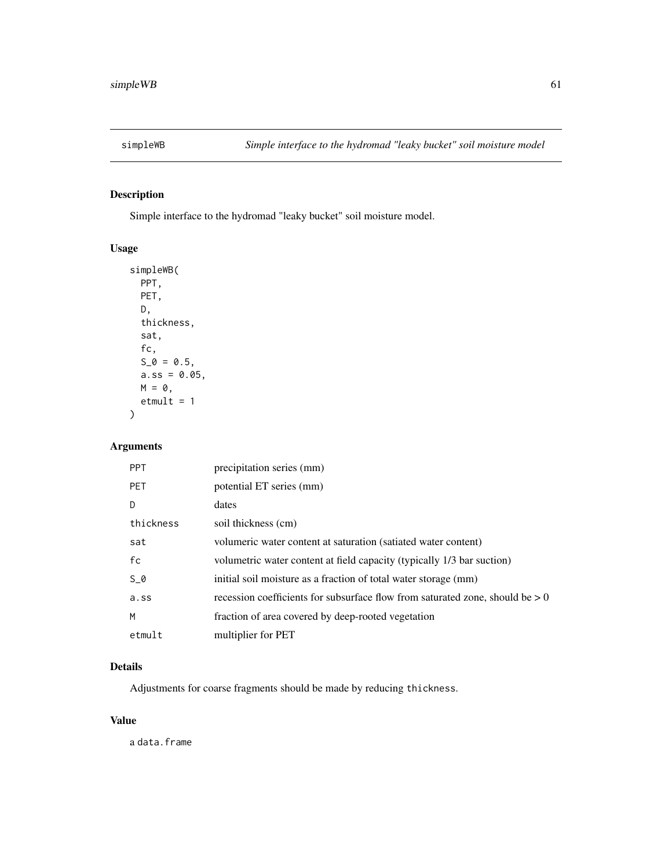# Description

Simple interface to the hydromad "leaky bucket" soil moisture model.

# Usage

```
simpleWB(
 PPT,
 PET,
 D,
 thickness,
  sat,
 fc,
 S_0 = 0.5,
 a.ss = 0.05,M = 0,etmult = 1)
```
# Arguments

| <b>PPT</b> | precipitation series (mm)                                                       |
|------------|---------------------------------------------------------------------------------|
| <b>PET</b> | potential ET series (mm)                                                        |
| D          | dates                                                                           |
| thickness  | soil thickness (cm)                                                             |
| sat        | volumeric water content at saturation (satiated water content)                  |
| fc         | volumetric water content at field capacity (typically 1/3 bar suction)          |
| $S_0$      | initial soil moisture as a fraction of total water storage (mm)                 |
| a.ss       | recession coefficients for subsurface flow from saturated zone, should be $> 0$ |
| M          | fraction of area covered by deep-rooted vegetation                              |
| etmult     | multiplier for PET                                                              |

#### Details

Adjustments for coarse fragments should be made by reducing thickness.

# Value

a data.frame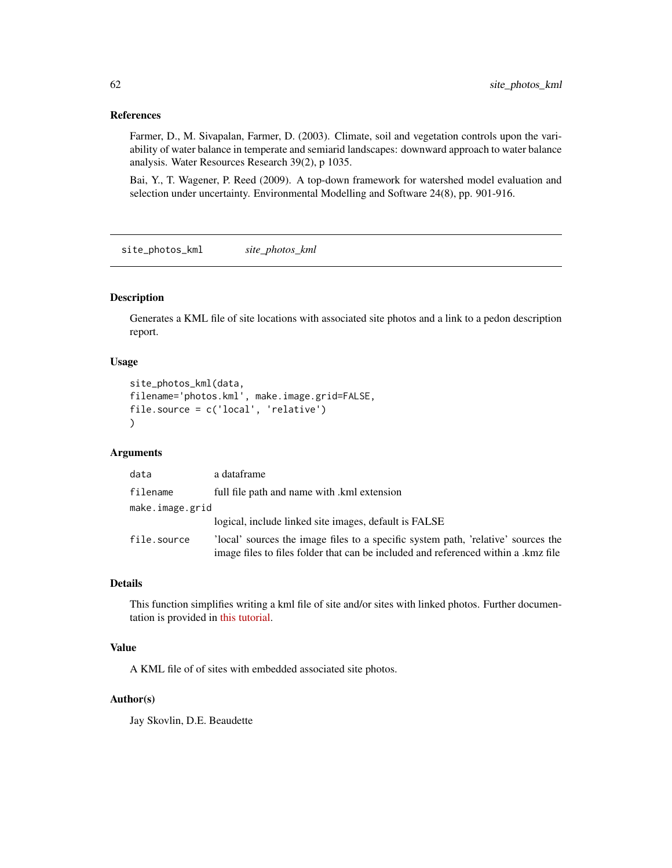#### <span id="page-61-0"></span>References

Farmer, D., M. Sivapalan, Farmer, D. (2003). Climate, soil and vegetation controls upon the variability of water balance in temperate and semiarid landscapes: downward approach to water balance analysis. Water Resources Research 39(2), p 1035.

Bai, Y., T. Wagener, P. Reed (2009). A top-down framework for watershed model evaluation and selection under uncertainty. Environmental Modelling and Software 24(8), pp. 901-916.

site\_photos\_kml *site\_photos\_kml*

#### Description

Generates a KML file of site locations with associated site photos and a link to a pedon description report.

# Usage

```
site_photos_kml(data,
filename='photos.kml', make.image.grid=FALSE,
file.source = c('local', 'relative')
)
```
# Arguments

| data            | a dataframe                                                                                                                                                            |
|-----------------|------------------------------------------------------------------------------------------------------------------------------------------------------------------------|
| filename        | full file path and name with .kml extension                                                                                                                            |
| make.image.grid |                                                                                                                                                                        |
|                 | logical, include linked site images, default is FALSE                                                                                                                  |
| file.source     | local' sources the image files to a specific system path, 'relative' sources the<br>image files to files folder that can be included and referenced within a .kmz file |

#### Details

This function simplifies writing a kml file of site and/or sites with linked photos. Further documentation is provided in [this tutorial.](https://ncss-tech.github.io/AQP/sharpshootR/site-photo-kml.html)

#### Value

A KML file of of sites with embedded associated site photos.

#### Author(s)

Jay Skovlin, D.E. Beaudette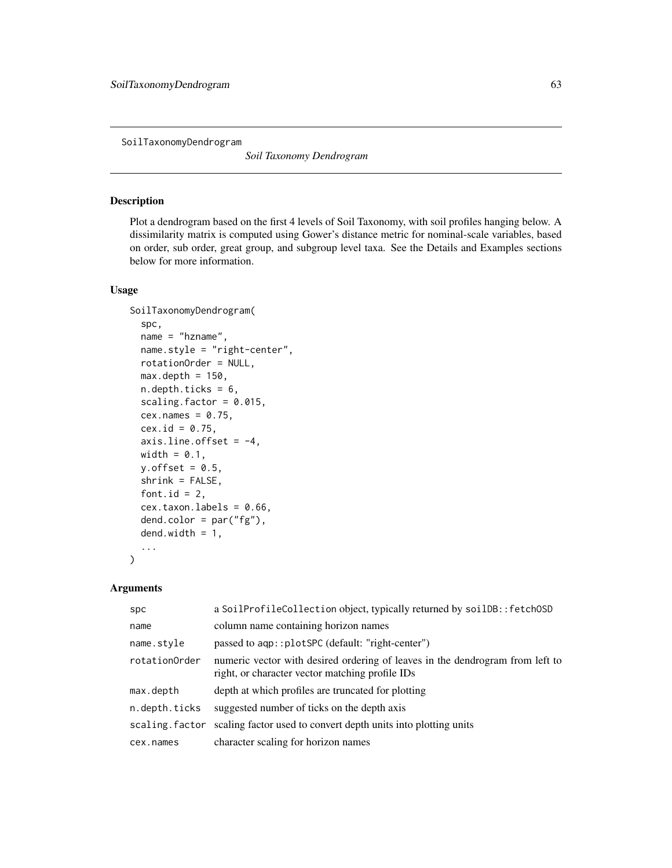SoilTaxonomyDendrogram

*Soil Taxonomy Dendrogram*

# Description

Plot a dendrogram based on the first 4 levels of Soil Taxonomy, with soil profiles hanging below. A dissimilarity matrix is computed using Gower's distance metric for nominal-scale variables, based on order, sub order, great group, and subgroup level taxa. See the Details and Examples sections below for more information.

# Usage

```
SoilTaxonomyDendrogram(
  spc,
  name = "hzname",
  name.style = "right-center",
  rotationOrder = NULL,
  max.depth = 150,
  n.depth.ticks = 6,
  scaling.factor = 0.015,
  cex.names = 0.75,
  cex.id = 0.75,
  axis.line.offset = -4,
 width = 0.1,
 y.offset = 0.5,
  shrink = FALSE,font.id = 2,
  cex.taxon.labels = 0.66,
  dend.color = par("fg"),
  dend.width = 1,
  ...
)
```

| spc            | a SoilProfileCollection object, typically returned by soilDB:: fetchOSD                                                          |
|----------------|----------------------------------------------------------------------------------------------------------------------------------|
| name           | column name containing horizon names                                                                                             |
| name.style     | passed to aqp::plotSPC (default: "right-center")                                                                                 |
| rotationOrder  | numeric vector with desired ordering of leaves in the dendrogram from left to<br>right, or character vector matching profile IDs |
| max.depth      | depth at which profiles are truncated for plotting                                                                               |
| n.depth.ticks  | suggested number of ticks on the depth axis                                                                                      |
| scaling.factor | scaling factor used to convert depth units into plotting units                                                                   |
| cex.names      | character scaling for horizon names                                                                                              |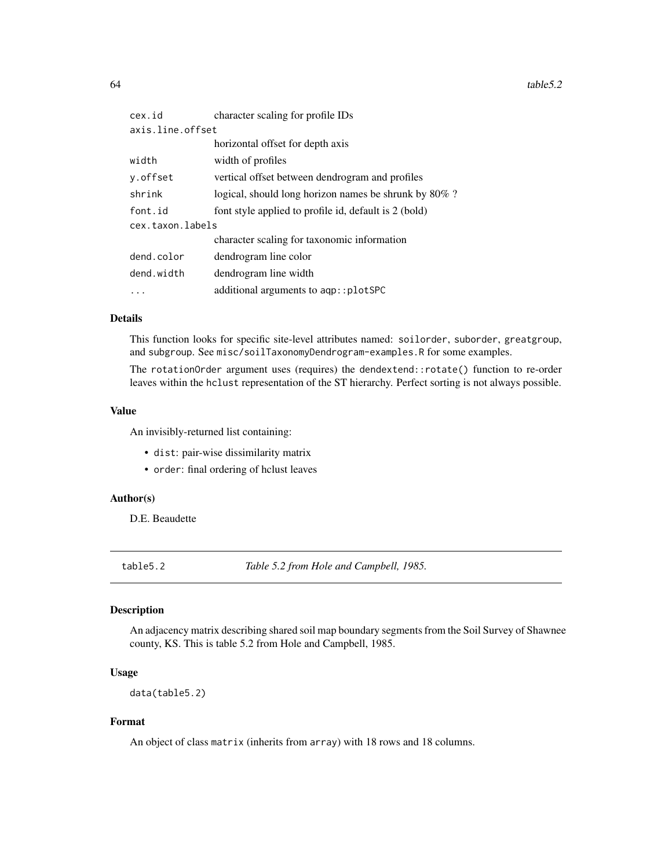<span id="page-63-0"></span> $64$  table 5.2

| cex.id           | character scaling for profile IDs                     |
|------------------|-------------------------------------------------------|
| axis.line.offset |                                                       |
|                  | horizontal offset for depth axis                      |
| width            | width of profiles                                     |
| y.offset         | vertical offset between dendrogram and profiles       |
| shrink           | logical, should long horizon names be shrunk by 80%?  |
| font.id          | font style applied to profile id, default is 2 (bold) |
| cex.taxon.labels |                                                       |
|                  | character scaling for taxonomic information           |
| dend.color       | dendrogram line color                                 |
| dend.width       | dendrogram line width                                 |
|                  | additional arguments to aqp:: plotSPC                 |

#### Details

This function looks for specific site-level attributes named: soilorder, suborder, greatgroup, and subgroup. See misc/soilTaxonomyDendrogram-examples.R for some examples.

The rotationOrder argument uses (requires) the dendextend::rotate() function to re-order leaves within the hclust representation of the ST hierarchy. Perfect sorting is not always possible.

#### Value

An invisibly-returned list containing:

- dist: pair-wise dissimilarity matrix
- order: final ordering of hclust leaves

#### Author(s)

D.E. Beaudette

table5.2 *Table 5.2 from Hole and Campbell, 1985.*

# Description

An adjacency matrix describing shared soil map boundary segments from the Soil Survey of Shawnee county, KS. This is table 5.2 from Hole and Campbell, 1985.

#### Usage

```
data(table5.2)
```
# Format

An object of class matrix (inherits from array) with 18 rows and 18 columns.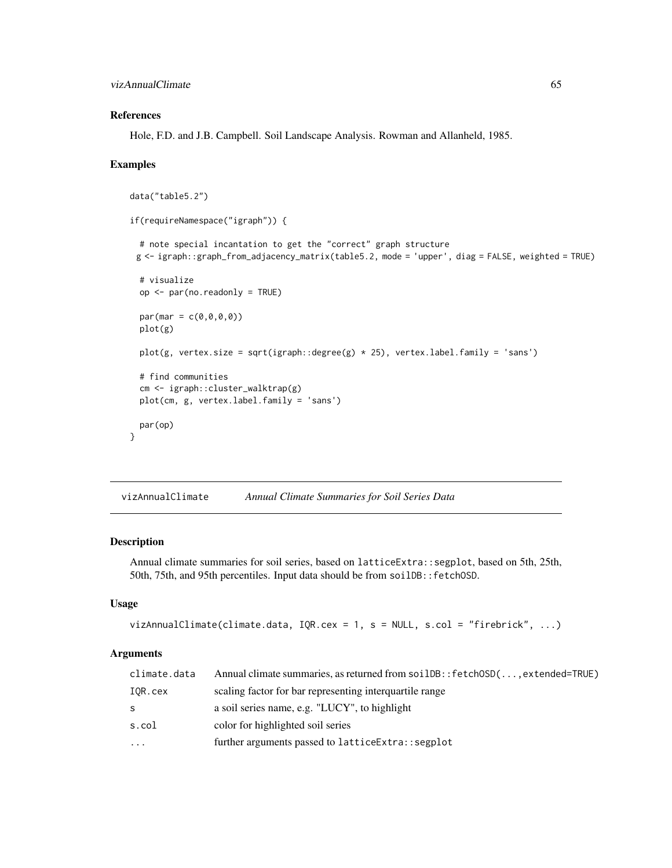# References

Hole, F.D. and J.B. Campbell. Soil Landscape Analysis. Rowman and Allanheld, 1985.

#### Examples

```
data("table5.2")
if(requireNamespace("igraph")) {
 # note special incantation to get the "correct" graph structure
 g <- igraph::graph_from_adjacency_matrix(table5.2, mode = 'upper', diag = FALSE, weighted = TRUE)
 # visualize
 op <- par(no.readonly = TRUE)
 par(max = c(0, 0, 0, 0))plot(g)
 plot(g, vertex.size = sqrt(igraph::degree(g) * 25), vertex.label.family = 'sans')
 # find communities
 cm <- igraph::cluster_walktrap(g)
 plot(cm, g, vertex.label.family = 'sans')
 par(op)
}
```
vizAnnualClimate *Annual Climate Summaries for Soil Series Data*

# Description

Annual climate summaries for soil series, based on latticeExtra::segplot, based on 5th, 25th, 50th, 75th, and 95th percentiles. Input data should be from soilDB::fetchOSD.

#### Usage

```
vizAnnualClimate(climate.data, IQR.cex = 1, s = NULL, s.col = "firebrick", ...)
```

| climate.data | Annual climate summaries, as returned from soilDB:: fetchOSD(, extended=TRUE) |
|--------------|-------------------------------------------------------------------------------|
| IOR.cex      | scaling factor for bar representing interquartile range                       |
| S.           | a soil series name, e.g. "LUCY", to highlight                                 |
| s.col        | color for highlighted soil series                                             |
| $\ddots$     | further arguments passed to lattice Extra:: segplot                           |
|              |                                                                               |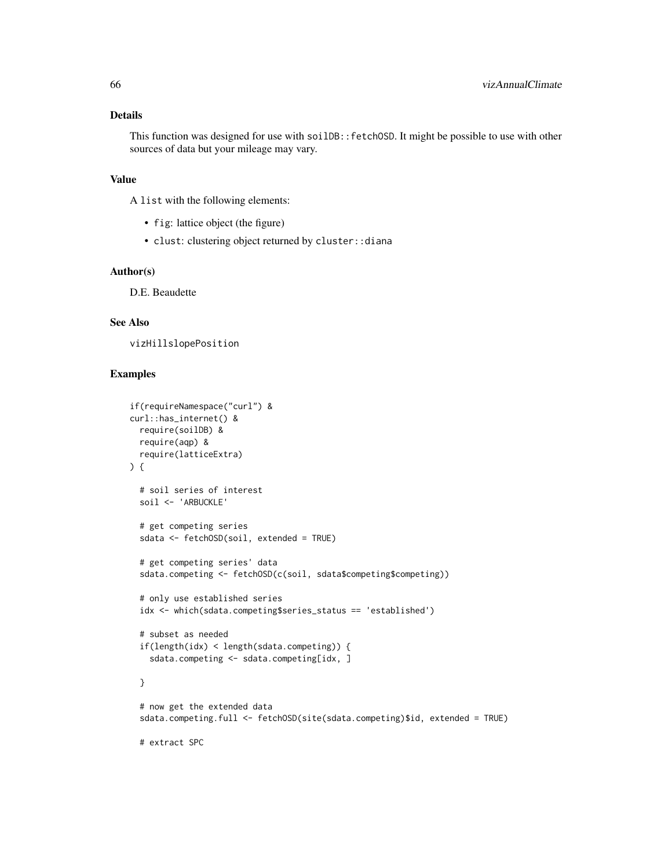#### Details

This function was designed for use with soilDB::fetchOSD. It might be possible to use with other sources of data but your mileage may vary.

#### Value

A list with the following elements:

- fig: lattice object (the figure)
- clust: clustering object returned by cluster::diana

#### Author(s)

D.E. Beaudette

# See Also

vizHillslopePosition

# Examples

```
if(requireNamespace("curl") &
curl::has_internet() &
 require(soilDB) &
  require(aqp) &
  require(latticeExtra)
) {
  # soil series of interest
  soil <- 'ARBUCKLE'
  # get competing series
  sdata <- fetchOSD(soil, extended = TRUE)
  # get competing series' data
  sdata.competing <- fetchOSD(c(soil, sdata$competing$competing))
  # only use established series
  idx <- which(sdata.competing$series_status == 'established')
  # subset as needed
  if(length(idx) < length(sdata.competing)) {
    sdata.competing <- sdata.competing[idx, ]
  }
  # now get the extended data
  sdata.competing.full <- fetchOSD(site(sdata.competing)$id, extended = TRUE)
```
# extract SPC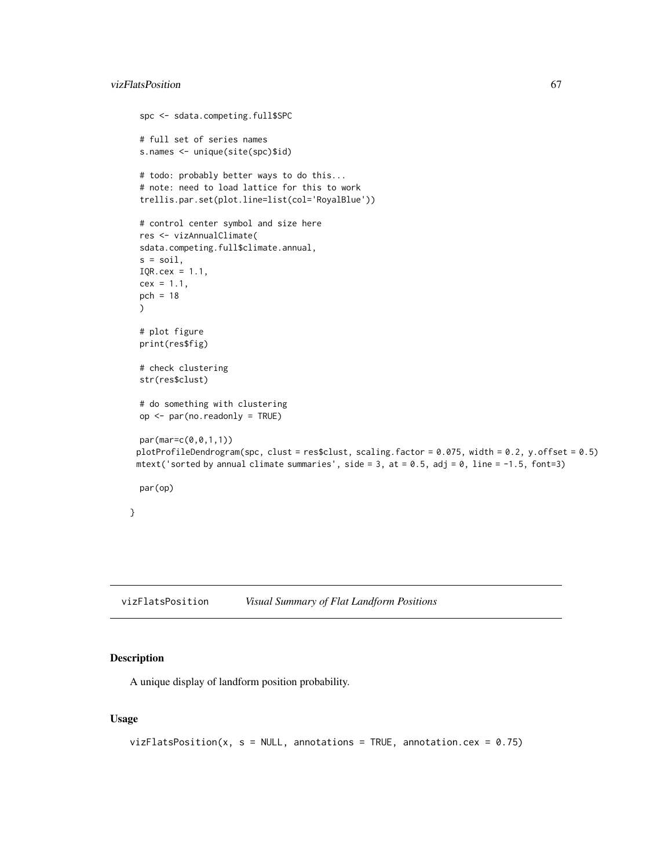### vizFlatsPosition 67

```
spc <- sdata.competing.full$SPC
 # full set of series names
 s.names <- unique(site(spc)$id)
 # todo: probably better ways to do this...
 # note: need to load lattice for this to work
 trellis.par.set(plot.line=list(col='RoyalBlue'))
 # control center symbol and size here
 res <- vizAnnualClimate(
 sdata.competing.full$climate.annual,
 s = soil,IQR.cex = 1.1,
 cex = 1.1,
 pch = 18
 )
 # plot figure
 print(res$fig)
 # check clustering
 str(res$clust)
 # do something with clustering
 op <- par(no.readonly = TRUE)
 par(mar=c(0,0,1,1))
 plotProfileDendrogram(spc, clust = res$clust, scaling.factor = 0.075, width = 0.2, y.offset = 0.5)
 mtext('sorted by annual climate summaries', side = 3, at = 0.5, adj = 0, line = -1.5, font=3)
 par(op)
}
```
vizFlatsPosition *Visual Summary of Flat Landform Positions*

# Description

A unique display of landform position probability.

#### Usage

```
vizFlatsPosition(x, s = NULL, annotations = TRUE, annotation.cex = 0.75)
```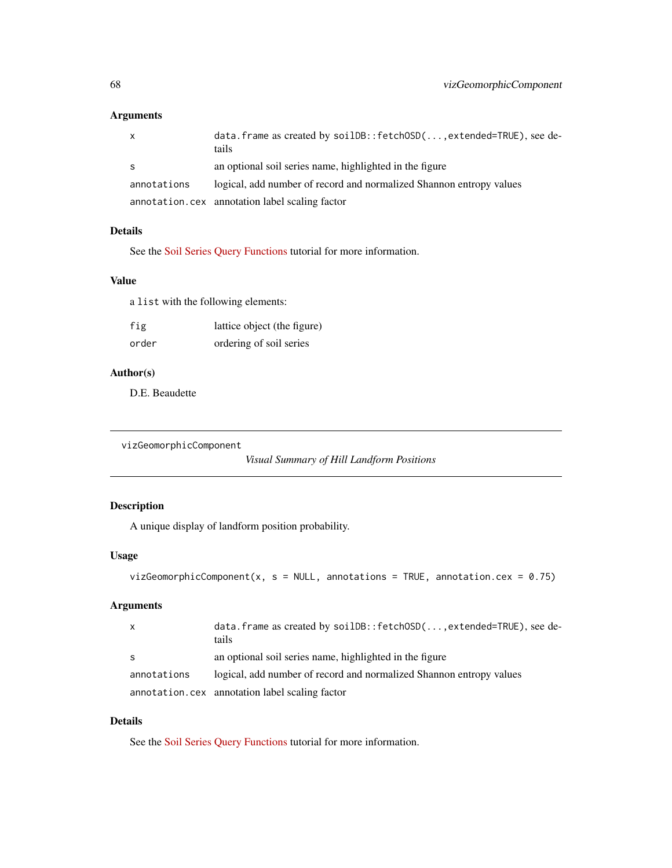# Arguments

| $\mathsf{x}$ | data.frame as created by soilDB::fetchOSD(, extended=TRUE), see de-<br>tails |
|--------------|------------------------------------------------------------------------------|
| -S           | an optional soil series name, highlighted in the figure                      |
| annotations  | logical, add number of record and normalized Shannon entropy values          |
|              | annotation.cex annotation label scaling factor                               |

# Details

See the [Soil Series Query Functions](http://ncss-tech.github.io/AQP/soilDB/soil-series-query-functions.html) tutorial for more information.

#### Value

a list with the following elements:

| fig   | lattice object (the figure) |
|-------|-----------------------------|
| order | ordering of soil series     |

# Author(s)

D.E. Beaudette

```
vizGeomorphicComponent
```

```
Visual Summary of Hill Landform Positions
```
# Description

A unique display of landform position probability.

# Usage

```
vizGeomorphicComponent(x, s = NULL, annotations = TRUE, annotation.cex = 0.75)
```
# Arguments

| $\mathsf{x}$ | data. frame as created by $\text{soilDB}$ : fetchOSD $(\ldots, \text{extended=TRUE})$ , see de-<br>tails |
|--------------|----------------------------------------------------------------------------------------------------------|
| -S           | an optional soil series name, highlighted in the figure                                                  |
| annotations  | logical, add number of record and normalized Shannon entropy values                                      |
|              | annotation.cex annotation label scaling factor                                                           |

# Details

See the [Soil Series Query Functions](http://ncss-tech.github.io/AQP/soilDB/soil-series-query-functions.html) tutorial for more information.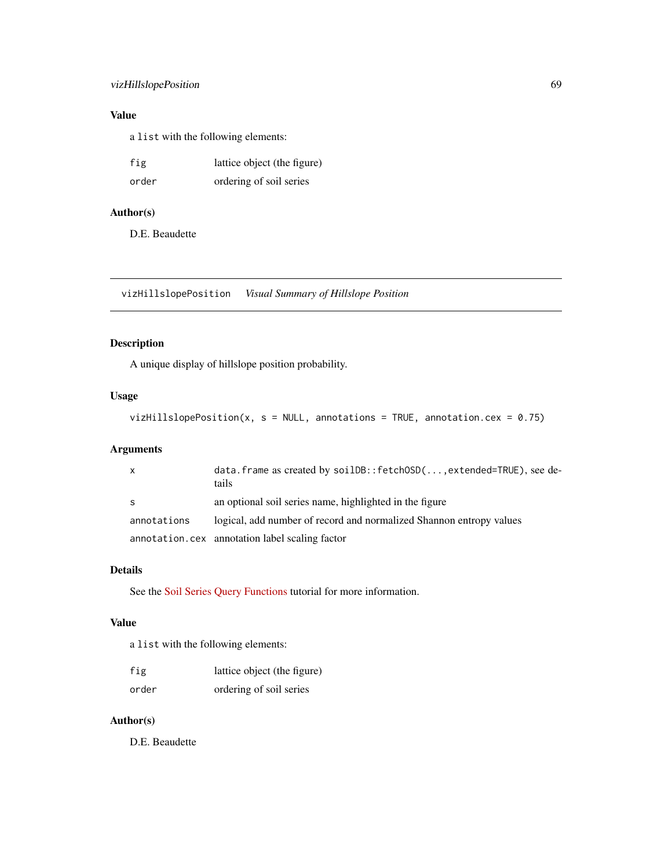# vizHillslopePosition 69

# Value

a list with the following elements:

| fig   | lattice object (the figure) |
|-------|-----------------------------|
| order | ordering of soil series     |

# Author(s)

D.E. Beaudette

vizHillslopePosition *Visual Summary of Hillslope Position*

# Description

A unique display of hillslope position probability.

#### Usage

vizHillslopePosition(x,  $s = NULL$ , annotations = TRUE, annotation.cex = 0.75)

# Arguments

|             | data. frame as created by $soilDB::fetchOSD($ , extended=TRUE), see de-<br>tails. |
|-------------|-----------------------------------------------------------------------------------|
| S           | an optional soil series name, highlighted in the figure                           |
| annotations | logical, add number of record and normalized Shannon entropy values               |
|             | annotation.cex annotation label scaling factor                                    |

#### Details

See the [Soil Series Query Functions](http://ncss-tech.github.io/AQP/soilDB/soil-series-query-functions.html) tutorial for more information.

#### Value

a list with the following elements:

| fig   | lattice object (the figure) |
|-------|-----------------------------|
| order | ordering of soil series     |

#### Author(s)

D.E. Beaudette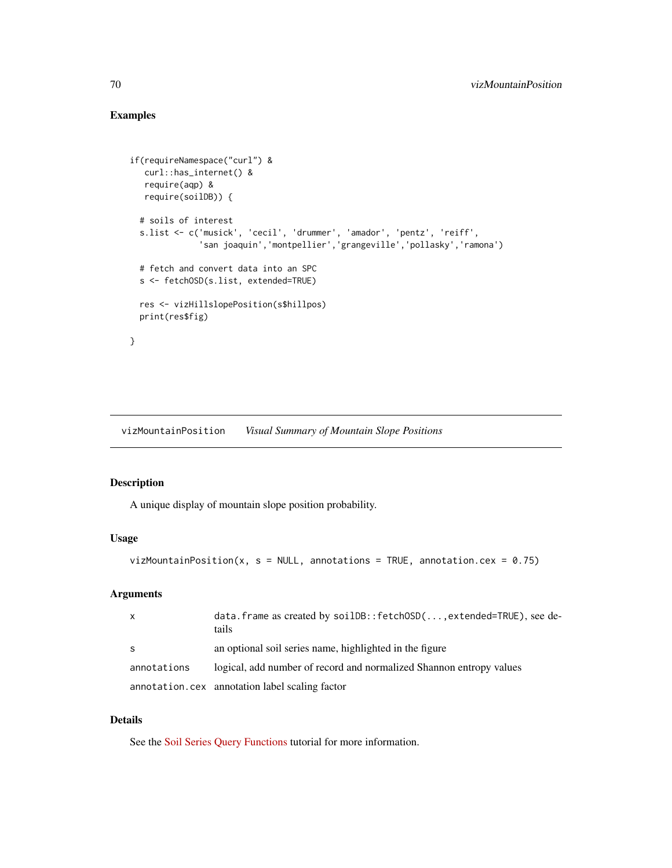# Examples

```
if(requireNamespace("curl") &
  curl::has_internet() &
  require(aqp) &
  require(soilDB)) {
 # soils of interest
 s.list <- c('musick', 'cecil', 'drummer', 'amador', 'pentz', 'reiff',
              'san joaquin','montpellier','grangeville','pollasky','ramona')
 # fetch and convert data into an SPC
 s <- fetchOSD(s.list, extended=TRUE)
 res <- vizHillslopePosition(s$hillpos)
 print(res$fig)
}
```
vizMountainPosition *Visual Summary of Mountain Slope Positions*

## Description

A unique display of mountain slope position probability.

#### Usage

```
vizMountainPosition(x, s = NULL, annotations = TRUE, annotation.cex = 0.75)
```
# Arguments

| $\mathsf{X}$ | data.frame as created by soilDB::fetchOSD(, extended=TRUE), see de-<br>tails |
|--------------|------------------------------------------------------------------------------|
| - S          | an optional soil series name, highlighted in the figure                      |
| annotations  | logical, add number of record and normalized Shannon entropy values          |
|              | annotation.cex annotation label scaling factor                               |

# Details

See the [Soil Series Query Functions](http://ncss-tech.github.io/AQP/soilDB/soil-series-query-functions.html) tutorial for more information.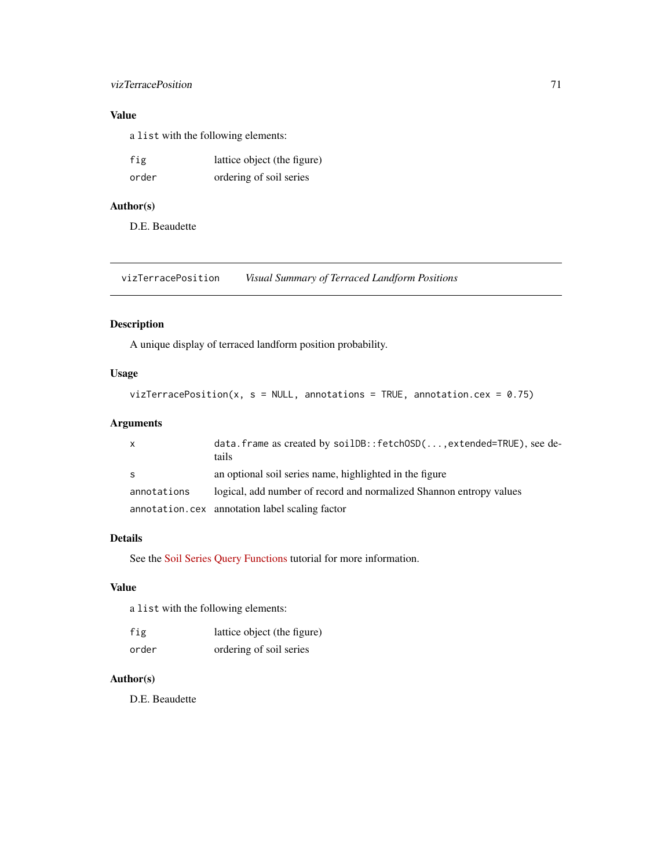# vizTerracePosition 71

# Value

a list with the following elements:

| fig   | lattice object (the figure) |
|-------|-----------------------------|
| order | ordering of soil series     |

# Author(s)

D.E. Beaudette

vizTerracePosition *Visual Summary of Terraced Landform Positions*

# Description

A unique display of terraced landform position probability.

# Usage

```
vizTerracePosition(x, s = NULL, annotations = TRUE, annotation.cex = 0.75)
```
# Arguments

| X           | data. frame as created by $soilDB::fetchOSD($ , extended=TRUE), see de-<br>tails |
|-------------|----------------------------------------------------------------------------------|
| S.          | an optional soil series name, highlighted in the figure                          |
| annotations | logical, add number of record and normalized Shannon entropy values              |
|             | annotation.cex annotation label scaling factor                                   |

# Details

See the [Soil Series Query Functions](http://ncss-tech.github.io/AQP/soilDB/soil-series-query-functions.html) tutorial for more information.

#### Value

a list with the following elements:

| fig   | lattice object (the figure) |
|-------|-----------------------------|
| order | ordering of soil series     |

#### Author(s)

D.E. Beaudette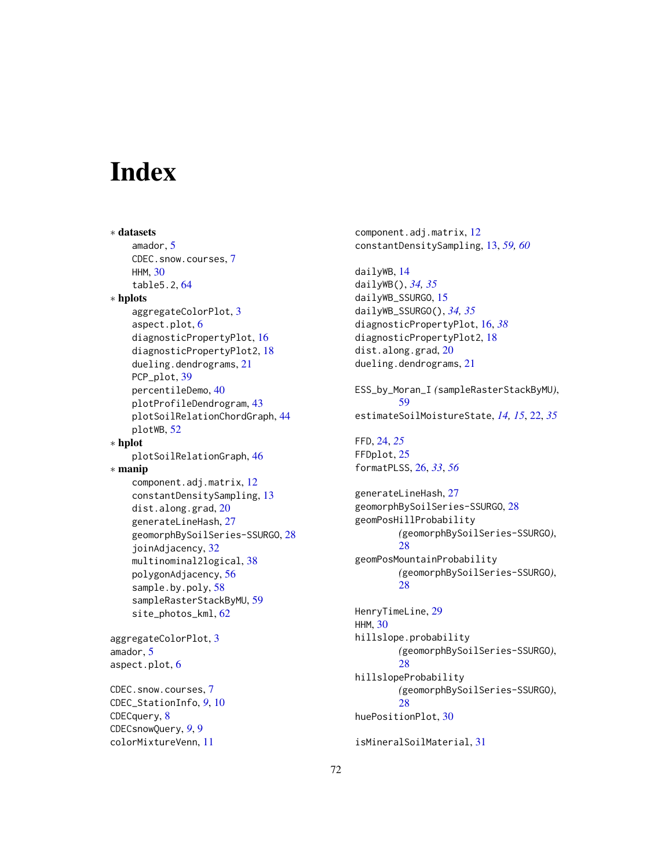# **Index**

∗ datasets amador, [5](#page-4-0) CDEC.snow.courses, [7](#page-6-0) HHM, [30](#page-29-0) table5.2, [64](#page-63-0) ∗ hplots aggregateColorPlot, [3](#page-2-0) aspect.plot, [6](#page-5-0) diagnosticPropertyPlot, [16](#page-15-1) diagnosticPropertyPlot2, [18](#page-17-0) dueling.dendrograms, [21](#page-20-0) PCP\_plot, [39](#page-38-0) percentileDemo, [40](#page-39-0) plotProfileDendrogram, [43](#page-42-0) plotSoilRelationChordGraph, [44](#page-43-0) plotWB, [52](#page-51-0) ∗ hplot plotSoilRelationGraph, [46](#page-45-0) ∗ manip component.adj.matrix, [12](#page-11-0) constantDensitySampling, [13](#page-12-1) dist.along.grad, [20](#page-19-0) generateLineHash, [27](#page-26-0) geomorphBySoilSeries-SSURGO, [28](#page-27-0) joinAdjacency, [32](#page-31-0) multinominal2logical, [38](#page-37-0) polygonAdjacency, [56](#page-55-0) sample.by.poly, [58](#page-57-1) sampleRasterStackByMU, [59](#page-58-0) site\_photos\_kml, [62](#page-61-0) aggregateColorPlot, [3](#page-2-0) amador, [5](#page-4-0) aspect.plot, [6](#page-5-0) CDEC.snow.courses, [7](#page-6-0) CDEC\_StationInfo, *[9](#page-8-0)*, [10](#page-9-0)

```
CDECquery, 8
CDECsnowQuery, 9, 9
colorMixtureVenn, 11
```
component.adj.matrix, [12](#page-11-0) constantDensitySampling, [13,](#page-12-1) *[59,](#page-58-0) [60](#page-59-0)* dailyWB, [14](#page-13-0) dailyWB(), *[34,](#page-33-0) [35](#page-34-1)* dailyWB\_SSURGO, [15](#page-14-0) dailyWB\_SSURGO(), *[34,](#page-33-0) [35](#page-34-1)* diagnosticPropertyPlot, [16,](#page-15-1) *[38](#page-37-0)* diagnosticPropertyPlot2, [18](#page-17-0) dist.along.grad, [20](#page-19-0) dueling.dendrograms, [21](#page-20-0) ESS\_by\_Moran\_I *(*sampleRasterStackByMU*)*, [59](#page-58-0) estimateSoilMoistureState, *[14,](#page-13-0) [15](#page-14-0)*, [22,](#page-21-0) *[35](#page-34-1)* FFD, [24,](#page-23-0) *[25](#page-24-0)* FFDplot, [25](#page-24-0) formatPLSS, [26,](#page-25-1) *[33](#page-32-1)*, *[56](#page-55-0)* generateLineHash, [27](#page-26-0) geomorphBySoilSeries-SSURGO, [28](#page-27-0) geomPosHillProbability *(*geomorphBySoilSeries-SSURGO*)*, [28](#page-27-0) geomPosMountainProbability *(*geomorphBySoilSeries-SSURGO*)*, [28](#page-27-0) HenryTimeLine, [29](#page-28-0) HHM, [30](#page-29-0) hillslope.probability *(*geomorphBySoilSeries-SSURGO*)*, [28](#page-27-0) hillslopeProbability *(*geomorphBySoilSeries-SSURGO*)*, [28](#page-27-0) huePositionPlot, [30](#page-29-0)

isMineralSoilMaterial, [31](#page-30-0)